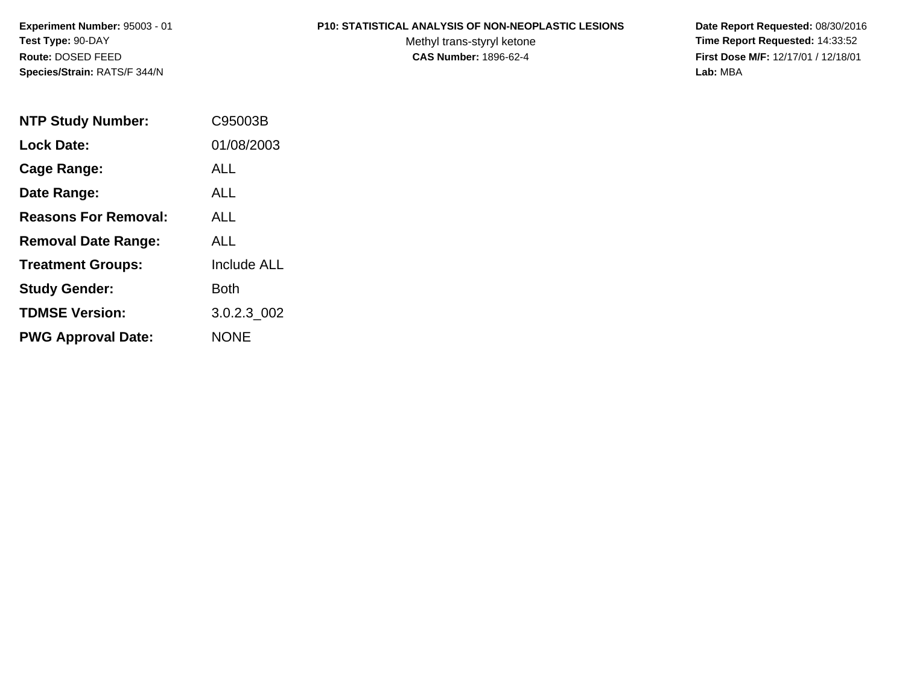**Experiment Number:** 95003 - 01**Test Type:** 90-DAY**Route:** DOSED FEED**Species/Strain:** RATS/F 344/N

#### **P10: STATISTICAL ANALYSIS OF NON-NEOPLASTIC LESIONS**

Methyl trans-styryl ketone<br>CAS Number: 1896-62-4

 **Date Report Requested:** 08/30/2016 **Time Report Requested:** 14:33:52 **First Dose M/F:** 12/17/01 / 12/18/01<br>Lab: MBA **Lab:** MBA

| <b>NTP Study Number:</b>    | C95003B            |
|-----------------------------|--------------------|
| <b>Lock Date:</b>           | 01/08/2003         |
| Cage Range:                 | ALL.               |
| Date Range:                 | ALL                |
| <b>Reasons For Removal:</b> | AI I               |
| <b>Removal Date Range:</b>  | AI L               |
| <b>Treatment Groups:</b>    | <b>Include ALL</b> |
| <b>Study Gender:</b>        | Both               |
| <b>TDMSE Version:</b>       | 3.0.2.3 002        |
| <b>PWG Approval Date:</b>   | <b>NONE</b>        |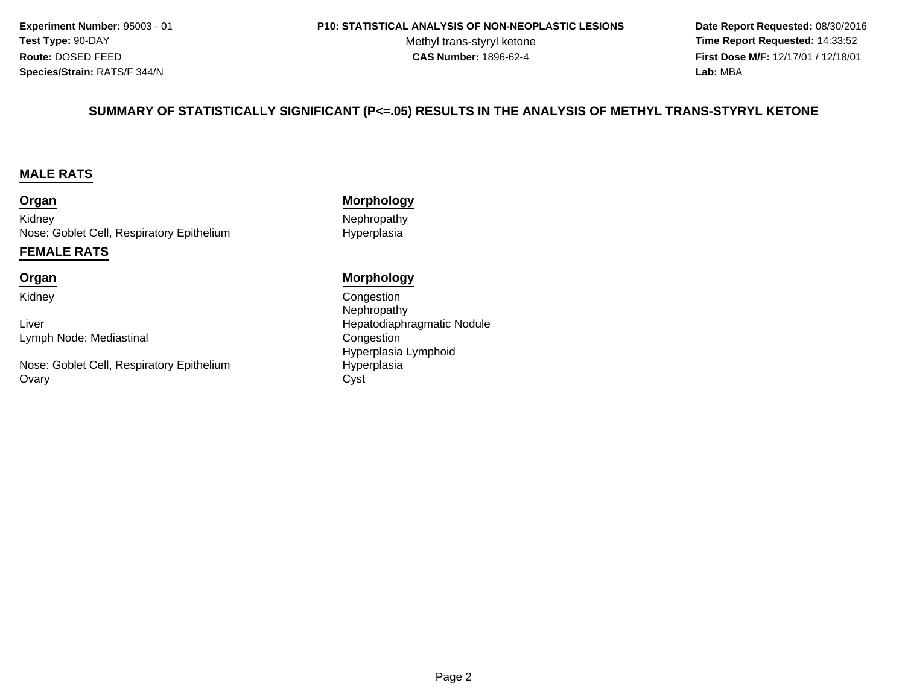**Experiment Number:** 95003 - 01**Test Type:** 90-DAY**Route:** DOSED FEED**Species/Strain:** RATS/F 344/N

#### **P10: STATISTICAL ANALYSIS OF NON-NEOPLASTIC LESIONS**

Methyl trans-styryl ketone<br>CAS Number: 1896-62-4

 **Date Report Requested:** 08/30/2016 **Time Report Requested:** 14:33:52 **First Dose M/F:** 12/17/01 / 12/18/01<br>**Lab:** MBA **Lab:** MBA

#### **SUMMARY OF STATISTICALLY SIGNIFICANT (P<=.05) RESULTS IN THE ANALYSIS OF METHYL TRANS-STYRYL KETONE**

#### **MALE RATS**

#### **Organ**

KidneyNose: Goblet Cell, Respiratory Epithelium

#### **FEMALE RATS**

#### **Organ**

Kidney

LiverLymph Node: Mediastinal

Nose: Goblet Cell, Respiratory Epithelium**Ovary** y Cyst

#### **Morphology**

 Nephropathy Hyperplasia

#### **Morphology**

 Congestion Nephropathy Hepatodiaphragmatic Nodule Congestion Hyperplasia LymphoidHyperplasia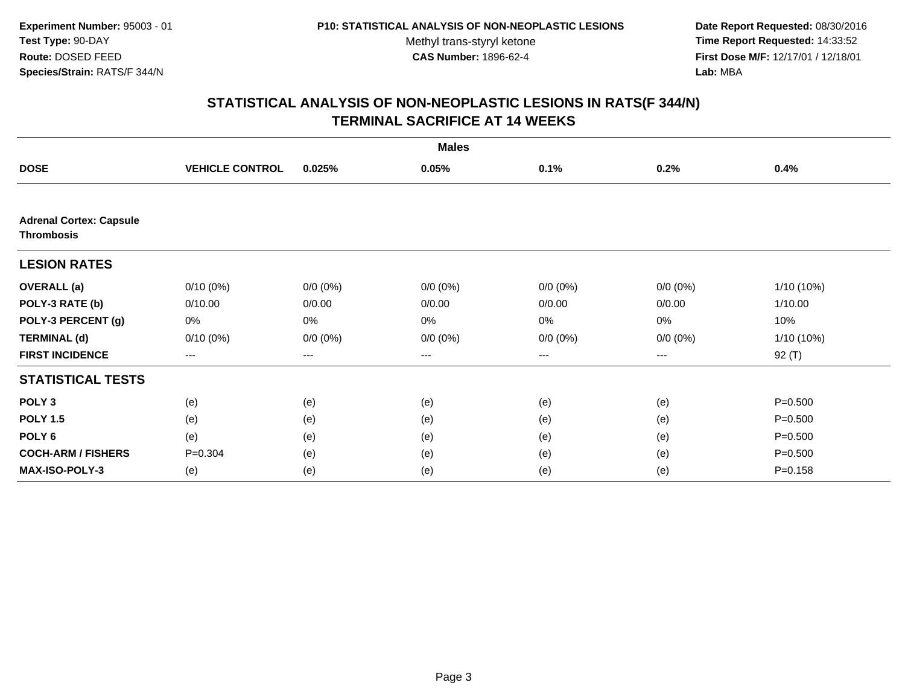**Date Report Requested:** 08/30/2016 **Time Report Requested:** 14:33:52 **First Dose M/F:** 12/17/01 / 12/18/01<br>**Lab:** MBA **Lab:** MBA

|                                                     | <b>Males</b>           |             |             |             |             |              |  |
|-----------------------------------------------------|------------------------|-------------|-------------|-------------|-------------|--------------|--|
| <b>DOSE</b>                                         | <b>VEHICLE CONTROL</b> | 0.025%      | 0.05%       | 0.1%        | 0.2%        | 0.4%         |  |
|                                                     |                        |             |             |             |             |              |  |
| <b>Adrenal Cortex: Capsule</b><br><b>Thrombosis</b> |                        |             |             |             |             |              |  |
| <b>LESION RATES</b>                                 |                        |             |             |             |             |              |  |
| <b>OVERALL</b> (a)                                  | $0/10(0\%)$            | $0/0 (0\%)$ | $0/0 (0\%)$ | $0/0 (0\%)$ | $0/0 (0\%)$ | $1/10(10\%)$ |  |
| POLY-3 RATE (b)                                     | 0/10.00                | 0/0.00      | 0/0.00      | 0/0.00      | 0/0.00      | 1/10.00      |  |
| POLY-3 PERCENT (g)                                  | 0%                     | 0%          | 0%          | 0%          | 0%          | 10%          |  |
| <b>TERMINAL (d)</b>                                 | $0/10(0\%)$            | $0/0 (0\%)$ | $0/0 (0\%)$ | $0/0 (0\%)$ | $0/0 (0\%)$ | 1/10 (10%)   |  |
| <b>FIRST INCIDENCE</b>                              | ---                    | ---         | $--$        | ---         | ---         | 92 (T)       |  |
| <b>STATISTICAL TESTS</b>                            |                        |             |             |             |             |              |  |
| POLY <sub>3</sub>                                   | (e)                    | (e)         | (e)         | (e)         | (e)         | $P = 0.500$  |  |
| <b>POLY 1.5</b>                                     | (e)                    | (e)         | (e)         | (e)         | (e)         | $P = 0.500$  |  |
| POLY 6                                              | (e)                    | (e)         | (e)         | (e)         | (e)         | $P = 0.500$  |  |
| <b>COCH-ARM / FISHERS</b>                           | $P = 0.304$            | (e)         | (e)         | (e)         | (e)         | $P = 0.500$  |  |
| MAX-ISO-POLY-3                                      | (e)                    | (e)         | (e)         | (e)         | (e)         | $P = 0.158$  |  |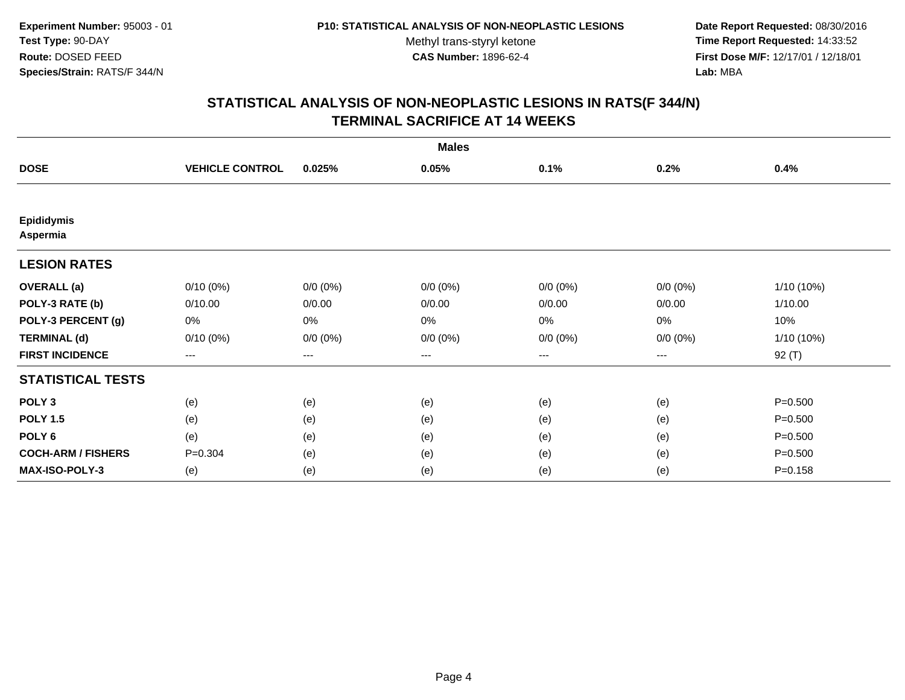**Date Report Requested:** 08/30/2016 **Time Report Requested:** 14:33:52 **First Dose M/F:** 12/17/01 / 12/18/01<br>**Lab:** MBA **Lab:** MBA

| <b>Males</b>                  |                        |             |             |             |             |              |
|-------------------------------|------------------------|-------------|-------------|-------------|-------------|--------------|
| <b>DOSE</b>                   | <b>VEHICLE CONTROL</b> | 0.025%      | 0.05%       | 0.1%        | 0.2%        | 0.4%         |
|                               |                        |             |             |             |             |              |
| <b>Epididymis</b><br>Aspermia |                        |             |             |             |             |              |
| <b>LESION RATES</b>           |                        |             |             |             |             |              |
| <b>OVERALL</b> (a)            | $0/10(0\%)$            | $0/0 (0\%)$ | $0/0 (0\%)$ | $0/0 (0\%)$ | $0/0 (0\%)$ | $1/10(10\%)$ |
| POLY-3 RATE (b)               | 0/10.00                | 0/0.00      | 0/0.00      | 0/0.00      | 0/0.00      | 1/10.00      |
| POLY-3 PERCENT (g)            | 0%                     | 0%          | 0%          | 0%          | 0%          | 10%          |
| <b>TERMINAL (d)</b>           | $0/10(0\%)$            | $0/0 (0\%)$ | $0/0 (0\%)$ | $0/0 (0\%)$ | $0/0 (0\%)$ | $1/10(10\%)$ |
| <b>FIRST INCIDENCE</b>        | ---                    | ---         | ---         | ---         | ---         | $92($ T)     |
| <b>STATISTICAL TESTS</b>      |                        |             |             |             |             |              |
| POLY <sub>3</sub>             | (e)                    | (e)         | (e)         | (e)         | (e)         | $P = 0.500$  |
| <b>POLY 1.5</b>               | (e)                    | (e)         | (e)         | (e)         | (e)         | $P = 0.500$  |
| POLY <sub>6</sub>             | (e)                    | (e)         | (e)         | (e)         | (e)         | $P = 0.500$  |
| <b>COCH-ARM / FISHERS</b>     | $P = 0.304$            | (e)         | (e)         | (e)         | (e)         | $P = 0.500$  |
| <b>MAX-ISO-POLY-3</b>         | (e)                    | (e)         | (e)         | (e)         | (e)         | $P = 0.158$  |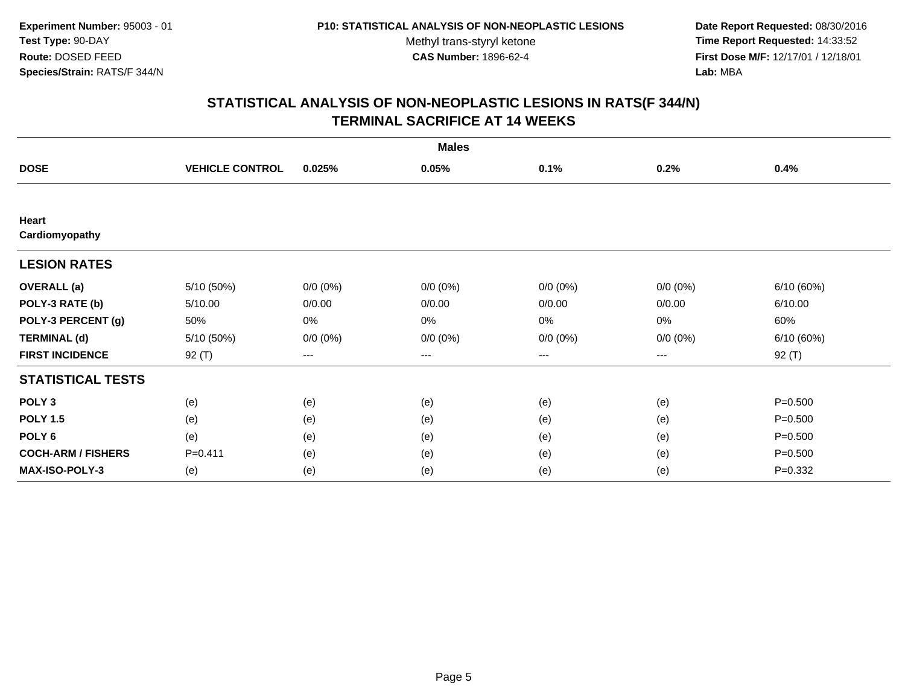**Date Report Requested:** 08/30/2016 **Time Report Requested:** 14:33:52 **First Dose M/F:** 12/17/01 / 12/18/01<br>**Lab:** MBA **Lab:** MBA

| <b>Males</b>              |                        |             |             |             |             |             |
|---------------------------|------------------------|-------------|-------------|-------------|-------------|-------------|
| <b>DOSE</b>               | <b>VEHICLE CONTROL</b> | 0.025%      | 0.05%       | 0.1%        | 0.2%        | 0.4%        |
|                           |                        |             |             |             |             |             |
| Heart<br>Cardiomyopathy   |                        |             |             |             |             |             |
| <b>LESION RATES</b>       |                        |             |             |             |             |             |
| <b>OVERALL</b> (a)        | 5/10 (50%)             | $0/0 (0\%)$ | $0/0 (0\%)$ | $0/0 (0\%)$ | $0/0 (0\%)$ | 6/10 (60%)  |
| POLY-3 RATE (b)           | 5/10.00                | 0/0.00      | 0/0.00      | 0/0.00      | 0/0.00      | 6/10.00     |
| POLY-3 PERCENT (g)        | 50%                    | 0%          | 0%          | 0%          | 0%          | 60%         |
| <b>TERMINAL (d)</b>       | 5/10 (50%)             | $0/0 (0\%)$ | $0/0 (0\%)$ | $0/0 (0\%)$ | $0/0 (0\%)$ | 6/10(60%)   |
| <b>FIRST INCIDENCE</b>    | $92($ T)               | ---         | ---         | ---         | ---         | 92 (T)      |
| <b>STATISTICAL TESTS</b>  |                        |             |             |             |             |             |
| POLY <sub>3</sub>         | (e)                    | (e)         | (e)         | (e)         | (e)         | $P = 0.500$ |
| <b>POLY 1.5</b>           | (e)                    | (e)         | (e)         | (e)         | (e)         | $P = 0.500$ |
| POLY <sub>6</sub>         | (e)                    | (e)         | (e)         | (e)         | (e)         | $P = 0.500$ |
| <b>COCH-ARM / FISHERS</b> | $P = 0.411$            | (e)         | (e)         | (e)         | (e)         | $P = 0.500$ |
| <b>MAX-ISO-POLY-3</b>     | (e)                    | (e)         | (e)         | (e)         | (e)         | $P = 0.332$ |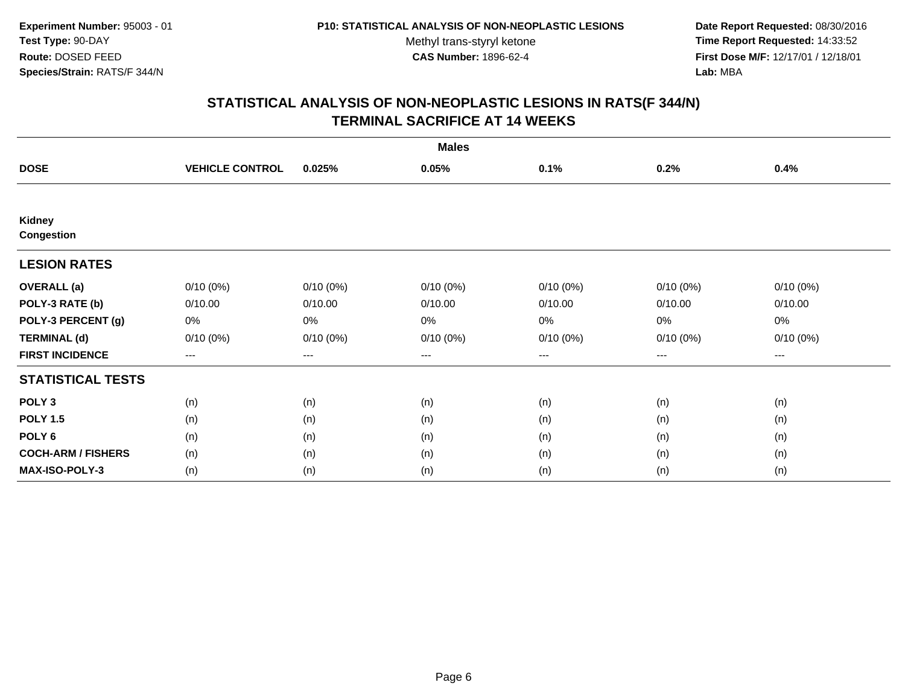**Date Report Requested:** 08/30/2016 **Time Report Requested:** 14:33:52 **First Dose M/F:** 12/17/01 / 12/18/01<br>**Lab:** MBA **Lab:** MBA

| <b>Males</b>                |                        |             |             |             |             |                        |  |
|-----------------------------|------------------------|-------------|-------------|-------------|-------------|------------------------|--|
| <b>DOSE</b>                 | <b>VEHICLE CONTROL</b> | 0.025%      | 0.05%       | 0.1%        | 0.2%        | 0.4%                   |  |
|                             |                        |             |             |             |             |                        |  |
| Kidney<br><b>Congestion</b> |                        |             |             |             |             |                        |  |
| <b>LESION RATES</b>         |                        |             |             |             |             |                        |  |
| <b>OVERALL</b> (a)          | $0/10(0\%)$            | $0/10(0\%)$ | $0/10(0\%)$ | $0/10(0\%)$ | $0/10(0\%)$ | $0/10(0\%)$            |  |
| POLY-3 RATE (b)             | 0/10.00                | 0/10.00     | 0/10.00     | 0/10.00     | 0/10.00     | 0/10.00                |  |
| POLY-3 PERCENT (g)          | 0%                     | 0%          | 0%          | 0%          | 0%          | 0%                     |  |
| <b>TERMINAL (d)</b>         | 0/10(0%)               | 0/10(0%)    | $0/10(0\%)$ | 0/10(0%)    | $0/10(0\%)$ | $0/10(0\%)$            |  |
| <b>FIRST INCIDENCE</b>      | ---                    | $---$       | ---         | ---         | $---$       | $\qquad \qquad \cdots$ |  |
| <b>STATISTICAL TESTS</b>    |                        |             |             |             |             |                        |  |
| POLY <sub>3</sub>           | (n)                    | (n)         | (n)         | (n)         | (n)         | (n)                    |  |
| <b>POLY 1.5</b>             | (n)                    | (n)         | (n)         | (n)         | (n)         | (n)                    |  |
| POLY <sub>6</sub>           | (n)                    | (n)         | (n)         | (n)         | (n)         | (n)                    |  |
| <b>COCH-ARM / FISHERS</b>   | (n)                    | (n)         | (n)         | (n)         | (n)         | (n)                    |  |
| <b>MAX-ISO-POLY-3</b>       | (n)                    | (n)         | (n)         | (n)         | (n)         | (n)                    |  |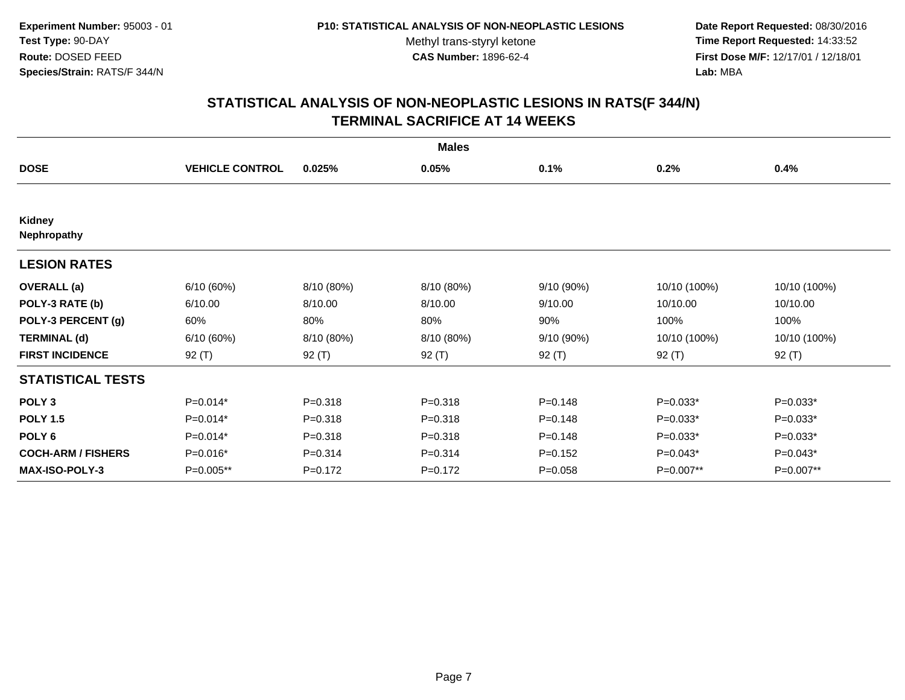**Date Report Requested:** 08/30/2016 **Time Report Requested:** 14:33:52 **First Dose M/F:** 12/17/01 / 12/18/01<br>**Lab:** MBA **Lab:** MBA

| <b>Males</b>              |                        |             |             |             |              |              |  |
|---------------------------|------------------------|-------------|-------------|-------------|--------------|--------------|--|
| <b>DOSE</b>               | <b>VEHICLE CONTROL</b> | 0.025%      | 0.05%       | 0.1%        | 0.2%         | 0.4%         |  |
|                           |                        |             |             |             |              |              |  |
| Kidney<br>Nephropathy     |                        |             |             |             |              |              |  |
| <b>LESION RATES</b>       |                        |             |             |             |              |              |  |
| <b>OVERALL</b> (a)        | 6/10(60%)              | 8/10 (80%)  | 8/10 (80%)  | 9/10(90%)   | 10/10 (100%) | 10/10 (100%) |  |
| POLY-3 RATE (b)           | 6/10.00                | 8/10.00     | 8/10.00     | 9/10.00     | 10/10.00     | 10/10.00     |  |
| POLY-3 PERCENT (g)        | 60%                    | 80%         | 80%         | 90%         | 100%         | 100%         |  |
| <b>TERMINAL (d)</b>       | 6/10(60%)              | 8/10 (80%)  | 8/10 (80%)  | 9/10 (90%)  | 10/10 (100%) | 10/10 (100%) |  |
| <b>FIRST INCIDENCE</b>    | 92 (T)                 | 92 $(T)$    | 92 (T)      | 92 (T)      | 92 $(T)$     | 92 (T)       |  |
| <b>STATISTICAL TESTS</b>  |                        |             |             |             |              |              |  |
| POLY <sub>3</sub>         | $P=0.014*$             | $P = 0.318$ | $P = 0.318$ | $P = 0.148$ | $P=0.033*$   | $P=0.033*$   |  |
| <b>POLY 1.5</b>           | $P=0.014*$             | $P = 0.318$ | $P = 0.318$ | $P = 0.148$ | $P=0.033*$   | P=0.033*     |  |
| POLY <sub>6</sub>         | $P=0.014*$             | $P = 0.318$ | $P = 0.318$ | $P = 0.148$ | $P=0.033*$   | $P=0.033*$   |  |
| <b>COCH-ARM / FISHERS</b> | P=0.016*               | $P = 0.314$ | $P = 0.314$ | $P = 0.152$ | $P=0.043*$   | P=0.043*     |  |
| <b>MAX-ISO-POLY-3</b>     | P=0.005**              | $P = 0.172$ | $P = 0.172$ | $P = 0.058$ | P=0.007**    | P=0.007**    |  |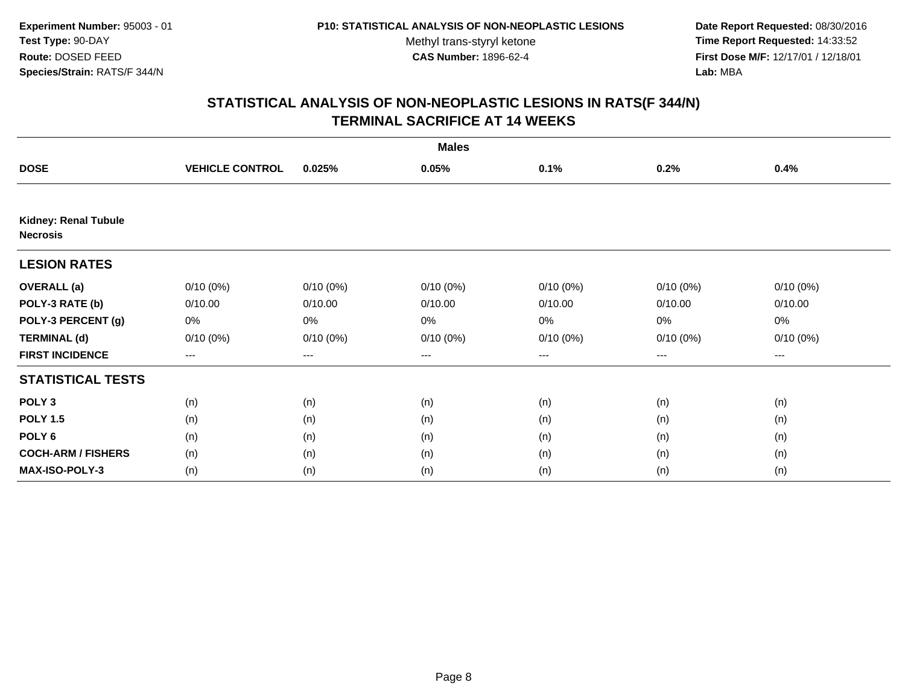**Date Report Requested:** 08/30/2016 **Time Report Requested:** 14:33:52 **First Dose M/F:** 12/17/01 / 12/18/01<br>**Lab:** MBA **Lab:** MBA

| <b>Males</b>                            |                        |             |             |             |                   |             |  |
|-----------------------------------------|------------------------|-------------|-------------|-------------|-------------------|-------------|--|
| <b>DOSE</b>                             | <b>VEHICLE CONTROL</b> | 0.025%      | 0.05%       | 0.1%        | 0.2%              | 0.4%        |  |
| Kidney: Renal Tubule<br><b>Necrosis</b> |                        |             |             |             |                   |             |  |
| <b>LESION RATES</b>                     |                        |             |             |             |                   |             |  |
| <b>OVERALL</b> (a)                      | $0/10(0\%)$            | $0/10(0\%)$ | $0/10(0\%)$ | $0/10(0\%)$ | $0/10(0\%)$       | $0/10(0\%)$ |  |
| POLY-3 RATE (b)                         | 0/10.00                | 0/10.00     | 0/10.00     | 0/10.00     | 0/10.00           | 0/10.00     |  |
| POLY-3 PERCENT (g)                      | 0%                     | 0%          | 0%          | 0%          | 0%                | 0%          |  |
| <b>TERMINAL (d)</b>                     | $0/10(0\%)$            | $0/10(0\%)$ | $0/10(0\%)$ | $0/10(0\%)$ | $0/10(0\%)$       | $0/10(0\%)$ |  |
| <b>FIRST INCIDENCE</b>                  | $---$                  | $---$       | $---$       | ---         | $\qquad \qquad -$ | $--$        |  |
| <b>STATISTICAL TESTS</b>                |                        |             |             |             |                   |             |  |
| POLY <sub>3</sub>                       | (n)                    | (n)         | (n)         | (n)         | (n)               | (n)         |  |
| <b>POLY 1.5</b>                         | (n)                    | (n)         | (n)         | (n)         | (n)               | (n)         |  |
| POLY <sub>6</sub>                       | (n)                    | (n)         | (n)         | (n)         | (n)               | (n)         |  |
| <b>COCH-ARM / FISHERS</b>               | (n)                    | (n)         | (n)         | (n)         | (n)               | (n)         |  |
| <b>MAX-ISO-POLY-3</b>                   | (n)                    | (n)         | (n)         | (n)         | (n)               | (n)         |  |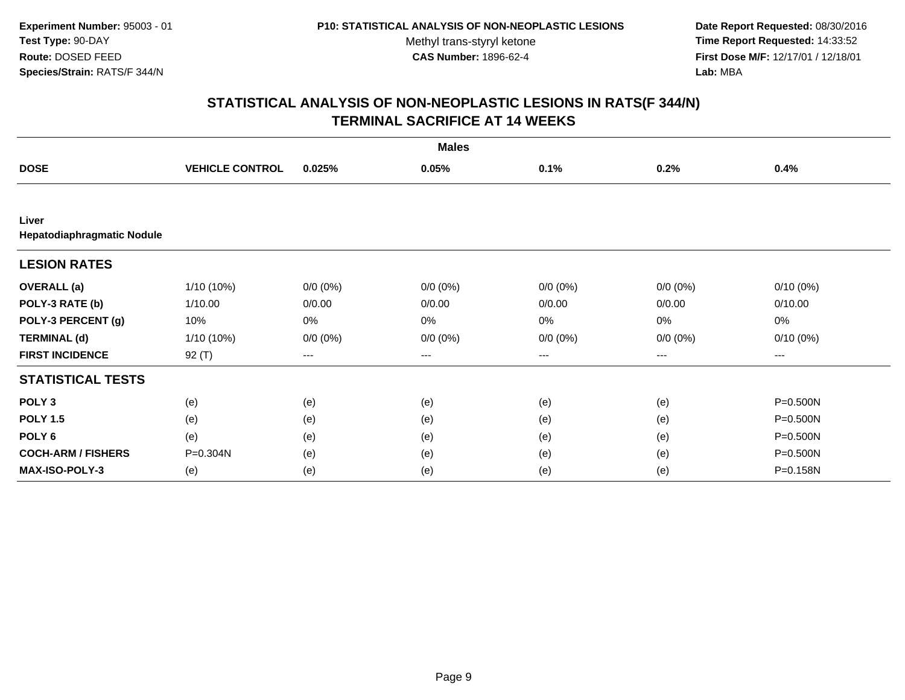**Date Report Requested:** 08/30/2016 **Time Report Requested:** 14:33:52 **First Dose M/F:** 12/17/01 / 12/18/01<br>**Lab:** MBA **Lab:** MBA

|                                     | <b>Males</b>           |             |             |             |             |              |  |
|-------------------------------------|------------------------|-------------|-------------|-------------|-------------|--------------|--|
| <b>DOSE</b>                         | <b>VEHICLE CONTROL</b> | 0.025%      | 0.05%       | 0.1%        | 0.2%        | 0.4%         |  |
|                                     |                        |             |             |             |             |              |  |
| Liver<br>Hepatodiaphragmatic Nodule |                        |             |             |             |             |              |  |
| <b>LESION RATES</b>                 |                        |             |             |             |             |              |  |
| <b>OVERALL</b> (a)                  | $1/10(10\%)$           | $0/0 (0\%)$ | $0/0 (0\%)$ | $0/0 (0\%)$ | $0/0 (0\%)$ | $0/10(0\%)$  |  |
| POLY-3 RATE (b)                     | 1/10.00                | 0/0.00      | 0/0.00      | 0/0.00      | 0/0.00      | 0/10.00      |  |
| POLY-3 PERCENT (g)                  | 10%                    | 0%          | 0%          | 0%          | 0%          | 0%           |  |
| <b>TERMINAL (d)</b>                 | $1/10(10\%)$           | $0/0 (0\%)$ | $0/0 (0\%)$ | $0/0 (0\%)$ | $0/0 (0\%)$ | $0/10(0\%)$  |  |
| <b>FIRST INCIDENCE</b>              | $92($ T)               | ---         | ---         | ---         | ---         | ---          |  |
| <b>STATISTICAL TESTS</b>            |                        |             |             |             |             |              |  |
| POLY <sub>3</sub>                   | (e)                    | (e)         | (e)         | (e)         | (e)         | P=0.500N     |  |
| <b>POLY 1.5</b>                     | (e)                    | (e)         | (e)         | (e)         | (e)         | P=0.500N     |  |
| POLY <sub>6</sub>                   | (e)                    | (e)         | (e)         | (e)         | (e)         | $P = 0.500N$ |  |
| <b>COCH-ARM / FISHERS</b>           | P=0.304N               | (e)         | (e)         | (e)         | (e)         | P=0.500N     |  |
| <b>MAX-ISO-POLY-3</b>               | (e)                    | (e)         | (e)         | (e)         | (e)         | P=0.158N     |  |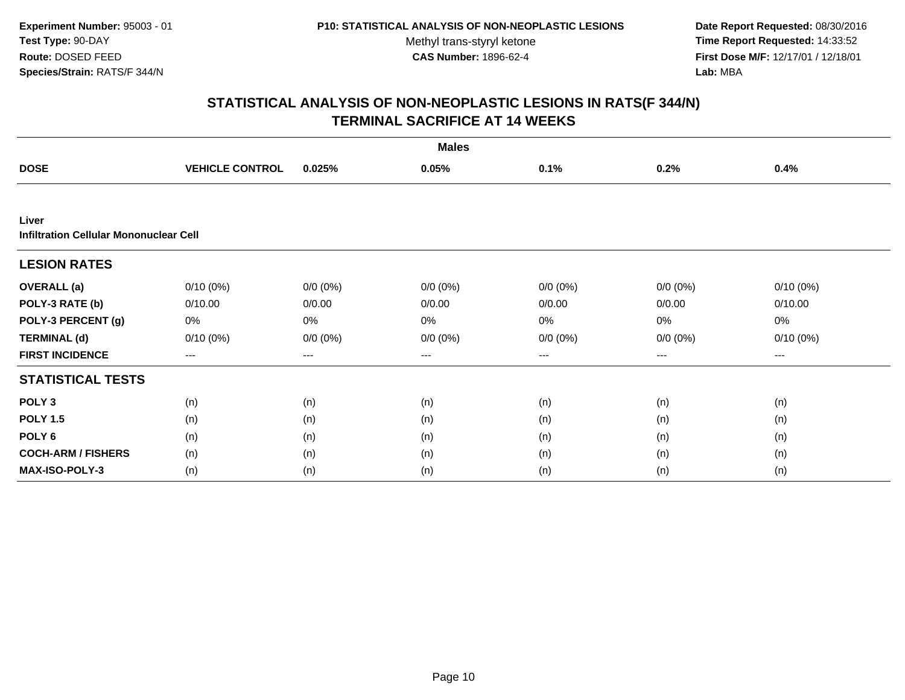**Date Report Requested:** 08/30/2016 **Time Report Requested:** 14:33:52 **First Dose M/F:** 12/17/01 / 12/18/01<br>**Lab:** MBA **Lab:** MBA

|                                                        |                        |             | <b>Males</b> |             |             |             |
|--------------------------------------------------------|------------------------|-------------|--------------|-------------|-------------|-------------|
| <b>DOSE</b>                                            | <b>VEHICLE CONTROL</b> | 0.025%      | 0.05%        | 0.1%        | 0.2%        | 0.4%        |
|                                                        |                        |             |              |             |             |             |
| Liver<br><b>Infiltration Cellular Mononuclear Cell</b> |                        |             |              |             |             |             |
| <b>LESION RATES</b>                                    |                        |             |              |             |             |             |
| <b>OVERALL</b> (a)                                     | $0/10(0\%)$            | $0/0 (0\%)$ | $0/0 (0\%)$  | $0/0 (0\%)$ | $0/0 (0\%)$ | $0/10(0\%)$ |
| POLY-3 RATE (b)                                        | 0/10.00                | 0/0.00      | 0/0.00       | 0/0.00      | 0/0.00      | 0/10.00     |
| POLY-3 PERCENT (g)                                     | 0%                     | 0%          | 0%           | 0%          | 0%          | 0%          |
| <b>TERMINAL (d)</b>                                    | $0/10(0\%)$            | $0/0 (0\%)$ | $0/0 (0\%)$  | $0/0 (0\%)$ | $0/0 (0\%)$ | $0/10(0\%)$ |
| <b>FIRST INCIDENCE</b>                                 | $---$                  | ---         | ---          | $--$        | ---         | ---         |
| <b>STATISTICAL TESTS</b>                               |                        |             |              |             |             |             |
| POLY <sub>3</sub>                                      | (n)                    | (n)         | (n)          | (n)         | (n)         | (n)         |
| <b>POLY 1.5</b>                                        | (n)                    | (n)         | (n)          | (n)         | (n)         | (n)         |
| POLY <sub>6</sub>                                      | (n)                    | (n)         | (n)          | (n)         | (n)         | (n)         |
| <b>COCH-ARM / FISHERS</b>                              | (n)                    | (n)         | (n)          | (n)         | (n)         | (n)         |
| <b>MAX-ISO-POLY-3</b>                                  | (n)                    | (n)         | (n)          | (n)         | (n)         | (n)         |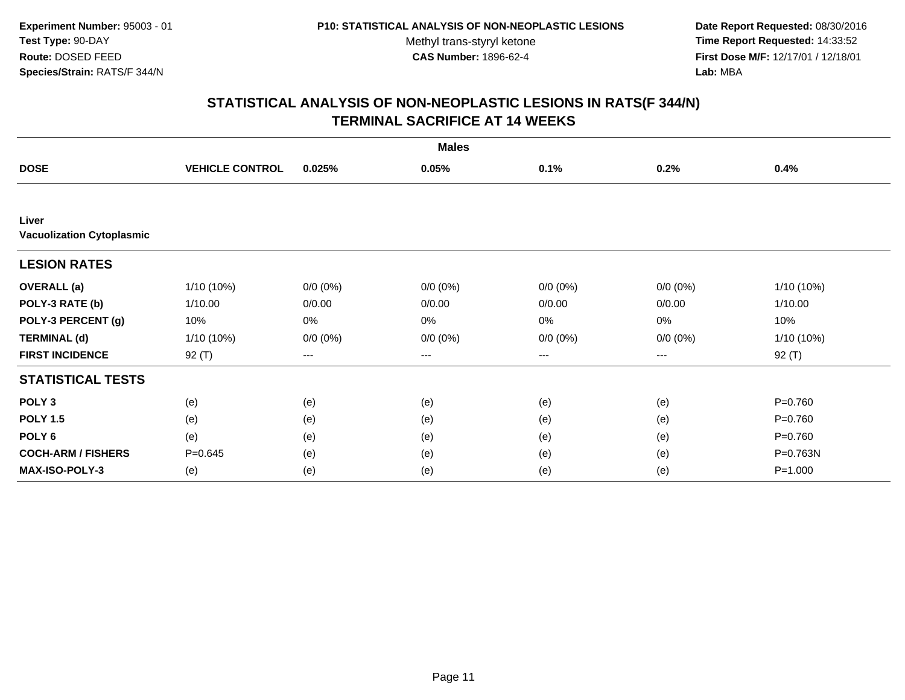**Date Report Requested:** 08/30/2016 **Time Report Requested:** 14:33:52 **First Dose M/F:** 12/17/01 / 12/18/01<br>**Lab:** MBA **Lab:** MBA

| <b>Males</b>                              |                        |             |             |             |             |             |
|-------------------------------------------|------------------------|-------------|-------------|-------------|-------------|-------------|
| <b>DOSE</b>                               | <b>VEHICLE CONTROL</b> | 0.025%      | 0.05%       | 0.1%        | 0.2%        | 0.4%        |
|                                           |                        |             |             |             |             |             |
| Liver<br><b>Vacuolization Cytoplasmic</b> |                        |             |             |             |             |             |
| <b>LESION RATES</b>                       |                        |             |             |             |             |             |
| <b>OVERALL</b> (a)                        | $1/10(10\%)$           | $0/0 (0\%)$ | $0/0 (0\%)$ | $0/0 (0\%)$ | $0/0 (0\%)$ | 1/10 (10%)  |
| POLY-3 RATE (b)                           | 1/10.00                | 0/0.00      | 0/0.00      | 0/0.00      | 0/0.00      | 1/10.00     |
| POLY-3 PERCENT (g)                        | 10%                    | 0%          | 0%          | 0%          | 0%          | 10%         |
| <b>TERMINAL (d)</b>                       | $1/10(10\%)$           | $0/0 (0\%)$ | $0/0 (0\%)$ | $0/0 (0\%)$ | $0/0 (0\%)$ | 1/10 (10%)  |
| <b>FIRST INCIDENCE</b>                    | $92($ T)               | ---         | ---         | ---         | ---         | 92 (T)      |
| <b>STATISTICAL TESTS</b>                  |                        |             |             |             |             |             |
| POLY <sub>3</sub>                         | (e)                    | (e)         | (e)         | (e)         | (e)         | $P = 0.760$ |
| <b>POLY 1.5</b>                           | (e)                    | (e)         | (e)         | (e)         | (e)         | $P=0.760$   |
| POLY <sub>6</sub>                         | (e)                    | (e)         | (e)         | (e)         | (e)         | $P = 0.760$ |
| <b>COCH-ARM / FISHERS</b>                 | $P = 0.645$            | (e)         | (e)         | (e)         | (e)         | P=0.763N    |
| <b>MAX-ISO-POLY-3</b>                     | (e)                    | (e)         | (e)         | (e)         | (e)         | $P = 1.000$ |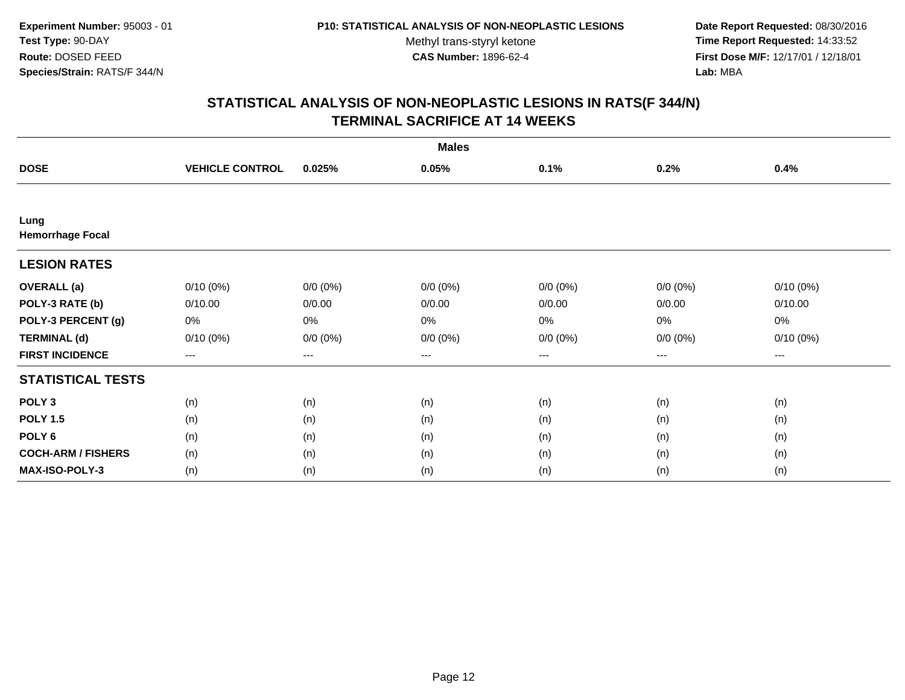**Date Report Requested:** 08/30/2016 **Time Report Requested:** 14:33:52 **First Dose M/F:** 12/17/01 / 12/18/01<br>**Lab:** MBA **Lab:** MBA

| <b>Males</b>                    |                        |             |             |             |                        |             |  |
|---------------------------------|------------------------|-------------|-------------|-------------|------------------------|-------------|--|
| <b>DOSE</b>                     | <b>VEHICLE CONTROL</b> | 0.025%      | 0.05%       | 0.1%        | 0.2%                   | 0.4%        |  |
|                                 |                        |             |             |             |                        |             |  |
| Lung<br><b>Hemorrhage Focal</b> |                        |             |             |             |                        |             |  |
| <b>LESION RATES</b>             |                        |             |             |             |                        |             |  |
| <b>OVERALL</b> (a)              | $0/10(0\%)$            | $0/0 (0\%)$ | $0/0 (0\%)$ | $0/0 (0\%)$ | $0/0 (0\%)$            | $0/10(0\%)$ |  |
| POLY-3 RATE (b)                 | 0/10.00                | 0/0.00      | 0/0.00      | 0/0.00      | 0/0.00                 | 0/10.00     |  |
| POLY-3 PERCENT (g)              | 0%                     | 0%          | 0%          | 0%          | 0%                     | 0%          |  |
| <b>TERMINAL (d)</b>             | 0/10(0%)               | $0/0 (0\%)$ | $0/0 (0\%)$ | $0/0 (0\%)$ | $0/0 (0\%)$            | $0/10(0\%)$ |  |
| <b>FIRST INCIDENCE</b>          | ---                    | $---$       | ---         | ---         | $\qquad \qquad \cdots$ | $---$       |  |
| <b>STATISTICAL TESTS</b>        |                        |             |             |             |                        |             |  |
| POLY <sub>3</sub>               | (n)                    | (n)         | (n)         | (n)         | (n)                    | (n)         |  |
| <b>POLY 1.5</b>                 | (n)                    | (n)         | (n)         | (n)         | (n)                    | (n)         |  |
| POLY <sub>6</sub>               | (n)                    | (n)         | (n)         | (n)         | (n)                    | (n)         |  |
| <b>COCH-ARM / FISHERS</b>       | (n)                    | (n)         | (n)         | (n)         | (n)                    | (n)         |  |
| MAX-ISO-POLY-3                  | (n)                    | (n)         | (n)         | (n)         | (n)                    | (n)         |  |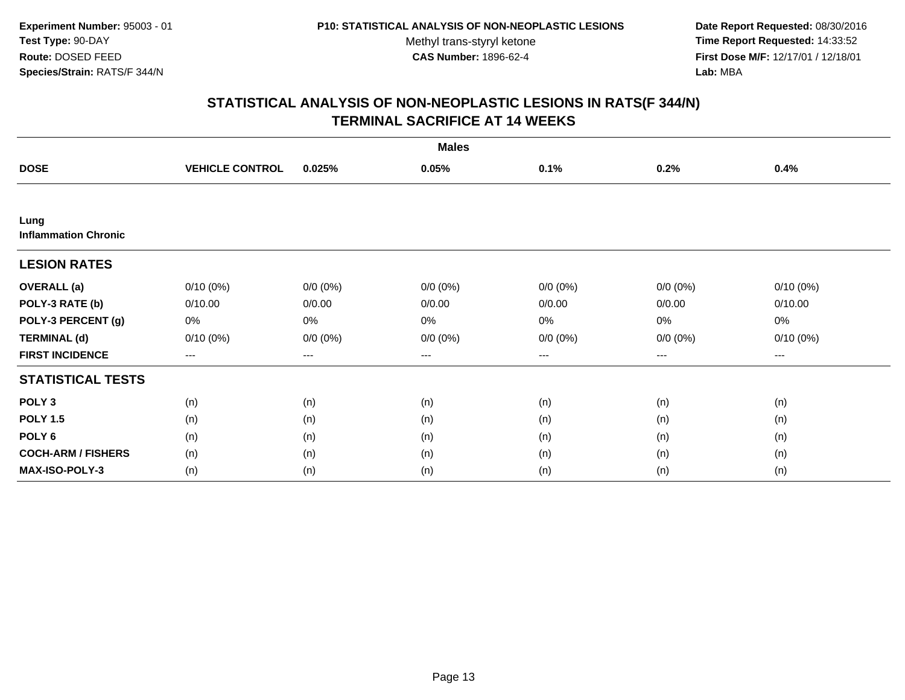**Date Report Requested:** 08/30/2016 **Time Report Requested:** 14:33:52 **First Dose M/F:** 12/17/01 / 12/18/01<br>**Lab:** MBA **Lab:** MBA

| <b>Males</b>                        |                        |             |             |                   |             |             |  |
|-------------------------------------|------------------------|-------------|-------------|-------------------|-------------|-------------|--|
| <b>DOSE</b>                         | <b>VEHICLE CONTROL</b> | 0.025%      | 0.05%       | 0.1%              | 0.2%        | 0.4%        |  |
|                                     |                        |             |             |                   |             |             |  |
| Lung<br><b>Inflammation Chronic</b> |                        |             |             |                   |             |             |  |
| <b>LESION RATES</b>                 |                        |             |             |                   |             |             |  |
| <b>OVERALL</b> (a)                  | $0/10(0\%)$            | $0/0 (0\%)$ | $0/0 (0\%)$ | $0/0 (0\%)$       | $0/0 (0\%)$ | $0/10(0\%)$ |  |
| POLY-3 RATE (b)                     | 0/10.00                | 0/0.00      | 0/0.00      | 0/0.00            | 0/0.00      | 0/10.00     |  |
| POLY-3 PERCENT (g)                  | 0%                     | 0%          | 0%          | $0\%$             | $0\%$       | 0%          |  |
| <b>TERMINAL (d)</b>                 | $0/10(0\%)$            | $0/0 (0\%)$ | $0/0 (0\%)$ | $0/0 (0\%)$       | $0/0 (0\%)$ | $0/10(0\%)$ |  |
| <b>FIRST INCIDENCE</b>              | $\qquad \qquad \cdots$ | $---$       | ---         | $\qquad \qquad -$ | ---         | $---$       |  |
| <b>STATISTICAL TESTS</b>            |                        |             |             |                   |             |             |  |
| POLY <sub>3</sub>                   | (n)                    | (n)         | (n)         | (n)               | (n)         | (n)         |  |
| <b>POLY 1.5</b>                     | (n)                    | (n)         | (n)         | (n)               | (n)         | (n)         |  |
| POLY <sub>6</sub>                   | (n)                    | (n)         | (n)         | (n)               | (n)         | (n)         |  |
| <b>COCH-ARM / FISHERS</b>           | (n)                    | (n)         | (n)         | (n)               | (n)         | (n)         |  |
| MAX-ISO-POLY-3                      | (n)                    | (n)         | (n)         | (n)               | (n)         | (n)         |  |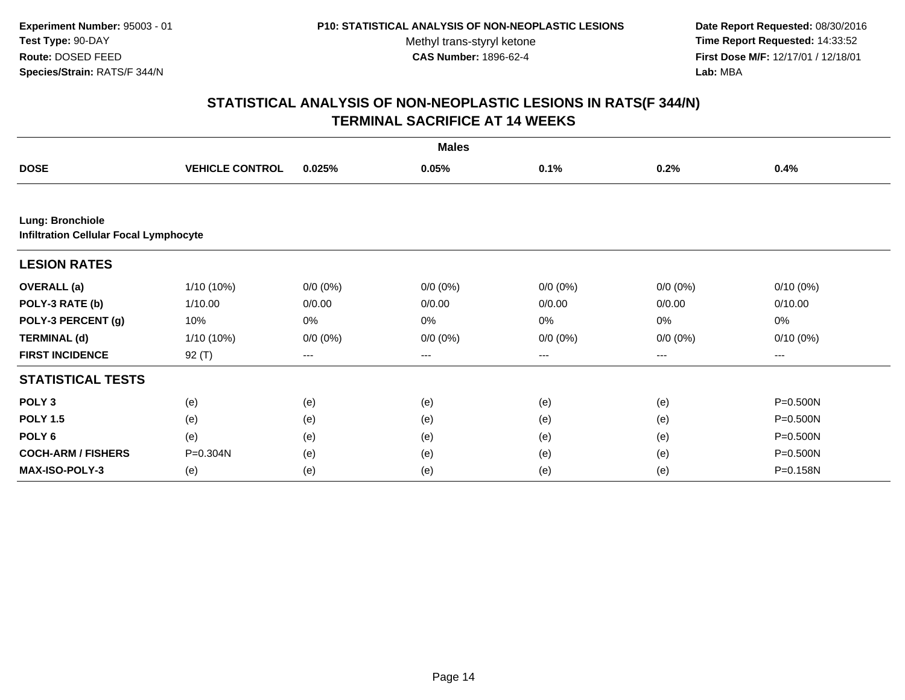**Date Report Requested:** 08/30/2016 **Time Report Requested:** 14:33:52 **First Dose M/F:** 12/17/01 / 12/18/01<br>**Lab:** MBA **Lab:** MBA

|                                                                          | <b>Males</b>           |             |             |             |             |             |  |  |  |
|--------------------------------------------------------------------------|------------------------|-------------|-------------|-------------|-------------|-------------|--|--|--|
| <b>DOSE</b>                                                              | <b>VEHICLE CONTROL</b> | 0.025%      | 0.05%       | 0.1%        | 0.2%        | 0.4%        |  |  |  |
|                                                                          |                        |             |             |             |             |             |  |  |  |
| <b>Lung: Bronchiole</b><br><b>Infiltration Cellular Focal Lymphocyte</b> |                        |             |             |             |             |             |  |  |  |
| <b>LESION RATES</b>                                                      |                        |             |             |             |             |             |  |  |  |
| <b>OVERALL</b> (a)                                                       | 1/10 (10%)             | $0/0 (0\%)$ | $0/0 (0\%)$ | $0/0 (0\%)$ | $0/0 (0\%)$ | $0/10(0\%)$ |  |  |  |
| POLY-3 RATE (b)                                                          | 1/10.00                | 0/0.00      | 0/0.00      | 0/0.00      | 0/0.00      | 0/10.00     |  |  |  |
| POLY-3 PERCENT (g)                                                       | 10%                    | 0%          | 0%          | 0%          | $0\%$       | 0%          |  |  |  |
| <b>TERMINAL (d)</b>                                                      | 1/10 (10%)             | $0/0 (0\%)$ | $0/0 (0\%)$ | $0/0 (0\%)$ | $0/0 (0\%)$ | $0/10(0\%)$ |  |  |  |
| <b>FIRST INCIDENCE</b>                                                   | 92 (T)                 | ---         | ---         | $\cdots$    | ---         | $---$       |  |  |  |
| <b>STATISTICAL TESTS</b>                                                 |                        |             |             |             |             |             |  |  |  |
| POLY <sub>3</sub>                                                        | (e)                    | (e)         | (e)         | (e)         | (e)         | P=0.500N    |  |  |  |
| <b>POLY 1.5</b>                                                          | (e)                    | (e)         | (e)         | (e)         | (e)         | P=0.500N    |  |  |  |
| POLY <sub>6</sub>                                                        | (e)                    | (e)         | (e)         | (e)         | (e)         | P=0.500N    |  |  |  |
| <b>COCH-ARM / FISHERS</b>                                                | P=0.304N               | (e)         | (e)         | (e)         | (e)         | P=0.500N    |  |  |  |
| <b>MAX-ISO-POLY-3</b>                                                    | (e)                    | (e)         | (e)         | (e)         | (e)         | P=0.158N    |  |  |  |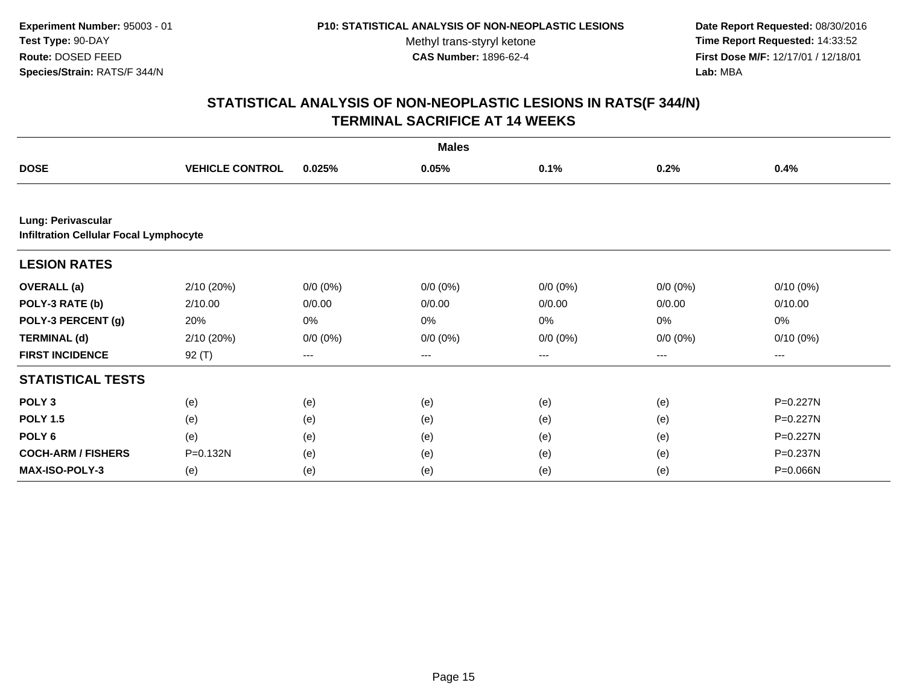**Date Report Requested:** 08/30/2016 **Time Report Requested:** 14:33:52 **First Dose M/F:** 12/17/01 / 12/18/01<br>**Lab:** MBA **Lab:** MBA

| <b>Males</b>                                                        |                        |             |             |             |             |              |  |  |
|---------------------------------------------------------------------|------------------------|-------------|-------------|-------------|-------------|--------------|--|--|
| <b>DOSE</b>                                                         | <b>VEHICLE CONTROL</b> | 0.025%      | 0.05%       | 0.1%        | 0.2%        | 0.4%         |  |  |
|                                                                     |                        |             |             |             |             |              |  |  |
| Lung: Perivascular<br><b>Infiltration Cellular Focal Lymphocyte</b> |                        |             |             |             |             |              |  |  |
| <b>LESION RATES</b>                                                 |                        |             |             |             |             |              |  |  |
| <b>OVERALL</b> (a)                                                  | 2/10 (20%)             | $0/0 (0\%)$ | $0/0 (0\%)$ | $0/0 (0\%)$ | $0/0 (0\%)$ | $0/10(0\%)$  |  |  |
| POLY-3 RATE (b)                                                     | 2/10.00                | 0/0.00      | 0/0.00      | 0/0.00      | 0/0.00      | 0/10.00      |  |  |
| POLY-3 PERCENT (g)                                                  | 20%                    | 0%          | 0%          | 0%          | $0\%$       | 0%           |  |  |
| <b>TERMINAL (d)</b>                                                 | 2/10 (20%)             | $0/0 (0\%)$ | $0/0 (0\%)$ | $0/0 (0\%)$ | $0/0 (0\%)$ | $0/10(0\%)$  |  |  |
| <b>FIRST INCIDENCE</b>                                              | 92 (T)                 | ---         | ---         | $---$       | ---         | $---$        |  |  |
| <b>STATISTICAL TESTS</b>                                            |                        |             |             |             |             |              |  |  |
| POLY <sub>3</sub>                                                   | (e)                    | (e)         | (e)         | (e)         | (e)         | $P = 0.227N$ |  |  |
| <b>POLY 1.5</b>                                                     | (e)                    | (e)         | (e)         | (e)         | (e)         | P=0.227N     |  |  |
| POLY <sub>6</sub>                                                   | (e)                    | (e)         | (e)         | (e)         | (e)         | $P = 0.227N$ |  |  |
| <b>COCH-ARM / FISHERS</b>                                           | P=0.132N               | (e)         | (e)         | (e)         | (e)         | P=0.237N     |  |  |
| <b>MAX-ISO-POLY-3</b>                                               | (e)                    | (e)         | (e)         | (e)         | (e)         | P=0.066N     |  |  |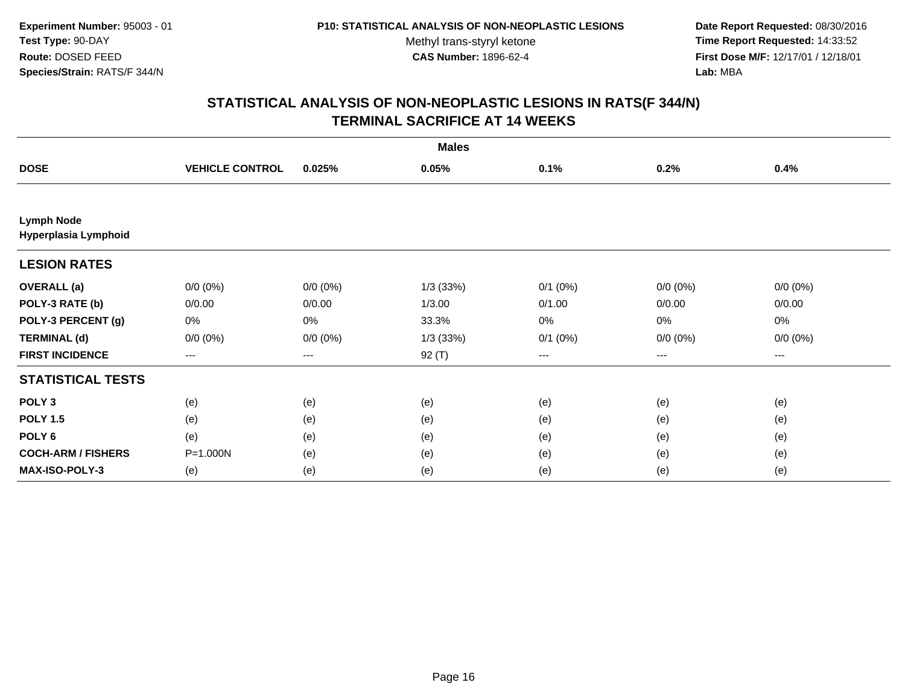**Date Report Requested:** 08/30/2016 **Time Report Requested:** 14:33:52 **First Dose M/F:** 12/17/01 / 12/18/01<br>**Lab:** MBA **Lab:** MBA

| <b>Males</b>                              |                        |             |             |              |                        |             |  |
|-------------------------------------------|------------------------|-------------|-------------|--------------|------------------------|-------------|--|
| <b>DOSE</b>                               | <b>VEHICLE CONTROL</b> | 0.025%      | 0.05%       | 0.1%         | 0.2%                   | 0.4%        |  |
|                                           |                        |             |             |              |                        |             |  |
| <b>Lymph Node</b><br>Hyperplasia Lymphoid |                        |             |             |              |                        |             |  |
| <b>LESION RATES</b>                       |                        |             |             |              |                        |             |  |
| <b>OVERALL</b> (a)                        | $0/0 (0\%)$            | $0/0 (0\%)$ | $1/3$ (33%) | $0/1$ $(0%)$ | $0/0 (0\%)$            | $0/0 (0\%)$ |  |
| POLY-3 RATE (b)                           | 0/0.00                 | 0/0.00      | 1/3.00      | 0/1.00       | 0/0.00                 | 0/0.00      |  |
| POLY-3 PERCENT (g)                        | 0%                     | 0%          | 33.3%       | 0%           | $0\%$                  | 0%          |  |
| <b>TERMINAL (d)</b>                       | $0/0 (0\%)$            | $0/0 (0\%)$ | $1/3$ (33%) | $0/1$ $(0%)$ | $0/0 (0\%)$            | $0/0 (0\%)$ |  |
| <b>FIRST INCIDENCE</b>                    | $--$                   | $---$       | 92 (T)      | $--$         | $\qquad \qquad \cdots$ | ---         |  |
| <b>STATISTICAL TESTS</b>                  |                        |             |             |              |                        |             |  |
| POLY <sub>3</sub>                         | (e)                    | (e)         | (e)         | (e)          | (e)                    | (e)         |  |
| <b>POLY 1.5</b>                           | (e)                    | (e)         | (e)         | (e)          | (e)                    | (e)         |  |
| POLY <sub>6</sub>                         | (e)                    | (e)         | (e)         | (e)          | (e)                    | (e)         |  |
| <b>COCH-ARM / FISHERS</b>                 | P=1.000N               | (e)         | (e)         | (e)          | (e)                    | (e)         |  |
| MAX-ISO-POLY-3                            | (e)                    | (e)         | (e)         | (e)          | (e)                    | (e)         |  |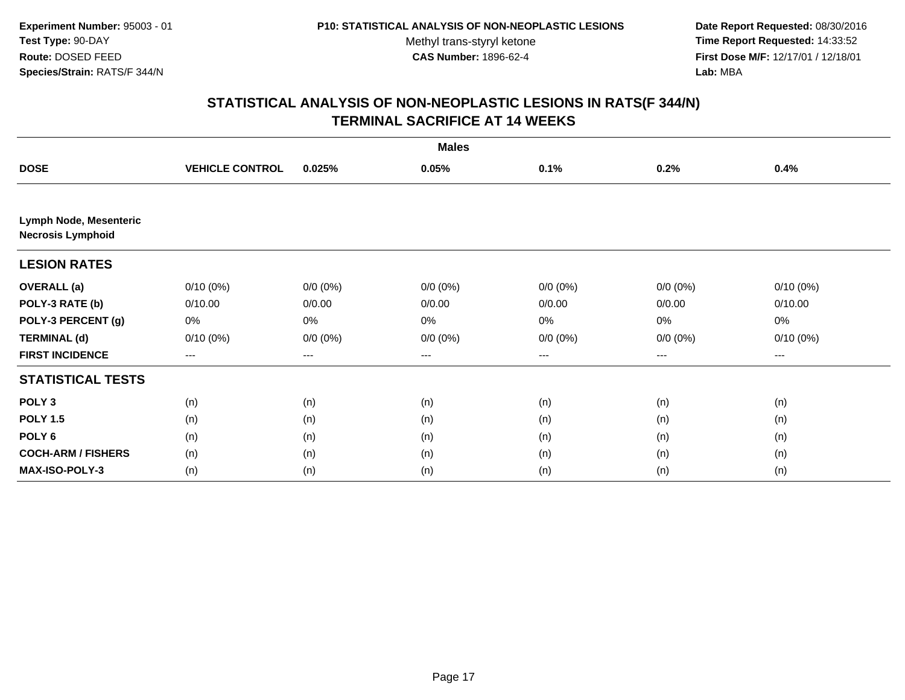**Date Report Requested:** 08/30/2016 **Time Report Requested:** 14:33:52 **First Dose M/F:** 12/17/01 / 12/18/01<br>**Lab:** MBA **Lab:** MBA

| <b>Males</b>                                       |                        |             |             |             |             |             |  |  |
|----------------------------------------------------|------------------------|-------------|-------------|-------------|-------------|-------------|--|--|
| <b>DOSE</b>                                        | <b>VEHICLE CONTROL</b> | 0.025%      | 0.05%       | 0.1%        | 0.2%        | 0.4%        |  |  |
|                                                    |                        |             |             |             |             |             |  |  |
| Lymph Node, Mesenteric<br><b>Necrosis Lymphoid</b> |                        |             |             |             |             |             |  |  |
| <b>LESION RATES</b>                                |                        |             |             |             |             |             |  |  |
| <b>OVERALL</b> (a)                                 | $0/10(0\%)$            | $0/0 (0\%)$ | $0/0 (0\%)$ | $0/0 (0\%)$ | $0/0 (0\%)$ | $0/10(0\%)$ |  |  |
| POLY-3 RATE (b)                                    | 0/10.00                | 0/0.00      | 0/0.00      | 0/0.00      | 0/0.00      | 0/10.00     |  |  |
| POLY-3 PERCENT (g)                                 | 0%                     | 0%          | 0%          | 0%          | 0%          | 0%          |  |  |
| <b>TERMINAL (d)</b>                                | 0/10(0%)               | $0/0 (0\%)$ | $0/0 (0\%)$ | $0/0 (0\%)$ | $0/0 (0\%)$ | $0/10(0\%)$ |  |  |
| <b>FIRST INCIDENCE</b>                             | $\qquad \qquad -$      | ---         | ---         | $--$        | ---         | ---         |  |  |
| <b>STATISTICAL TESTS</b>                           |                        |             |             |             |             |             |  |  |
| POLY <sub>3</sub>                                  | (n)                    | (n)         | (n)         | (n)         | (n)         | (n)         |  |  |
| <b>POLY 1.5</b>                                    | (n)                    | (n)         | (n)         | (n)         | (n)         | (n)         |  |  |
| POLY <sub>6</sub>                                  | (n)                    | (n)         | (n)         | (n)         | (n)         | (n)         |  |  |
| <b>COCH-ARM / FISHERS</b>                          | (n)                    | (n)         | (n)         | (n)         | (n)         | (n)         |  |  |
| MAX-ISO-POLY-3                                     | (n)                    | (n)         | (n)         | (n)         | (n)         | (n)         |  |  |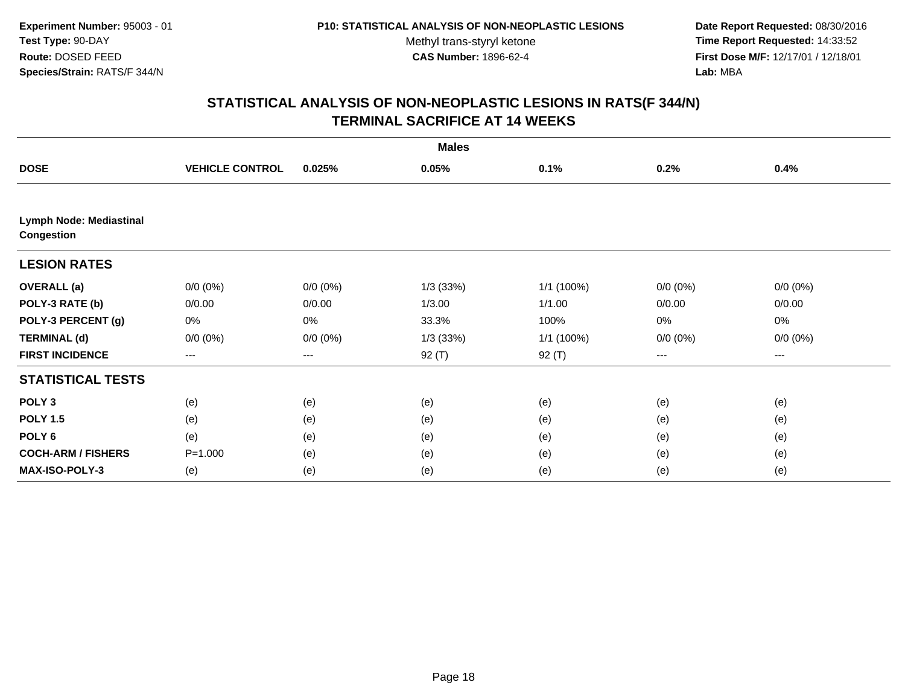**Date Report Requested:** 08/30/2016 **Time Report Requested:** 14:33:52 **First Dose M/F:** 12/17/01 / 12/18/01<br>**Lab:** MBA **Lab:** MBA

| <b>Males</b>                                        |                        |             |             |            |             |             |  |  |
|-----------------------------------------------------|------------------------|-------------|-------------|------------|-------------|-------------|--|--|
| <b>DOSE</b>                                         | <b>VEHICLE CONTROL</b> | 0.025%      | 0.05%       | 0.1%       | 0.2%        | 0.4%        |  |  |
|                                                     |                        |             |             |            |             |             |  |  |
| <b>Lymph Node: Mediastinal</b><br><b>Congestion</b> |                        |             |             |            |             |             |  |  |
| <b>LESION RATES</b>                                 |                        |             |             |            |             |             |  |  |
| <b>OVERALL</b> (a)                                  | $0/0 (0\%)$            | $0/0 (0\%)$ | $1/3$ (33%) | 1/1 (100%) | $0/0 (0\%)$ | $0/0 (0\%)$ |  |  |
| POLY-3 RATE (b)                                     | 0/0.00                 | 0/0.00      | 1/3.00      | 1/1.00     | 0/0.00      | 0/0.00      |  |  |
| POLY-3 PERCENT (g)                                  | 0%                     | 0%          | 33.3%       | 100%       | 0%          | 0%          |  |  |
| <b>TERMINAL (d)</b>                                 | $0/0 (0\%)$            | $0/0 (0\%)$ | $1/3$ (33%) | 1/1 (100%) | $0/0 (0\%)$ | $0/0 (0\%)$ |  |  |
| <b>FIRST INCIDENCE</b>                              | $--$                   | ---         | 92 (T)      | $92($ T)   | $--$        | ---         |  |  |
| <b>STATISTICAL TESTS</b>                            |                        |             |             |            |             |             |  |  |
| POLY <sub>3</sub>                                   | (e)                    | (e)         | (e)         | (e)        | (e)         | (e)         |  |  |
| <b>POLY 1.5</b>                                     | (e)                    | (e)         | (e)         | (e)        | (e)         | (e)         |  |  |
| POLY <sub>6</sub>                                   | (e)                    | (e)         | (e)         | (e)        | (e)         | (e)         |  |  |
| <b>COCH-ARM / FISHERS</b>                           | $P = 1.000$            | (e)         | (e)         | (e)        | (e)         | (e)         |  |  |
| MAX-ISO-POLY-3                                      | (e)                    | (e)         | (e)         | (e)        | (e)         | (e)         |  |  |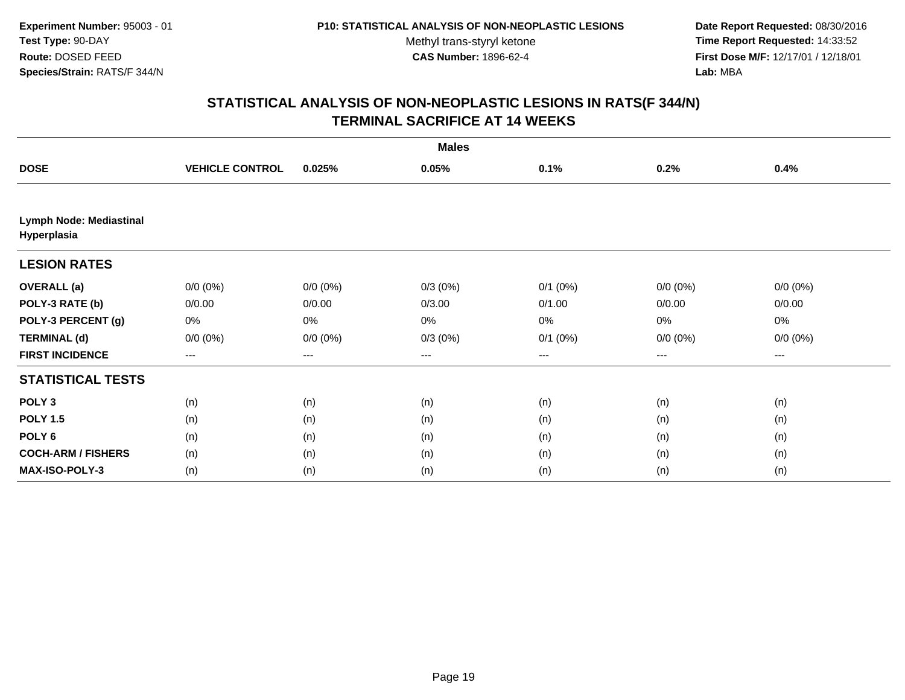**Date Report Requested:** 08/30/2016 **Time Report Requested:** 14:33:52 **First Dose M/F:** 12/17/01 / 12/18/01<br>**Lab:** MBA **Lab:** MBA

| <b>Males</b>                           |                        |             |            |              |             |             |  |  |
|----------------------------------------|------------------------|-------------|------------|--------------|-------------|-------------|--|--|
| <b>DOSE</b>                            | <b>VEHICLE CONTROL</b> | 0.025%      | 0.05%      | 0.1%         | 0.2%        | 0.4%        |  |  |
|                                        |                        |             |            |              |             |             |  |  |
| Lymph Node: Mediastinal<br>Hyperplasia |                        |             |            |              |             |             |  |  |
| <b>LESION RATES</b>                    |                        |             |            |              |             |             |  |  |
| <b>OVERALL</b> (a)                     | $0/0 (0\%)$            | $0/0 (0\%)$ | $0/3(0\%)$ | $0/1$ (0%)   | $0/0 (0\%)$ | $0/0 (0\%)$ |  |  |
| POLY-3 RATE (b)                        | 0/0.00                 | 0/0.00      | 0/3.00     | 0/1.00       | 0/0.00      | 0/0.00      |  |  |
| POLY-3 PERCENT (g)                     | 0%                     | 0%          | 0%         | 0%           | 0%          | 0%          |  |  |
| <b>TERMINAL (d)</b>                    | $0/0 (0\%)$            | $0/0 (0\%)$ | $0/3(0\%)$ | $0/1$ $(0%)$ | $0/0 (0\%)$ | $0/0 (0\%)$ |  |  |
| <b>FIRST INCIDENCE</b>                 | ---                    | $---$       | ---        | $---$        | ---         | ---         |  |  |
| <b>STATISTICAL TESTS</b>               |                        |             |            |              |             |             |  |  |
| POLY <sub>3</sub>                      | (n)                    | (n)         | (n)        | (n)          | (n)         | (n)         |  |  |
| <b>POLY 1.5</b>                        | (n)                    | (n)         | (n)        | (n)          | (n)         | (n)         |  |  |
| POLY <sub>6</sub>                      | (n)                    | (n)         | (n)        | (n)          | (n)         | (n)         |  |  |
| <b>COCH-ARM / FISHERS</b>              | (n)                    | (n)         | (n)        | (n)          | (n)         | (n)         |  |  |
| <b>MAX-ISO-POLY-3</b>                  | (n)                    | (n)         | (n)        | (n)          | (n)         | (n)         |  |  |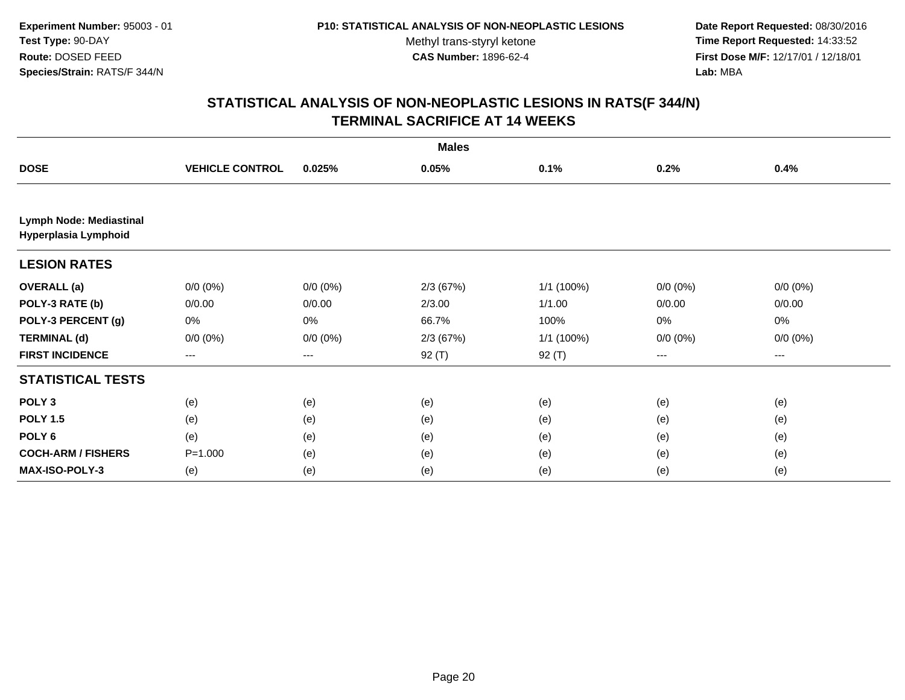**Date Report Requested:** 08/30/2016 **Time Report Requested:** 14:33:52 **First Dose M/F:** 12/17/01 / 12/18/01<br>**Lab:** MBA **Lab:** MBA

|                                                 |                        |             | <b>Males</b> |            |             |             |
|-------------------------------------------------|------------------------|-------------|--------------|------------|-------------|-------------|
| <b>DOSE</b>                                     | <b>VEHICLE CONTROL</b> | 0.025%      | 0.05%        | 0.1%       | 0.2%        | 0.4%        |
|                                                 |                        |             |              |            |             |             |
| Lymph Node: Mediastinal<br>Hyperplasia Lymphoid |                        |             |              |            |             |             |
| <b>LESION RATES</b>                             |                        |             |              |            |             |             |
| <b>OVERALL</b> (a)                              | $0/0 (0\%)$            | $0/0 (0\%)$ | 2/3(67%)     | 1/1 (100%) | $0/0 (0\%)$ | $0/0 (0\%)$ |
| POLY-3 RATE (b)                                 | 0/0.00                 | 0/0.00      | 2/3.00       | 1/1.00     | 0/0.00      | 0/0.00      |
| POLY-3 PERCENT (g)                              | 0%                     | 0%          | 66.7%        | 100%       | $0\%$       | 0%          |
| <b>TERMINAL (d)</b>                             | $0/0 (0\%)$            | $0/0 (0\%)$ | 2/3(67%)     | 1/1 (100%) | $0/0 (0\%)$ | $0/0 (0\%)$ |
| <b>FIRST INCIDENCE</b>                          | $\qquad \qquad -$      | ---         | $92($ T)     | $92($ T)   | $\cdots$    | $---$       |
| <b>STATISTICAL TESTS</b>                        |                        |             |              |            |             |             |
| POLY <sub>3</sub>                               | (e)                    | (e)         | (e)          | (e)        | (e)         | (e)         |
| <b>POLY 1.5</b>                                 | (e)                    | (e)         | (e)          | (e)        | (e)         | (e)         |
| POLY <sub>6</sub>                               | (e)                    | (e)         | (e)          | (e)        | (e)         | (e)         |
| <b>COCH-ARM / FISHERS</b>                       | $P = 1.000$            | (e)         | (e)          | (e)        | (e)         | (e)         |
| <b>MAX-ISO-POLY-3</b>                           | (e)                    | (e)         | (e)          | (e)        | (e)         | (e)         |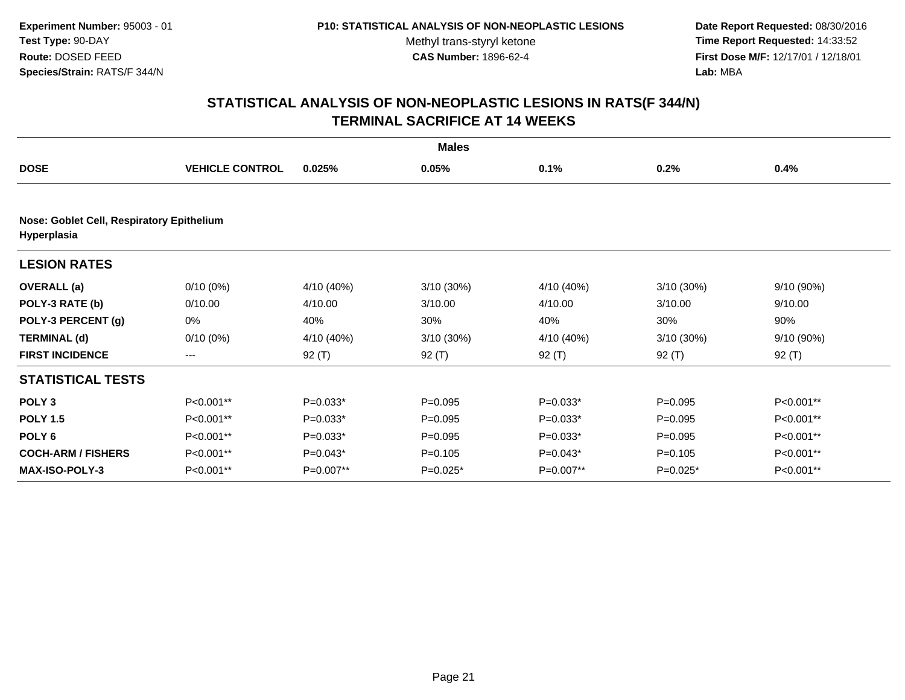**Date Report Requested:** 08/30/2016 **Time Report Requested:** 14:33:52 **First Dose M/F:** 12/17/01 / 12/18/01<br>**Lab:** MBA **Lab:** MBA

| <b>Males</b>                                             |                        |            |              |            |              |            |  |  |
|----------------------------------------------------------|------------------------|------------|--------------|------------|--------------|------------|--|--|
| <b>DOSE</b>                                              | <b>VEHICLE CONTROL</b> | 0.025%     | 0.05%        | 0.1%       | 0.2%         | 0.4%       |  |  |
|                                                          |                        |            |              |            |              |            |  |  |
| Nose: Goblet Cell, Respiratory Epithelium<br>Hyperplasia |                        |            |              |            |              |            |  |  |
| <b>LESION RATES</b>                                      |                        |            |              |            |              |            |  |  |
| <b>OVERALL</b> (a)                                       | $0/10(0\%)$            | 4/10 (40%) | $3/10(30\%)$ | 4/10 (40%) | $3/10(30\%)$ | 9/10 (90%) |  |  |
| POLY-3 RATE (b)                                          | 0/10.00                | 4/10.00    | 3/10.00      | 4/10.00    | 3/10.00      | 9/10.00    |  |  |
| POLY-3 PERCENT (g)                                       | 0%                     | 40%        | 30%          | 40%        | 30%          | 90%        |  |  |
| <b>TERMINAL (d)</b>                                      | $0/10(0\%)$            | 4/10 (40%) | $3/10(30\%)$ | 4/10 (40%) | $3/10(30\%)$ | 9/10 (90%) |  |  |
| <b>FIRST INCIDENCE</b>                                   | $\qquad \qquad -$      | $92($ T)   | $92($ T)     | $92($ T)   | $92($ T)     | $92($ T)   |  |  |
| <b>STATISTICAL TESTS</b>                                 |                        |            |              |            |              |            |  |  |
| POLY <sub>3</sub>                                        | P<0.001**              | $P=0.033*$ | $P=0.095$    | $P=0.033*$ | $P = 0.095$  | P<0.001**  |  |  |
| <b>POLY 1.5</b>                                          | P<0.001**              | $P=0.033*$ | $P=0.095$    | $P=0.033*$ | $P = 0.095$  | P<0.001**  |  |  |
| POLY <sub>6</sub>                                        | P<0.001**              | $P=0.033*$ | $P=0.095$    | $P=0.033*$ | $P=0.095$    | P<0.001**  |  |  |
| <b>COCH-ARM / FISHERS</b>                                | P<0.001**              | $P=0.043*$ | $P=0.105$    | $P=0.043*$ | $P = 0.105$  | P<0.001**  |  |  |
| <b>MAX-ISO-POLY-3</b>                                    | P<0.001**              | P=0.007**  | $P=0.025*$   | P=0.007**  | $P=0.025*$   | P<0.001**  |  |  |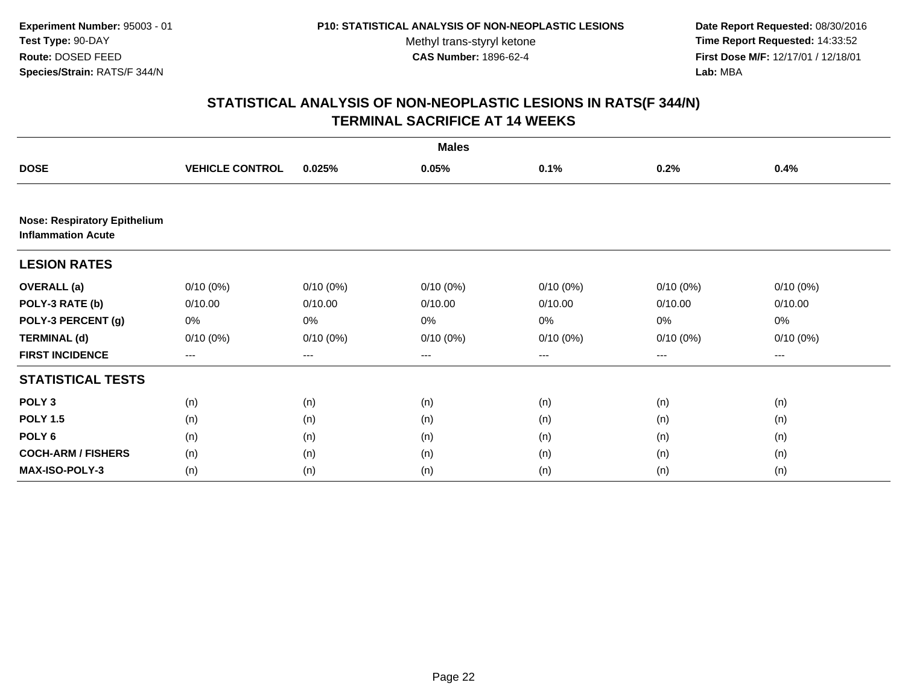**Date Report Requested:** 08/30/2016 **Time Report Requested:** 14:33:52 **First Dose M/F:** 12/17/01 / 12/18/01<br>Lab: MBA **Lab:** MBA

| <b>Males</b>                                                     |                        |             |             |             |             |             |  |  |
|------------------------------------------------------------------|------------------------|-------------|-------------|-------------|-------------|-------------|--|--|
| <b>DOSE</b>                                                      | <b>VEHICLE CONTROL</b> | 0.025%      | 0.05%       | 0.1%        | 0.2%        | 0.4%        |  |  |
|                                                                  |                        |             |             |             |             |             |  |  |
| <b>Nose: Respiratory Epithelium</b><br><b>Inflammation Acute</b> |                        |             |             |             |             |             |  |  |
| <b>LESION RATES</b>                                              |                        |             |             |             |             |             |  |  |
| <b>OVERALL</b> (a)                                               | $0/10(0\%)$            | $0/10(0\%)$ | $0/10(0\%)$ | $0/10(0\%)$ | $0/10(0\%)$ | $0/10(0\%)$ |  |  |
| POLY-3 RATE (b)                                                  | 0/10.00                | 0/10.00     | 0/10.00     | 0/10.00     | 0/10.00     | 0/10.00     |  |  |
| POLY-3 PERCENT (g)                                               | 0%                     | 0%          | 0%          | 0%          | 0%          | 0%          |  |  |
| <b>TERMINAL (d)</b>                                              | $0/10(0\%)$            | $0/10(0\%)$ | $0/10(0\%)$ | $0/10(0\%)$ | 0/10(0%)    | $0/10(0\%)$ |  |  |
| <b>FIRST INCIDENCE</b>                                           | ---                    | ---         | ---         | ---         | ---         | ---         |  |  |
| <b>STATISTICAL TESTS</b>                                         |                        |             |             |             |             |             |  |  |
| POLY <sub>3</sub>                                                | (n)                    | (n)         | (n)         | (n)         | (n)         | (n)         |  |  |
| <b>POLY 1.5</b>                                                  | (n)                    | (n)         | (n)         | (n)         | (n)         | (n)         |  |  |
| POLY <sub>6</sub>                                                | (n)                    | (n)         | (n)         | (n)         | (n)         | (n)         |  |  |
| <b>COCH-ARM / FISHERS</b>                                        | (n)                    | (n)         | (n)         | (n)         | (n)         | (n)         |  |  |
| <b>MAX-ISO-POLY-3</b>                                            | (n)                    | (n)         | (n)         | (n)         | (n)         | (n)         |  |  |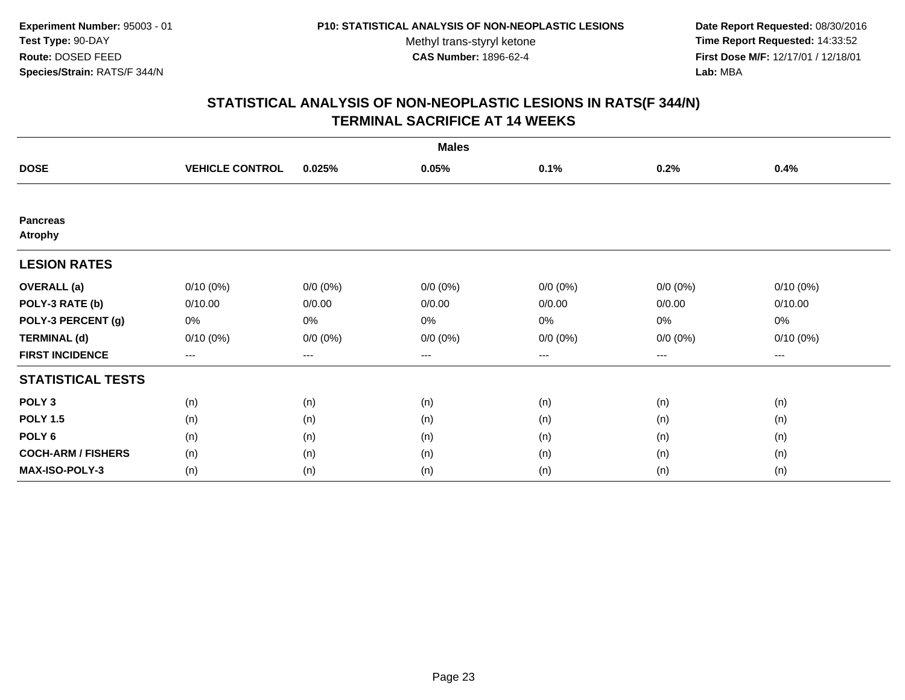**Date Report Requested:** 08/30/2016 **Time Report Requested:** 14:33:52 **First Dose M/F:** 12/17/01 / 12/18/01<br>**Lab:** MBA **Lab:** MBA

| <b>Males</b>                      |                        |                   |             |             |             |             |  |  |
|-----------------------------------|------------------------|-------------------|-------------|-------------|-------------|-------------|--|--|
| <b>DOSE</b>                       | <b>VEHICLE CONTROL</b> | 0.025%            | 0.05%       | 0.1%        | 0.2%        | 0.4%        |  |  |
|                                   |                        |                   |             |             |             |             |  |  |
| <b>Pancreas</b><br><b>Atrophy</b> |                        |                   |             |             |             |             |  |  |
| <b>LESION RATES</b>               |                        |                   |             |             |             |             |  |  |
| <b>OVERALL</b> (a)                | $0/10(0\%)$            | $0/0 (0\%)$       | $0/0 (0\%)$ | $0/0 (0\%)$ | $0/0 (0\%)$ | $0/10(0\%)$ |  |  |
| POLY-3 RATE (b)                   | 0/10.00                | 0/0.00            | 0/0.00      | 0/0.00      | 0/0.00      | 0/10.00     |  |  |
| POLY-3 PERCENT (g)                | 0%                     | 0%                | 0%          | 0%          | 0%          | 0%          |  |  |
| <b>TERMINAL (d)</b>               | $0/10(0\%)$            | $0/0 (0\%)$       | $0/0 (0\%)$ | $0/0 (0\%)$ | $0/0 (0\%)$ | $0/10(0\%)$ |  |  |
| <b>FIRST INCIDENCE</b>            | ---                    | $\qquad \qquad -$ | ---         | ---         | $---$       | ---         |  |  |
| <b>STATISTICAL TESTS</b>          |                        |                   |             |             |             |             |  |  |
| POLY <sub>3</sub>                 | (n)                    | (n)               | (n)         | (n)         | (n)         | (n)         |  |  |
| <b>POLY 1.5</b>                   | (n)                    | (n)               | (n)         | (n)         | (n)         | (n)         |  |  |
| POLY <sub>6</sub>                 | (n)                    | (n)               | (n)         | (n)         | (n)         | (n)         |  |  |
| <b>COCH-ARM / FISHERS</b>         | (n)                    | (n)               | (n)         | (n)         | (n)         | (n)         |  |  |
| <b>MAX-ISO-POLY-3</b>             | (n)                    | (n)               | (n)         | (n)         | (n)         | (n)         |  |  |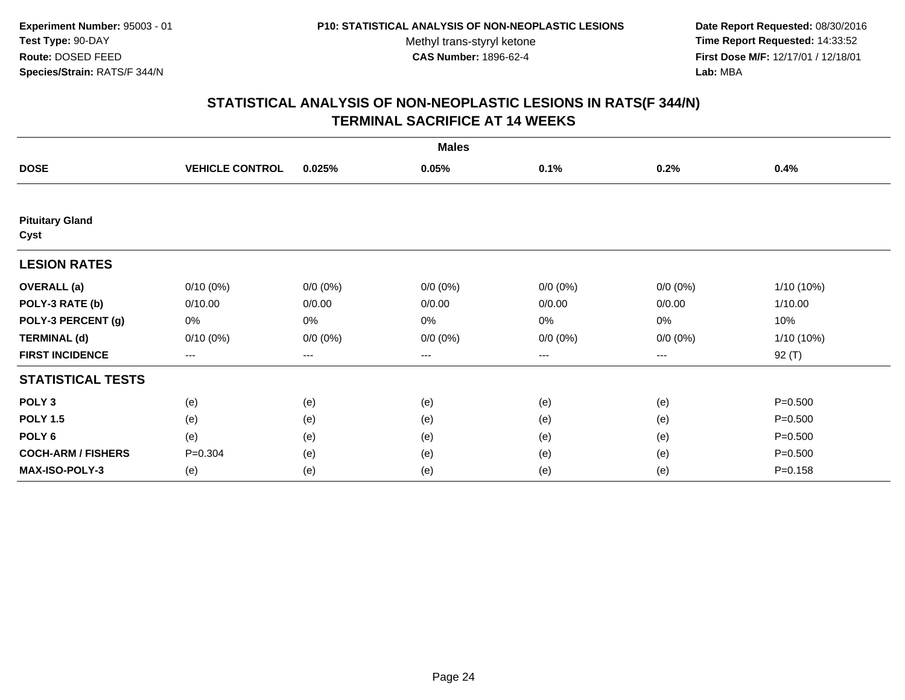**Date Report Requested:** 08/30/2016 **Time Report Requested:** 14:33:52 **First Dose M/F:** 12/17/01 / 12/18/01<br>**Lab:** MBA **Lab:** MBA

| <b>Males</b>                   |                        |             |             |             |             |              |  |  |
|--------------------------------|------------------------|-------------|-------------|-------------|-------------|--------------|--|--|
| <b>DOSE</b>                    | <b>VEHICLE CONTROL</b> | 0.025%      | 0.05%       | 0.1%        | 0.2%        | 0.4%         |  |  |
|                                |                        |             |             |             |             |              |  |  |
| <b>Pituitary Gland</b><br>Cyst |                        |             |             |             |             |              |  |  |
| <b>LESION RATES</b>            |                        |             |             |             |             |              |  |  |
| <b>OVERALL</b> (a)             | $0/10(0\%)$            | $0/0 (0\%)$ | $0/0 (0\%)$ | $0/0 (0\%)$ | $0/0 (0\%)$ | 1/10 (10%)   |  |  |
| POLY-3 RATE (b)                | 0/10.00                | 0/0.00      | 0/0.00      | 0/0.00      | 0/0.00      | 1/10.00      |  |  |
| POLY-3 PERCENT (g)             | 0%                     | 0%          | 0%          | 0%          | 0%          | 10%          |  |  |
| <b>TERMINAL (d)</b>            | $0/10(0\%)$            | $0/0 (0\%)$ | $0/0 (0\%)$ | $0/0 (0\%)$ | $0/0 (0\%)$ | $1/10(10\%)$ |  |  |
| <b>FIRST INCIDENCE</b>         | ---                    | $---$       | ---         | ---         | $--$        | $92($ T)     |  |  |
| <b>STATISTICAL TESTS</b>       |                        |             |             |             |             |              |  |  |
| POLY <sub>3</sub>              | (e)                    | (e)         | (e)         | (e)         | (e)         | $P = 0.500$  |  |  |
| <b>POLY 1.5</b>                | (e)                    | (e)         | (e)         | (e)         | (e)         | $P = 0.500$  |  |  |
| POLY <sub>6</sub>              | (e)                    | (e)         | (e)         | (e)         | (e)         | $P = 0.500$  |  |  |
| <b>COCH-ARM / FISHERS</b>      | $P = 0.304$            | (e)         | (e)         | (e)         | (e)         | $P = 0.500$  |  |  |
| MAX-ISO-POLY-3                 | (e)                    | (e)         | (e)         | (e)         | (e)         | $P = 0.158$  |  |  |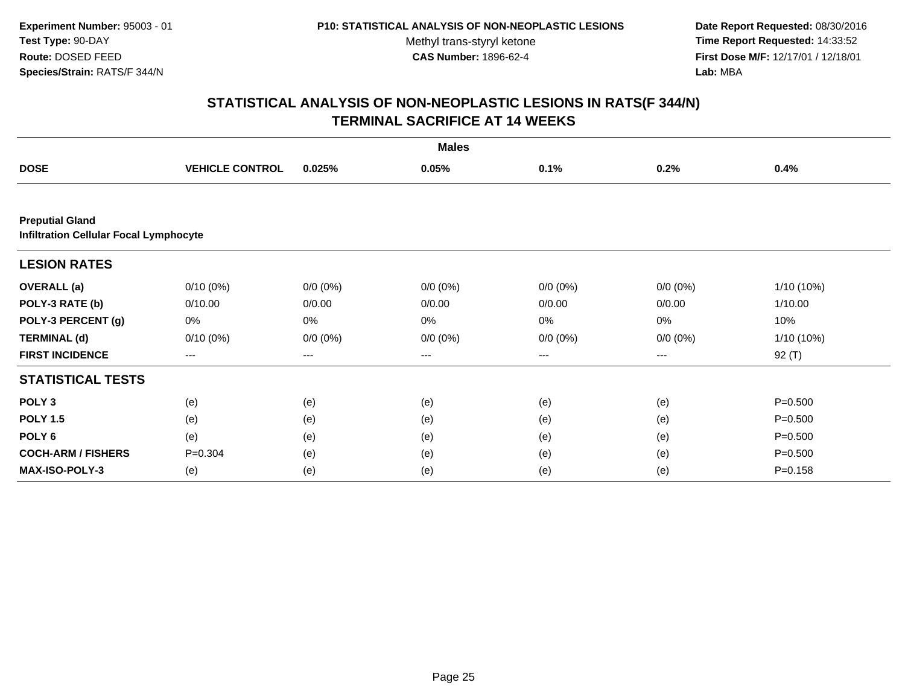**Date Report Requested:** 08/30/2016 **Time Report Requested:** 14:33:52 **First Dose M/F:** 12/17/01 / 12/18/01<br>**Lab:** MBA **Lab:** MBA

| <b>Males</b>                                                            |                        |             |                        |             |             |              |  |  |
|-------------------------------------------------------------------------|------------------------|-------------|------------------------|-------------|-------------|--------------|--|--|
| <b>DOSE</b>                                                             | <b>VEHICLE CONTROL</b> | 0.025%      | 0.05%                  | 0.1%        | 0.2%        | 0.4%         |  |  |
|                                                                         |                        |             |                        |             |             |              |  |  |
| <b>Preputial Gland</b><br><b>Infiltration Cellular Focal Lymphocyte</b> |                        |             |                        |             |             |              |  |  |
| <b>LESION RATES</b>                                                     |                        |             |                        |             |             |              |  |  |
| <b>OVERALL</b> (a)                                                      | $0/10(0\%)$            | $0/0 (0\%)$ | $0/0 (0\%)$            | $0/0 (0\%)$ | $0/0 (0\%)$ | $1/10(10\%)$ |  |  |
| POLY-3 RATE (b)                                                         | 0/10.00                | 0/0.00      | 0/0.00                 | 0/0.00      | 0/0.00      | 1/10.00      |  |  |
| POLY-3 PERCENT (g)                                                      | 0%                     | 0%          | 0%                     | 0%          | 0%          | 10%          |  |  |
| <b>TERMINAL (d)</b>                                                     | $0/10(0\%)$            | $0/0 (0\%)$ | $0/0 (0\%)$            | $0/0 (0\%)$ | $0/0 (0\%)$ | 1/10 (10%)   |  |  |
| <b>FIRST INCIDENCE</b>                                                  | ---                    | ---         | $\qquad \qquad \cdots$ | ---         | ---         | 92 (T)       |  |  |
| <b>STATISTICAL TESTS</b>                                                |                        |             |                        |             |             |              |  |  |
| POLY <sub>3</sub>                                                       | (e)                    | (e)         | (e)                    | (e)         | (e)         | $P = 0.500$  |  |  |
| <b>POLY 1.5</b>                                                         | (e)                    | (e)         | (e)                    | (e)         | (e)         | $P = 0.500$  |  |  |
| POLY <sub>6</sub>                                                       | (e)                    | (e)         | (e)                    | (e)         | (e)         | $P = 0.500$  |  |  |
| <b>COCH-ARM / FISHERS</b>                                               | $P = 0.304$            | (e)         | (e)                    | (e)         | (e)         | $P = 0.500$  |  |  |
| MAX-ISO-POLY-3                                                          | (e)                    | (e)         | (e)                    | (e)         | (e)         | $P = 0.158$  |  |  |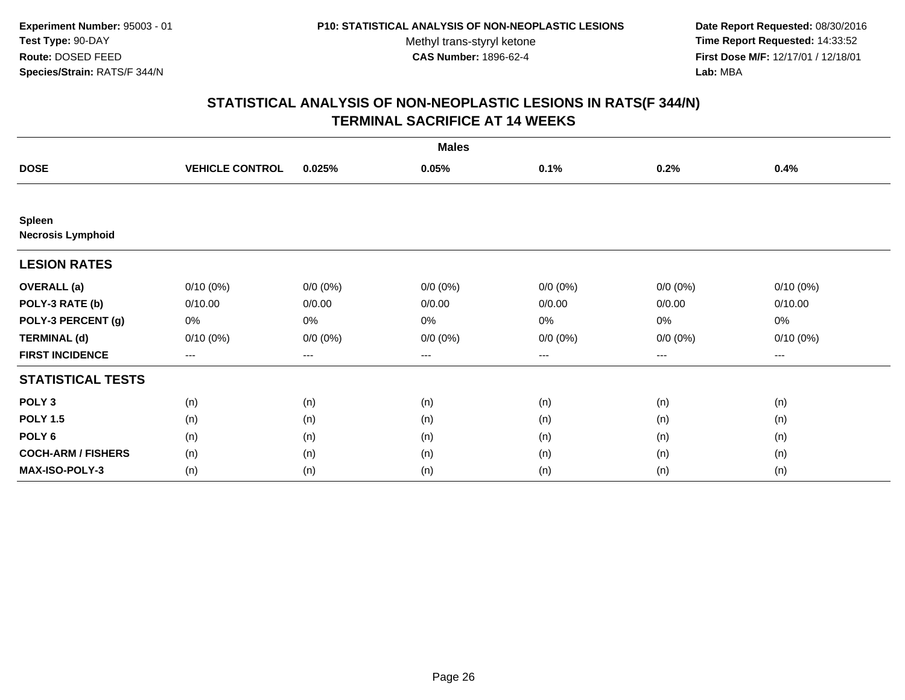**Date Report Requested:** 08/30/2016 **Time Report Requested:** 14:33:52 **First Dose M/F:** 12/17/01 / 12/18/01<br>**Lab:** MBA **Lab:** MBA

| <b>Males</b>                              |                        |             |             |                   |             |             |  |
|-------------------------------------------|------------------------|-------------|-------------|-------------------|-------------|-------------|--|
| <b>DOSE</b>                               | <b>VEHICLE CONTROL</b> | 0.025%      | 0.05%       | 0.1%              | 0.2%        | 0.4%        |  |
|                                           |                        |             |             |                   |             |             |  |
| <b>Spleen</b><br><b>Necrosis Lymphoid</b> |                        |             |             |                   |             |             |  |
| <b>LESION RATES</b>                       |                        |             |             |                   |             |             |  |
| <b>OVERALL</b> (a)                        | $0/10(0\%)$            | $0/0 (0\%)$ | $0/0 (0\%)$ | $0/0 (0\%)$       | $0/0 (0\%)$ | $0/10(0\%)$ |  |
| POLY-3 RATE (b)                           | 0/10.00                | 0/0.00      | 0/0.00      | 0/0.00            | 0/0.00      | 0/10.00     |  |
| POLY-3 PERCENT (g)                        | 0%                     | 0%          | 0%          | $0\%$             | $0\%$       | 0%          |  |
| <b>TERMINAL (d)</b>                       | $0/10(0\%)$            | $0/0 (0\%)$ | $0/0 (0\%)$ | $0/0 (0\%)$       | $0/0 (0\%)$ | $0/10(0\%)$ |  |
| <b>FIRST INCIDENCE</b>                    | $\qquad \qquad \cdots$ | $---$       | ---         | $\qquad \qquad -$ | $\cdots$    | $---$       |  |
| <b>STATISTICAL TESTS</b>                  |                        |             |             |                   |             |             |  |
| POLY <sub>3</sub>                         | (n)                    | (n)         | (n)         | (n)               | (n)         | (n)         |  |
| <b>POLY 1.5</b>                           | (n)                    | (n)         | (n)         | (n)               | (n)         | (n)         |  |
| POLY <sub>6</sub>                         | (n)                    | (n)         | (n)         | (n)               | (n)         | (n)         |  |
| <b>COCH-ARM / FISHERS</b>                 | (n)                    | (n)         | (n)         | (n)               | (n)         | (n)         |  |
| MAX-ISO-POLY-3                            | (n)                    | (n)         | (n)         | (n)               | (n)         | (n)         |  |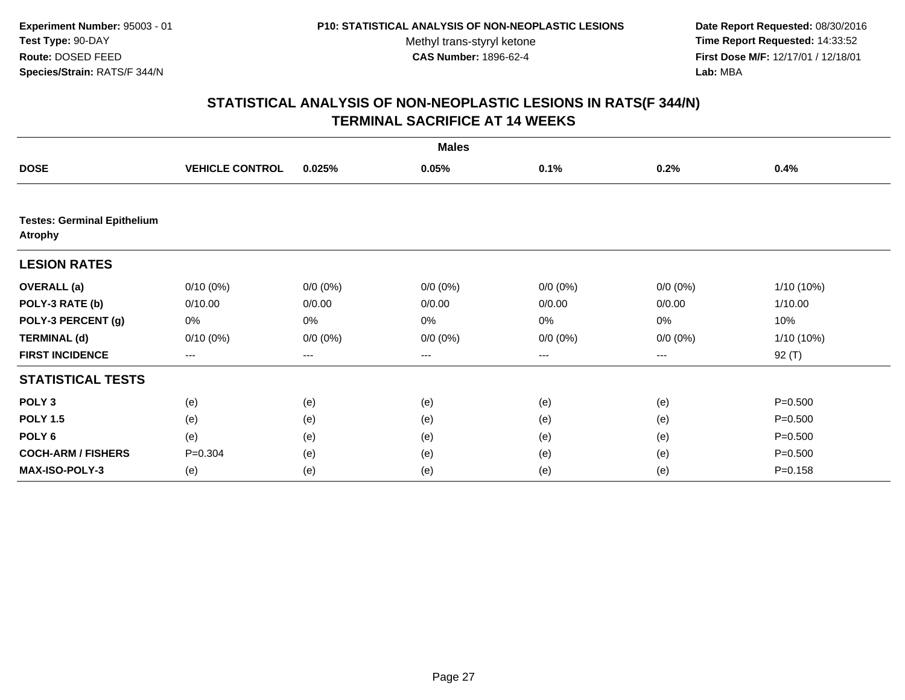**Date Report Requested:** 08/30/2016 **Time Report Requested:** 14:33:52 **First Dose M/F:** 12/17/01 / 12/18/01<br>**Lab:** MBA **Lab:** MBA

| <b>Males</b>                                         |                        |             |             |             |             |             |  |
|------------------------------------------------------|------------------------|-------------|-------------|-------------|-------------|-------------|--|
| <b>DOSE</b>                                          | <b>VEHICLE CONTROL</b> | 0.025%      | 0.05%       | 0.1%        | 0.2%        | 0.4%        |  |
|                                                      |                        |             |             |             |             |             |  |
| <b>Testes: Germinal Epithelium</b><br><b>Atrophy</b> |                        |             |             |             |             |             |  |
| <b>LESION RATES</b>                                  |                        |             |             |             |             |             |  |
| <b>OVERALL</b> (a)                                   | $0/10(0\%)$            | $0/0 (0\%)$ | $0/0 (0\%)$ | $0/0 (0\%)$ | $0/0 (0\%)$ | 1/10 (10%)  |  |
| POLY-3 RATE (b)                                      | 0/10.00                | 0/0.00      | 0/0.00      | 0/0.00      | 0/0.00      | 1/10.00     |  |
| POLY-3 PERCENT (g)                                   | 0%                     | 0%          | 0%          | 0%          | 0%          | 10%         |  |
| <b>TERMINAL (d)</b>                                  | $0/10(0\%)$            | $0/0 (0\%)$ | $0/0 (0\%)$ | $0/0 (0\%)$ | $0/0 (0\%)$ | 1/10 (10%)  |  |
| <b>FIRST INCIDENCE</b>                               | $---$                  | ---         | ---         | $--$        | ---         | $92($ T)    |  |
| <b>STATISTICAL TESTS</b>                             |                        |             |             |             |             |             |  |
| POLY <sub>3</sub>                                    | (e)                    | (e)         | (e)         | (e)         | (e)         | $P = 0.500$ |  |
| <b>POLY 1.5</b>                                      | (e)                    | (e)         | (e)         | (e)         | (e)         | $P = 0.500$ |  |
| POLY <sub>6</sub>                                    | (e)                    | (e)         | (e)         | (e)         | (e)         | $P = 0.500$ |  |
| <b>COCH-ARM / FISHERS</b>                            | $P = 0.304$            | (e)         | (e)         | (e)         | (e)         | $P = 0.500$ |  |
| MAX-ISO-POLY-3                                       | (e)                    | (e)         | (e)         | (e)         | (e)         | $P = 0.158$ |  |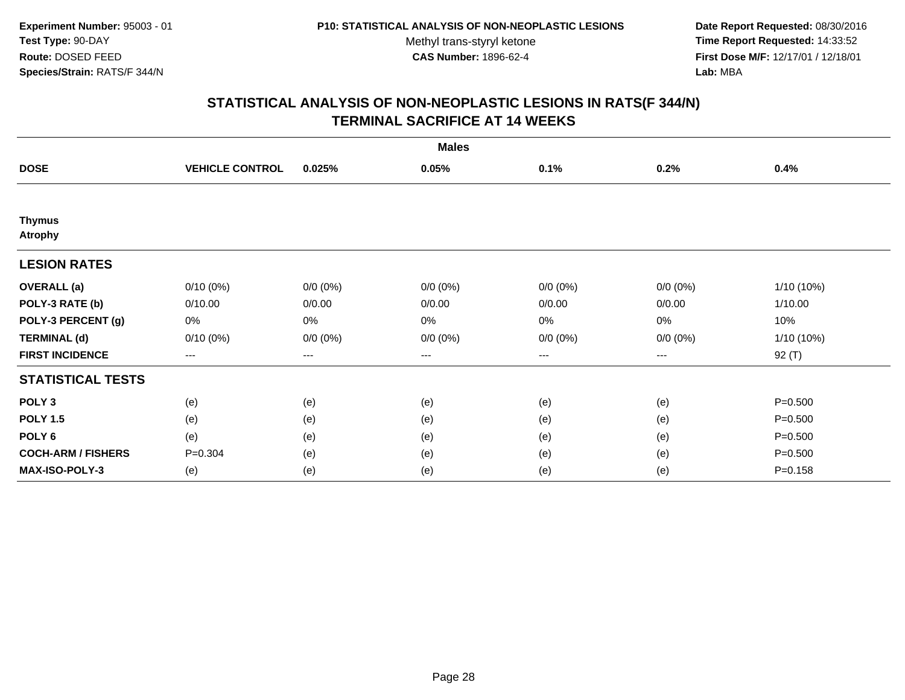**Date Report Requested:** 08/30/2016 **Time Report Requested:** 14:33:52 **First Dose M/F:** 12/17/01 / 12/18/01<br>**Lab:** MBA **Lab:** MBA

| <b>Males</b>                    |                        |             |             |             |             |              |  |
|---------------------------------|------------------------|-------------|-------------|-------------|-------------|--------------|--|
| <b>DOSE</b>                     | <b>VEHICLE CONTROL</b> | 0.025%      | 0.05%       | 0.1%        | 0.2%        | 0.4%         |  |
|                                 |                        |             |             |             |             |              |  |
| <b>Thymus</b><br><b>Atrophy</b> |                        |             |             |             |             |              |  |
| <b>LESION RATES</b>             |                        |             |             |             |             |              |  |
| <b>OVERALL</b> (a)              | $0/10(0\%)$            | $0/0 (0\%)$ | $0/0 (0\%)$ | $0/0 (0\%)$ | $0/0 (0\%)$ | 1/10 (10%)   |  |
| POLY-3 RATE (b)                 | 0/10.00                | 0/0.00      | 0/0.00      | 0/0.00      | 0/0.00      | 1/10.00      |  |
| POLY-3 PERCENT (g)              | 0%                     | 0%          | 0%          | 0%          | 0%          | 10%          |  |
| <b>TERMINAL (d)</b>             | $0/10(0\%)$            | $0/0 (0\%)$ | $0/0 (0\%)$ | $0/0 (0\%)$ | $0/0 (0\%)$ | $1/10(10\%)$ |  |
| <b>FIRST INCIDENCE</b>          | ---                    | $--$        | ---         | ---         | ---         | 92 (T)       |  |
| <b>STATISTICAL TESTS</b>        |                        |             |             |             |             |              |  |
| POLY <sub>3</sub>               | (e)                    | (e)         | (e)         | (e)         | (e)         | $P = 0.500$  |  |
| <b>POLY 1.5</b>                 | (e)                    | (e)         | (e)         | (e)         | (e)         | $P = 0.500$  |  |
| POLY <sub>6</sub>               | (e)                    | (e)         | (e)         | (e)         | (e)         | $P = 0.500$  |  |
| <b>COCH-ARM / FISHERS</b>       | $P = 0.304$            | (e)         | (e)         | (e)         | (e)         | $P = 0.500$  |  |
| <b>MAX-ISO-POLY-3</b>           | (e)                    | (e)         | (e)         | (e)         | (e)         | $P = 0.158$  |  |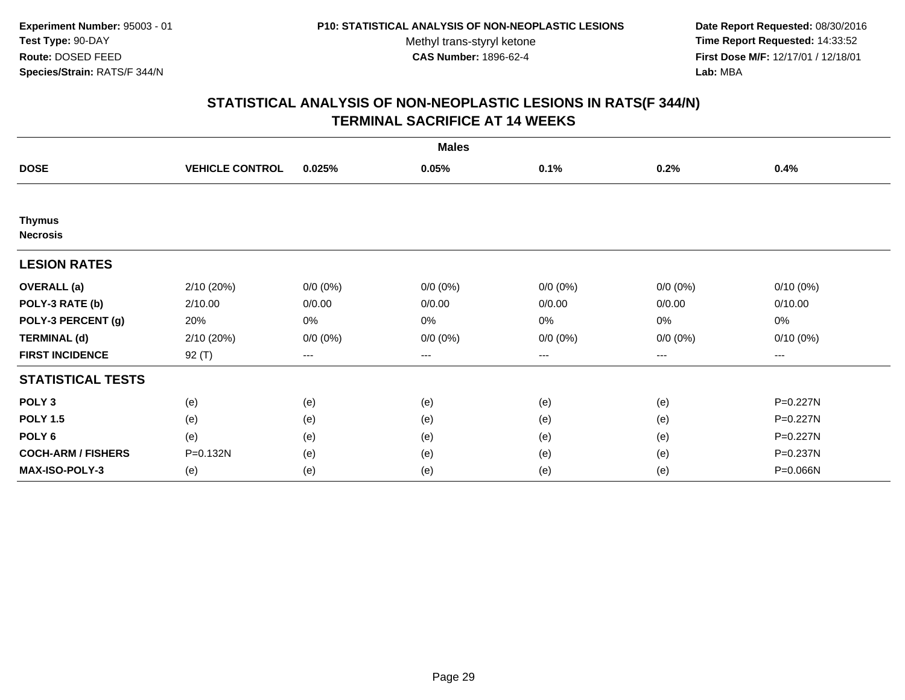**Date Report Requested:** 08/30/2016 **Time Report Requested:** 14:33:52 **First Dose M/F:** 12/17/01 / 12/18/01<br>**Lab:** MBA **Lab:** MBA

| <b>Males</b>                     |                        |             |             |             |                        |                   |  |
|----------------------------------|------------------------|-------------|-------------|-------------|------------------------|-------------------|--|
| <b>DOSE</b>                      | <b>VEHICLE CONTROL</b> | 0.025%      | 0.05%       | 0.1%        | 0.2%                   | 0.4%              |  |
|                                  |                        |             |             |             |                        |                   |  |
| <b>Thymus</b><br><b>Necrosis</b> |                        |             |             |             |                        |                   |  |
| <b>LESION RATES</b>              |                        |             |             |             |                        |                   |  |
| <b>OVERALL</b> (a)               | 2/10 (20%)             | $0/0 (0\%)$ | $0/0 (0\%)$ | $0/0 (0\%)$ | $0/0 (0\%)$            | $0/10(0\%)$       |  |
| POLY-3 RATE (b)                  | 2/10.00                | 0/0.00      | 0/0.00      | 0/0.00      | 0/0.00                 | 0/10.00           |  |
| POLY-3 PERCENT (g)               | 20%                    | 0%          | 0%          | 0%          | 0%                     | 0%                |  |
| <b>TERMINAL (d)</b>              | 2/10 (20%)             | $0/0 (0\%)$ | $0/0 (0\%)$ | $0/0 (0\%)$ | $0/0 (0\%)$            | $0/10(0\%)$       |  |
| <b>FIRST INCIDENCE</b>           | $92($ T)               | $---$       | $--$        | ---         | $\qquad \qquad \cdots$ | $\qquad \qquad -$ |  |
| <b>STATISTICAL TESTS</b>         |                        |             |             |             |                        |                   |  |
| POLY <sub>3</sub>                | (e)                    | (e)         | (e)         | (e)         | (e)                    | P=0.227N          |  |
| <b>POLY 1.5</b>                  | (e)                    | (e)         | (e)         | (e)         | (e)                    | P=0.227N          |  |
| POLY 6                           | (e)                    | (e)         | (e)         | (e)         | (e)                    | P=0.227N          |  |
| <b>COCH-ARM / FISHERS</b>        | P=0.132N               | (e)         | (e)         | (e)         | (e)                    | P=0.237N          |  |
| MAX-ISO-POLY-3                   | (e)                    | (e)         | (e)         | (e)         | (e)                    | P=0.066N          |  |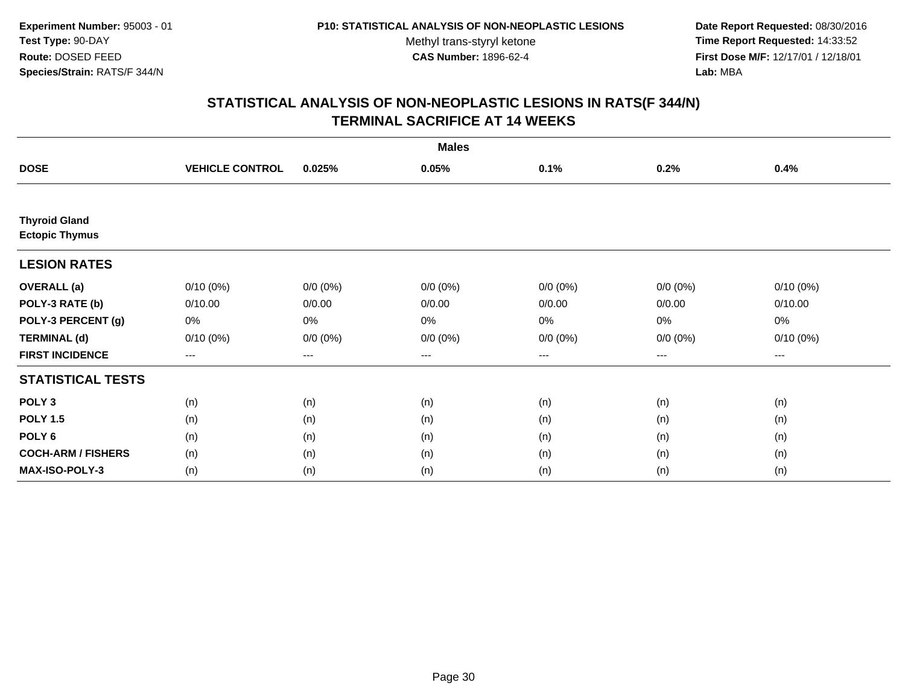**Date Report Requested:** 08/30/2016 **Time Report Requested:** 14:33:52 **First Dose M/F:** 12/17/01 / 12/18/01<br>**Lab:** MBA **Lab:** MBA

| <b>Males</b>                                  |                        |                   |             |                   |             |             |  |
|-----------------------------------------------|------------------------|-------------------|-------------|-------------------|-------------|-------------|--|
| <b>DOSE</b>                                   | <b>VEHICLE CONTROL</b> | 0.025%            | 0.05%       | 0.1%              | 0.2%        | 0.4%        |  |
|                                               |                        |                   |             |                   |             |             |  |
| <b>Thyroid Gland</b><br><b>Ectopic Thymus</b> |                        |                   |             |                   |             |             |  |
| <b>LESION RATES</b>                           |                        |                   |             |                   |             |             |  |
| <b>OVERALL</b> (a)                            | $0/10(0\%)$            | $0/0 (0\%)$       | $0/0 (0\%)$ | $0/0 (0\%)$       | $0/0 (0\%)$ | $0/10(0\%)$ |  |
| POLY-3 RATE (b)                               | 0/10.00                | 0/0.00            | 0/0.00      | 0/0.00            | 0/0.00      | 0/10.00     |  |
| POLY-3 PERCENT (g)                            | 0%                     | 0%                | 0%          | 0%                | $0\%$       | $0\%$       |  |
| <b>TERMINAL (d)</b>                           | 0/10(0%)               | $0/0 (0\%)$       | $0/0 (0\%)$ | $0/0 (0\%)$       | $0/0 (0\%)$ | $0/10(0\%)$ |  |
| <b>FIRST INCIDENCE</b>                        | $\qquad \qquad - -$    | $\qquad \qquad -$ | ---         | $\qquad \qquad -$ | $---$       | $---$       |  |
| <b>STATISTICAL TESTS</b>                      |                        |                   |             |                   |             |             |  |
| POLY <sub>3</sub>                             | (n)                    | (n)               | (n)         | (n)               | (n)         | (n)         |  |
| <b>POLY 1.5</b>                               | (n)                    | (n)               | (n)         | (n)               | (n)         | (n)         |  |
| POLY <sub>6</sub>                             | (n)                    | (n)               | (n)         | (n)               | (n)         | (n)         |  |
| <b>COCH-ARM / FISHERS</b>                     | (n)                    | (n)               | (n)         | (n)               | (n)         | (n)         |  |
| MAX-ISO-POLY-3                                | (n)                    | (n)               | (n)         | (n)               | (n)         | (n)         |  |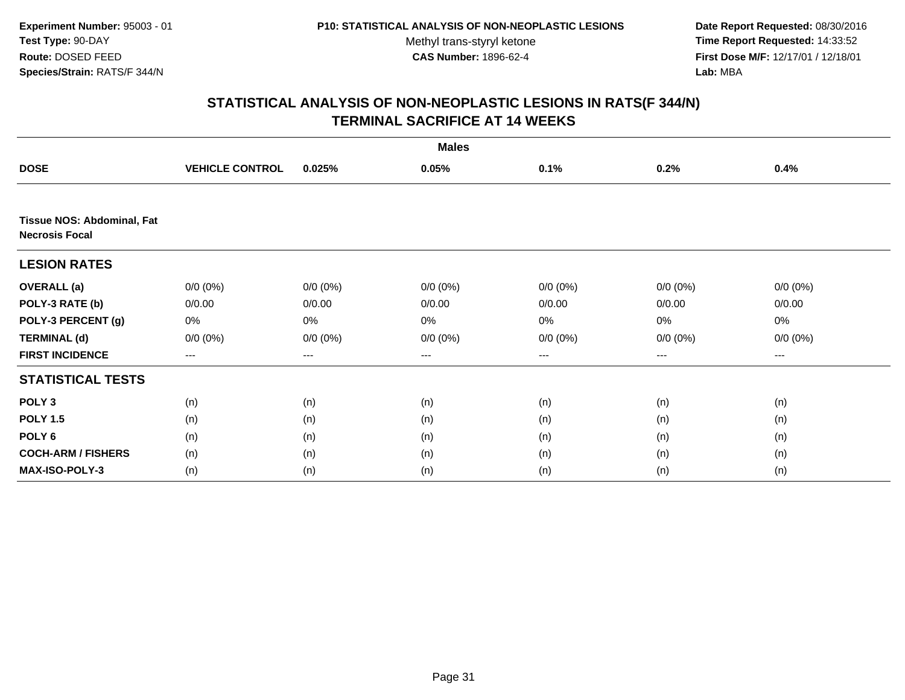**Date Report Requested:** 08/30/2016 **Time Report Requested:** 14:33:52 **First Dose M/F:** 12/17/01 / 12/18/01<br>**Lab:** MBA **Lab:** MBA

| <b>Males</b>                                        |                        |             |             |                   |             |             |  |  |
|-----------------------------------------------------|------------------------|-------------|-------------|-------------------|-------------|-------------|--|--|
| <b>DOSE</b>                                         | <b>VEHICLE CONTROL</b> | 0.025%      | 0.05%       | 0.1%              | 0.2%        | 0.4%        |  |  |
| Tissue NOS: Abdominal, Fat<br><b>Necrosis Focal</b> |                        |             |             |                   |             |             |  |  |
| <b>LESION RATES</b>                                 |                        |             |             |                   |             |             |  |  |
| <b>OVERALL</b> (a)                                  | $0/0 (0\%)$            | $0/0 (0\%)$ | $0/0 (0\%)$ | $0/0 (0\%)$       | $0/0 (0\%)$ | $0/0 (0\%)$ |  |  |
| POLY-3 RATE (b)                                     | 0/0.00                 | 0/0.00      | 0/0.00      | 0/0.00            | 0/0.00      | 0/0.00      |  |  |
| POLY-3 PERCENT (g)                                  | 0%                     | 0%          | 0%          | 0%                | 0%          | 0%          |  |  |
| <b>TERMINAL (d)</b>                                 | $0/0 (0\%)$            | $0/0 (0\%)$ | $0/0 (0\%)$ | $0/0 (0\%)$       | $0/0 (0\%)$ | $0/0 (0\%)$ |  |  |
| <b>FIRST INCIDENCE</b>                              | $---$                  | ---         | ---         | $\qquad \qquad -$ | ---         | ---         |  |  |
| <b>STATISTICAL TESTS</b>                            |                        |             |             |                   |             |             |  |  |
| POLY <sub>3</sub>                                   | (n)                    | (n)         | (n)         | (n)               | (n)         | (n)         |  |  |
| <b>POLY 1.5</b>                                     | (n)                    | (n)         | (n)         | (n)               | (n)         | (n)         |  |  |
| POLY 6                                              | (n)                    | (n)         | (n)         | (n)               | (n)         | (n)         |  |  |
| <b>COCH-ARM / FISHERS</b>                           | (n)                    | (n)         | (n)         | (n)               | (n)         | (n)         |  |  |
| MAX-ISO-POLY-3                                      | (n)                    | (n)         | (n)         | (n)               | (n)         | (n)         |  |  |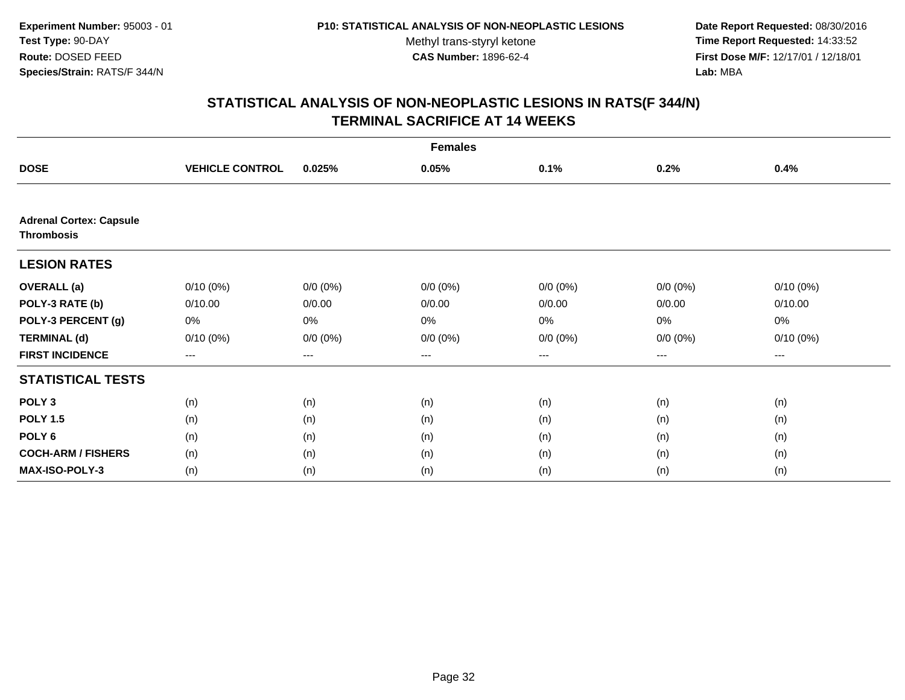**Date Report Requested:** 08/30/2016 **Time Report Requested:** 14:33:52 **First Dose M/F:** 12/17/01 / 12/18/01<br>**Lab:** MBA **Lab:** MBA

| <b>Females</b>                 |                        |             |             |                   |             |             |  |
|--------------------------------|------------------------|-------------|-------------|-------------------|-------------|-------------|--|
| <b>DOSE</b>                    | <b>VEHICLE CONTROL</b> | 0.025%      | 0.05%       | 0.1%              | 0.2%        | 0.4%        |  |
| <b>Adrenal Cortex: Capsule</b> |                        |             |             |                   |             |             |  |
| <b>Thrombosis</b>              |                        |             |             |                   |             |             |  |
| <b>LESION RATES</b>            |                        |             |             |                   |             |             |  |
| <b>OVERALL</b> (a)             | $0/10(0\%)$            | $0/0 (0\%)$ | $0/0 (0\%)$ | $0/0 (0\%)$       | $0/0 (0\%)$ | $0/10(0\%)$ |  |
| POLY-3 RATE (b)                | 0/10.00                | 0/0.00      | 0/0.00      | 0/0.00            | 0/0.00      | 0/10.00     |  |
| POLY-3 PERCENT (g)             | 0%                     | 0%          | 0%          | 0%                | 0%          | 0%          |  |
| <b>TERMINAL (d)</b>            | $0/10(0\%)$            | $0/0 (0\%)$ | $0/0 (0\%)$ | $0/0 (0\%)$       | $0/0 (0\%)$ | $0/10(0\%)$ |  |
| <b>FIRST INCIDENCE</b>         | ---                    | $---$       | ---         | $\qquad \qquad -$ | $---$       | ---         |  |
| <b>STATISTICAL TESTS</b>       |                        |             |             |                   |             |             |  |
| POLY <sub>3</sub>              | (n)                    | (n)         | (n)         | (n)               | (n)         | (n)         |  |
| <b>POLY 1.5</b>                | (n)                    | (n)         | (n)         | (n)               | (n)         | (n)         |  |
| POLY <sub>6</sub>              | (n)                    | (n)         | (n)         | (n)               | (n)         | (n)         |  |
| <b>COCH-ARM / FISHERS</b>      | (n)                    | (n)         | (n)         | (n)               | (n)         | (n)         |  |
| <b>MAX-ISO-POLY-3</b>          | (n)                    | (n)         | (n)         | (n)               | (n)         | (n)         |  |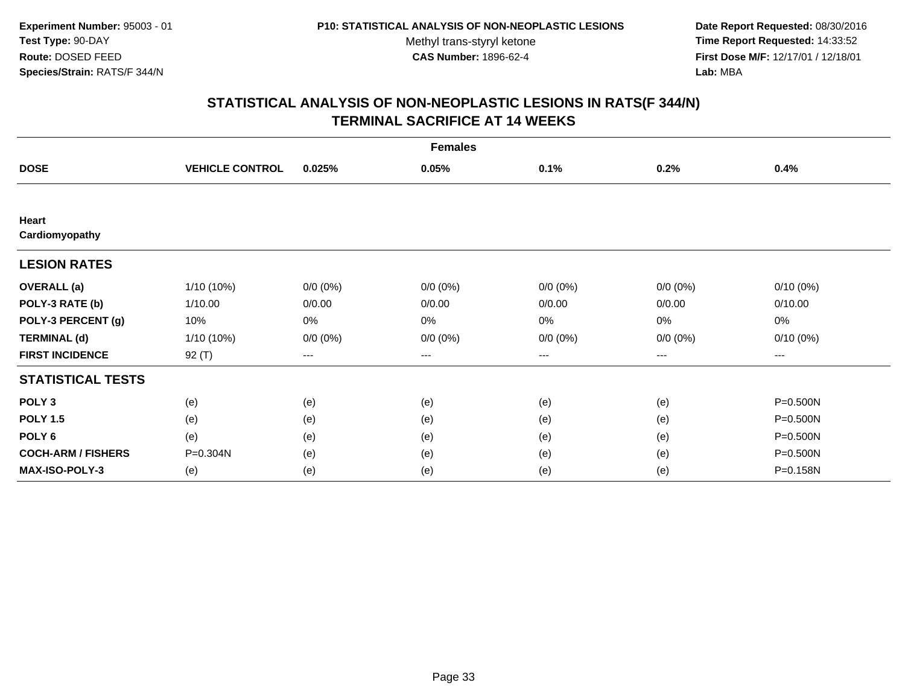**Date Report Requested:** 08/30/2016 **Time Report Requested:** 14:33:52 **First Dose M/F:** 12/17/01 / 12/18/01<br>**Lab:** MBA **Lab:** MBA

| <b>Females</b>            |                        |             |             |             |             |             |  |
|---------------------------|------------------------|-------------|-------------|-------------|-------------|-------------|--|
| <b>DOSE</b>               | <b>VEHICLE CONTROL</b> | 0.025%      | 0.05%       | 0.1%        | 0.2%        | 0.4%        |  |
|                           |                        |             |             |             |             |             |  |
| Heart<br>Cardiomyopathy   |                        |             |             |             |             |             |  |
| <b>LESION RATES</b>       |                        |             |             |             |             |             |  |
| <b>OVERALL</b> (a)        | $1/10(10\%)$           | $0/0 (0\%)$ | $0/0 (0\%)$ | $0/0 (0\%)$ | $0/0(0\%)$  | $0/10(0\%)$ |  |
| POLY-3 RATE (b)           | 1/10.00                | 0/0.00      | 0/0.00      | 0/0.00      | 0/0.00      | 0/10.00     |  |
| POLY-3 PERCENT (g)        | 10%                    | 0%          | 0%          | 0%          | 0%          | 0%          |  |
| <b>TERMINAL (d)</b>       | 1/10 (10%)             | $0/0 (0\%)$ | $0/0 (0\%)$ | $0/0 (0\%)$ | $0/0 (0\%)$ | $0/10(0\%)$ |  |
| <b>FIRST INCIDENCE</b>    | $92($ T)               | $\cdots$    | ---         | ---         | $---$       | ---         |  |
| <b>STATISTICAL TESTS</b>  |                        |             |             |             |             |             |  |
| POLY <sub>3</sub>         | (e)                    | (e)         | (e)         | (e)         | (e)         | P=0.500N    |  |
| <b>POLY 1.5</b>           | (e)                    | (e)         | (e)         | (e)         | (e)         | P=0.500N    |  |
| POLY <sub>6</sub>         | (e)                    | (e)         | (e)         | (e)         | (e)         | P=0.500N    |  |
| <b>COCH-ARM / FISHERS</b> | P=0.304N               | (e)         | (e)         | (e)         | (e)         | P=0.500N    |  |
| <b>MAX-ISO-POLY-3</b>     | (e)                    | (e)         | (e)         | (e)         | (e)         | P=0.158N    |  |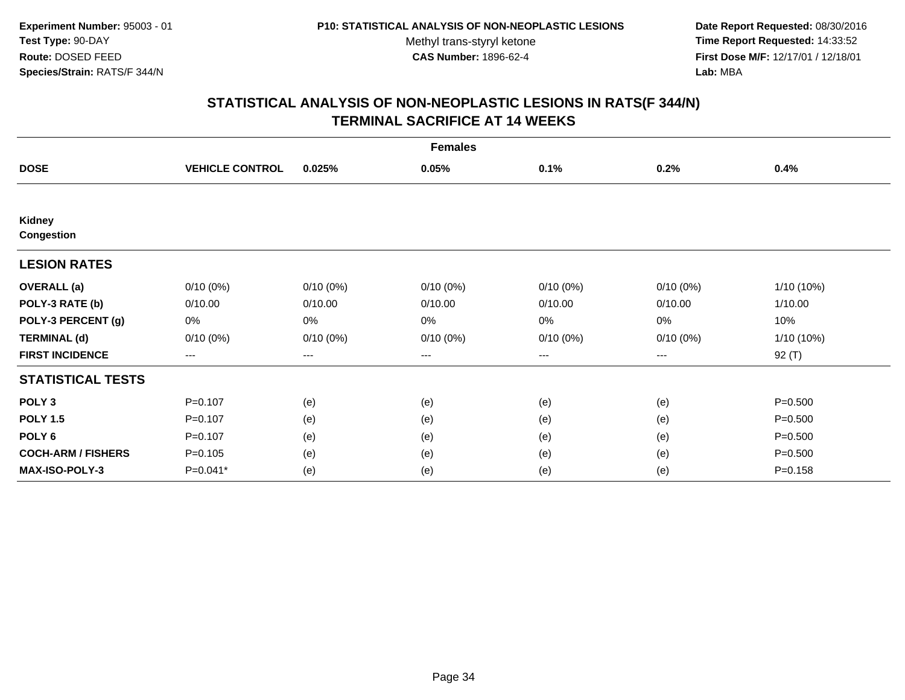**Date Report Requested:** 08/30/2016 **Time Report Requested:** 14:33:52 **First Dose M/F:** 12/17/01 / 12/18/01<br>**Lab:** MBA **Lab:** MBA

| <b>Females</b>              |                        |             |             |             |             |             |  |
|-----------------------------|------------------------|-------------|-------------|-------------|-------------|-------------|--|
| <b>DOSE</b>                 | <b>VEHICLE CONTROL</b> | 0.025%      | 0.05%       | 0.1%        | 0.2%        | 0.4%        |  |
|                             |                        |             |             |             |             |             |  |
| Kidney<br><b>Congestion</b> |                        |             |             |             |             |             |  |
| <b>LESION RATES</b>         |                        |             |             |             |             |             |  |
| <b>OVERALL</b> (a)          | $0/10(0\%)$            | $0/10(0\%)$ | $0/10(0\%)$ | $0/10(0\%)$ | 0/10(0%)    | 1/10 (10%)  |  |
| POLY-3 RATE (b)             | 0/10.00                | 0/10.00     | 0/10.00     | 0/10.00     | 0/10.00     | 1/10.00     |  |
| POLY-3 PERCENT (g)          | 0%                     | 0%          | 0%          | 0%          | 0%          | 10%         |  |
| <b>TERMINAL (d)</b>         | $0/10(0\%)$            | $0/10(0\%)$ | $0/10(0\%)$ | $0/10(0\%)$ | $0/10(0\%)$ | 1/10 (10%)  |  |
| <b>FIRST INCIDENCE</b>      | $\qquad \qquad \cdots$ | ---         | ---         | ---         | ---         | 92 (T)      |  |
| <b>STATISTICAL TESTS</b>    |                        |             |             |             |             |             |  |
| POLY <sub>3</sub>           | $P = 0.107$            | (e)         | (e)         | (e)         | (e)         | $P = 0.500$ |  |
| <b>POLY 1.5</b>             | $P=0.107$              | (e)         | (e)         | (e)         | (e)         | $P = 0.500$ |  |
| POLY <sub>6</sub>           | $P=0.107$              | (e)         | (e)         | (e)         | (e)         | $P = 0.500$ |  |
| <b>COCH-ARM / FISHERS</b>   | $P = 0.105$            | (e)         | (e)         | (e)         | (e)         | $P = 0.500$ |  |
| MAX-ISO-POLY-3              | $P=0.041*$             | (e)         | (e)         | (e)         | (e)         | $P = 0.158$ |  |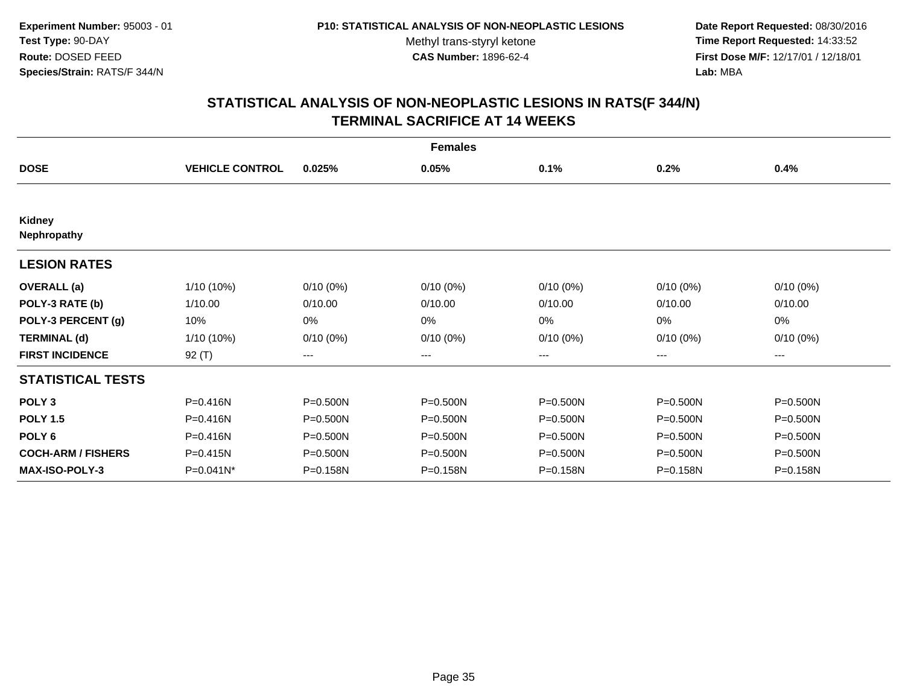**Date Report Requested:** 08/30/2016 **Time Report Requested:** 14:33:52 **First Dose M/F:** 12/17/01 / 12/18/01<br>**Lab:** MBA **Lab:** MBA

| <b>Females</b>               |                        |                   |              |             |              |              |  |
|------------------------------|------------------------|-------------------|--------------|-------------|--------------|--------------|--|
| <b>DOSE</b>                  | <b>VEHICLE CONTROL</b> | 0.025%            | 0.05%        | 0.1%        | 0.2%         | 0.4%         |  |
|                              |                        |                   |              |             |              |              |  |
| <b>Kidney</b><br>Nephropathy |                        |                   |              |             |              |              |  |
| <b>LESION RATES</b>          |                        |                   |              |             |              |              |  |
| <b>OVERALL</b> (a)           | 1/10 (10%)             | $0/10(0\%)$       | $0/10(0\%)$  | $0/10(0\%)$ | $0/10(0\%)$  | $0/10(0\%)$  |  |
| POLY-3 RATE (b)              | 1/10.00                | 0/10.00           | 0/10.00      | 0/10.00     | 0/10.00      | 0/10.00      |  |
| POLY-3 PERCENT (g)           | 10%                    | 0%                | 0%           | 0%          | 0%           | 0%           |  |
| <b>TERMINAL (d)</b>          | 1/10 (10%)             | $0/10(0\%)$       | $0/10(0\%)$  | $0/10(0\%)$ | $0/10(0\%)$  | $0/10(0\%)$  |  |
| <b>FIRST INCIDENCE</b>       | 92 $(T)$               | $\qquad \qquad -$ | ---          | ---         | ---          | $\cdots$     |  |
| <b>STATISTICAL TESTS</b>     |                        |                   |              |             |              |              |  |
| POLY <sub>3</sub>            | P=0.416N               | P=0.500N          | P=0.500N     | P=0.500N    | P=0.500N     | P=0.500N     |  |
| <b>POLY 1.5</b>              | P=0.416N               | $P = 0.500N$      | $P = 0.500N$ | P=0.500N    | $P = 0.500N$ | $P = 0.500N$ |  |
| POLY <sub>6</sub>            | P=0.416N               | P=0.500N          | P=0.500N     | P=0.500N    | P=0.500N     | P=0.500N     |  |
| <b>COCH-ARM / FISHERS</b>    | P=0.415N               | P=0.500N          | P=0.500N     | P=0.500N    | P=0.500N     | $P = 0.500N$ |  |
| <b>MAX-ISO-POLY-3</b>        | $P=0.041N^*$           | P=0.158N          | P=0.158N     | P=0.158N    | P=0.158N     | P=0.158N     |  |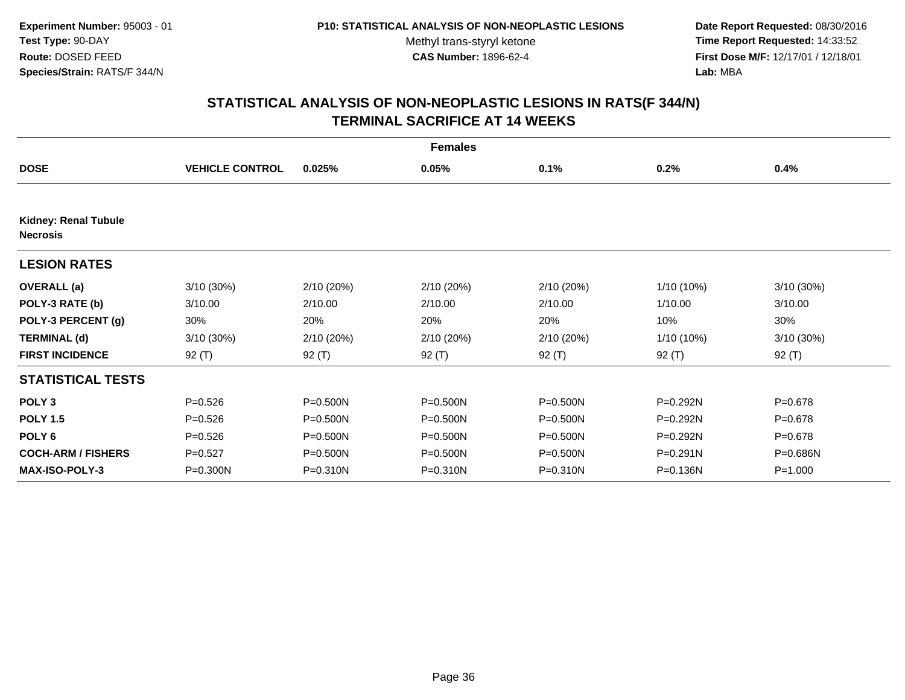**Date Report Requested:** 08/30/2016 **Time Report Requested:** 14:33:52 **First Dose M/F:** 12/17/01 / 12/18/01<br>**Lab:** MBA **Lab:** MBA

| <b>Females</b>                                 |                        |            |            |            |              |             |  |
|------------------------------------------------|------------------------|------------|------------|------------|--------------|-------------|--|
| <b>DOSE</b>                                    | <b>VEHICLE CONTROL</b> | 0.025%     | 0.05%      | 0.1%       | 0.2%         | 0.4%        |  |
|                                                |                        |            |            |            |              |             |  |
| <b>Kidney: Renal Tubule</b><br><b>Necrosis</b> |                        |            |            |            |              |             |  |
| <b>LESION RATES</b>                            |                        |            |            |            |              |             |  |
| <b>OVERALL</b> (a)                             | 3/10(30%)              | 2/10 (20%) | 2/10 (20%) | 2/10 (20%) | $1/10(10\%)$ | 3/10 (30%)  |  |
| POLY-3 RATE (b)                                | 3/10.00                | 2/10.00    | 2/10.00    | 2/10.00    | 1/10.00      | 3/10.00     |  |
| POLY-3 PERCENT (g)                             | 30%                    | 20%        | 20%        | 20%        | 10%          | 30%         |  |
| <b>TERMINAL (d)</b>                            | 3/10(30%)              | 2/10(20%)  | 2/10 (20%) | 2/10 (20%) | $1/10(10\%)$ | 3/10(30%)   |  |
| <b>FIRST INCIDENCE</b>                         | $92($ T)               | $92($ T)   | $92($ T)   | $92($ T)   | $92($ T)     | $92($ T)    |  |
| <b>STATISTICAL TESTS</b>                       |                        |            |            |            |              |             |  |
| POLY <sub>3</sub>                              | $P = 0.526$            | P=0.500N   | P=0.500N   | P=0.500N   | P=0.292N     | $P = 0.678$ |  |
| <b>POLY 1.5</b>                                | $P = 0.526$            | P=0.500N   | P=0.500N   | P=0.500N   | P=0.292N     | $P = 0.678$ |  |
| POLY <sub>6</sub>                              | $P = 0.526$            | P=0.500N   | P=0.500N   | P=0.500N   | P=0.292N     | $P = 0.678$ |  |
| <b>COCH-ARM / FISHERS</b>                      | $P=0.527$              | P=0.500N   | P=0.500N   | P=0.500N   | $P = 0.291N$ | P=0.686N    |  |
| <b>MAX-ISO-POLY-3</b>                          | P=0.300N               | P=0.310N   | P=0.310N   | P=0.310N   | P=0.136N     | $P = 1.000$ |  |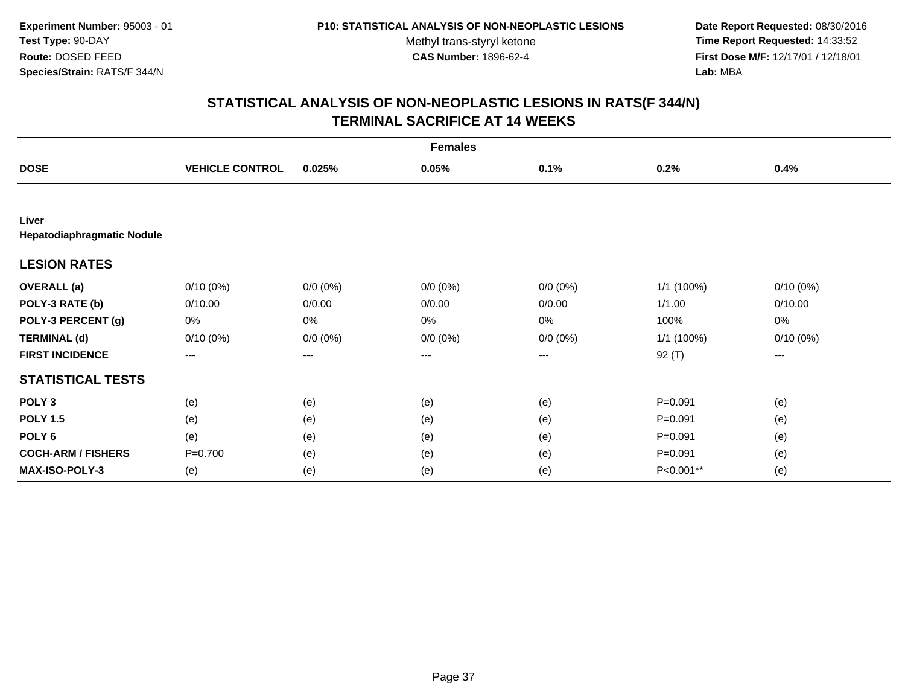**Date Report Requested:** 08/30/2016 **Time Report Requested:** 14:33:52 **First Dose M/F:** 12/17/01 / 12/18/01<br>**Lab:** MBA **Lab:** MBA

| <b>Females</b>                      |                        |             |             |             |             |             |  |
|-------------------------------------|------------------------|-------------|-------------|-------------|-------------|-------------|--|
| <b>DOSE</b>                         | <b>VEHICLE CONTROL</b> | 0.025%      | 0.05%       | 0.1%        | 0.2%        | 0.4%        |  |
|                                     |                        |             |             |             |             |             |  |
| Liver<br>Hepatodiaphragmatic Nodule |                        |             |             |             |             |             |  |
| <b>LESION RATES</b>                 |                        |             |             |             |             |             |  |
| <b>OVERALL</b> (a)                  | $0/10(0\%)$            | $0/0 (0\%)$ | $0/0 (0\%)$ | $0/0 (0\%)$ | 1/1 (100%)  | $0/10(0\%)$ |  |
| POLY-3 RATE (b)                     | 0/10.00                | 0/0.00      | 0/0.00      | 0/0.00      | 1/1.00      | 0/10.00     |  |
| POLY-3 PERCENT (g)                  | 0%                     | 0%          | 0%          | 0%          | 100%        | 0%          |  |
| <b>TERMINAL (d)</b>                 | $0/10(0\%)$            | $0/0 (0\%)$ | $0/0 (0\%)$ | $0/0 (0\%)$ | 1/1 (100%)  | $0/10(0\%)$ |  |
| <b>FIRST INCIDENCE</b>              | $\cdots$               | $\cdots$    | ---         | ---         | $92($ T)    | $---$       |  |
| <b>STATISTICAL TESTS</b>            |                        |             |             |             |             |             |  |
| POLY <sub>3</sub>                   | (e)                    | (e)         | (e)         | (e)         | $P = 0.091$ | (e)         |  |
| <b>POLY 1.5</b>                     | (e)                    | (e)         | (e)         | (e)         | $P = 0.091$ | (e)         |  |
| POLY <sub>6</sub>                   | (e)                    | (e)         | (e)         | (e)         | $P = 0.091$ | (e)         |  |
| <b>COCH-ARM / FISHERS</b>           | $P=0.700$              | (e)         | (e)         | (e)         | $P = 0.091$ | (e)         |  |
| <b>MAX-ISO-POLY-3</b>               | (e)                    | (e)         | (e)         | (e)         | P<0.001**   | (e)         |  |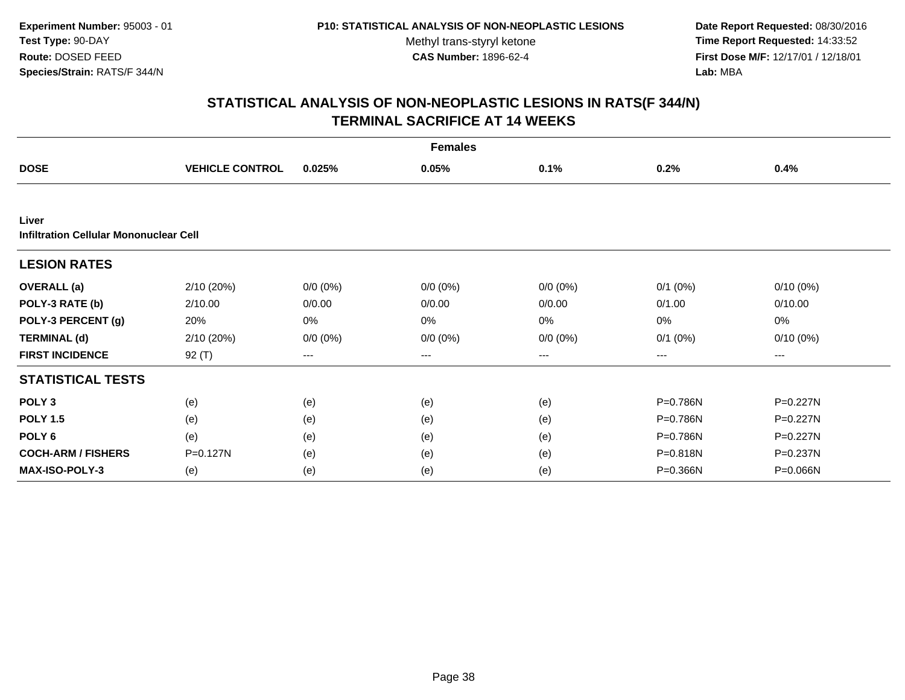**Date Report Requested:** 08/30/2016 **Time Report Requested:** 14:33:52 **First Dose M/F:** 12/17/01 / 12/18/01<br>**Lab:** MBA **Lab:** MBA

| <b>Females</b>                                  |                        |             |             |             |              |              |  |  |
|-------------------------------------------------|------------------------|-------------|-------------|-------------|--------------|--------------|--|--|
| <b>DOSE</b>                                     | <b>VEHICLE CONTROL</b> | 0.025%      | 0.05%       | 0.1%        | 0.2%         | 0.4%         |  |  |
|                                                 |                        |             |             |             |              |              |  |  |
| Liver<br>Infiltration Cellular Mononuclear Cell |                        |             |             |             |              |              |  |  |
| <b>LESION RATES</b>                             |                        |             |             |             |              |              |  |  |
| <b>OVERALL</b> (a)                              | 2/10(20%)              | $0/0 (0\%)$ | $0/0 (0\%)$ | $0/0 (0\%)$ | $0/1$ $(0%)$ | $0/10(0\%)$  |  |  |
| POLY-3 RATE (b)                                 | 2/10.00                | 0/0.00      | 0/0.00      | 0/0.00      | 0/1.00       | 0/10.00      |  |  |
| POLY-3 PERCENT (g)                              | 20%                    | 0%          | 0%          | 0%          | 0%           | 0%           |  |  |
| <b>TERMINAL (d)</b>                             | 2/10 (20%)             | $0/0 (0\%)$ | $0/0 (0\%)$ | $0/0 (0\%)$ | $0/1$ $(0%)$ | $0/10(0\%)$  |  |  |
| <b>FIRST INCIDENCE</b>                          | $92($ T)               | $\cdots$    | ---         | ---         | ---          | ---          |  |  |
| <b>STATISTICAL TESTS</b>                        |                        |             |             |             |              |              |  |  |
| POLY <sub>3</sub>                               | (e)                    | (e)         | (e)         | (e)         | P=0.786N     | $P = 0.227N$ |  |  |
| <b>POLY 1.5</b>                                 | (e)                    | (e)         | (e)         | (e)         | P=0.786N     | $P = 0.227N$ |  |  |
| POLY <sub>6</sub>                               | (e)                    | (e)         | (e)         | (e)         | P=0.786N     | P=0.227N     |  |  |
| <b>COCH-ARM / FISHERS</b>                       | P=0.127N               | (e)         | (e)         | (e)         | P=0.818N     | P=0.237N     |  |  |
| <b>MAX-ISO-POLY-3</b>                           | (e)                    | (e)         | (e)         | (e)         | P=0.366N     | P=0.066N     |  |  |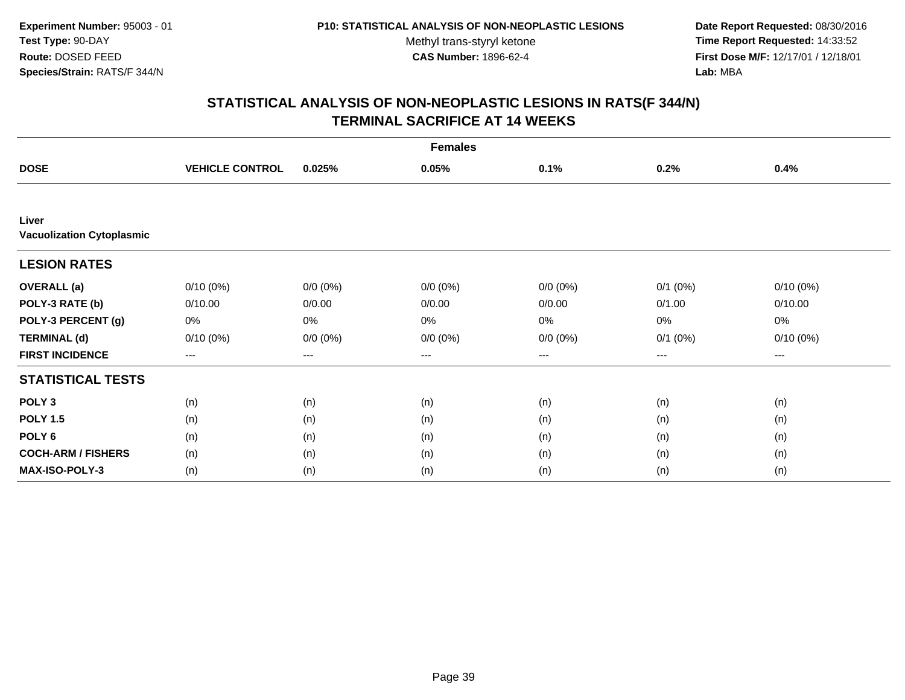**Date Report Requested:** 08/30/2016 **Time Report Requested:** 14:33:52 **First Dose M/F:** 12/17/01 / 12/18/01<br>**Lab:** MBA **Lab:** MBA

| <b>Females</b>                            |                        |             |             |             |              |             |  |
|-------------------------------------------|------------------------|-------------|-------------|-------------|--------------|-------------|--|
| <b>DOSE</b>                               | <b>VEHICLE CONTROL</b> | 0.025%      | 0.05%       | 0.1%        | 0.2%         | 0.4%        |  |
|                                           |                        |             |             |             |              |             |  |
| Liver<br><b>Vacuolization Cytoplasmic</b> |                        |             |             |             |              |             |  |
| <b>LESION RATES</b>                       |                        |             |             |             |              |             |  |
| <b>OVERALL</b> (a)                        | $0/10(0\%)$            | $0/0 (0\%)$ | $0/0 (0\%)$ | $0/0 (0\%)$ | $0/1$ $(0%)$ | $0/10(0\%)$ |  |
| POLY-3 RATE (b)                           | 0/10.00                | 0/0.00      | 0/0.00      | 0/0.00      | 0/1.00       | 0/10.00     |  |
| POLY-3 PERCENT (g)                        | 0%                     | 0%          | 0%          | 0%          | 0%           | 0%          |  |
| <b>TERMINAL (d)</b>                       | $0/10(0\%)$            | $0/0 (0\%)$ | $0/0 (0\%)$ | $0/0 (0\%)$ | $0/1$ $(0%)$ | $0/10(0\%)$ |  |
| <b>FIRST INCIDENCE</b>                    | $--$                   | $--$        | ---         | ---         | ---          | ---         |  |
| <b>STATISTICAL TESTS</b>                  |                        |             |             |             |              |             |  |
| POLY <sub>3</sub>                         | (n)                    | (n)         | (n)         | (n)         | (n)          | (n)         |  |
| <b>POLY 1.5</b>                           | (n)                    | (n)         | (n)         | (n)         | (n)          | (n)         |  |
| POLY <sub>6</sub>                         | (n)                    | (n)         | (n)         | (n)         | (n)          | (n)         |  |
| <b>COCH-ARM / FISHERS</b>                 | (n)                    | (n)         | (n)         | (n)         | (n)          | (n)         |  |
| <b>MAX-ISO-POLY-3</b>                     | (n)                    | (n)         | (n)         | (n)         | (n)          | (n)         |  |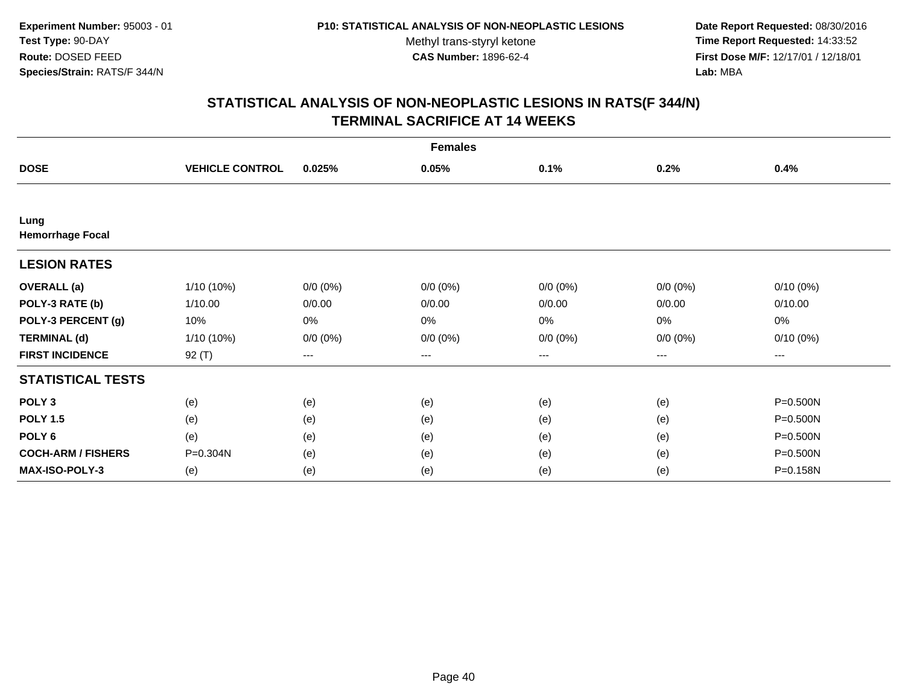**Date Report Requested:** 08/30/2016 **Time Report Requested:** 14:33:52 **First Dose M/F:** 12/17/01 / 12/18/01<br>**Lab:** MBA **Lab:** MBA

| <b>Females</b>                  |                        |             |             |             |                                          |             |  |
|---------------------------------|------------------------|-------------|-------------|-------------|------------------------------------------|-------------|--|
| <b>DOSE</b>                     | <b>VEHICLE CONTROL</b> | 0.025%      | 0.05%       | 0.1%        | 0.2%                                     | 0.4%        |  |
|                                 |                        |             |             |             |                                          |             |  |
| Lung<br><b>Hemorrhage Focal</b> |                        |             |             |             |                                          |             |  |
| <b>LESION RATES</b>             |                        |             |             |             |                                          |             |  |
| <b>OVERALL</b> (a)              | $1/10(10\%)$           | $0/0 (0\%)$ | $0/0 (0\%)$ | $0/0 (0\%)$ | $0/0 (0\%)$                              | $0/10(0\%)$ |  |
| POLY-3 RATE (b)                 | 1/10.00                | 0/0.00      | 0/0.00      | 0/0.00      | 0/0.00                                   | 0/10.00     |  |
| POLY-3 PERCENT (g)              | 10%                    | $0\%$       | 0%          | 0%          | $0\%$                                    | $0\%$       |  |
| <b>TERMINAL (d)</b>             | 1/10 (10%)             | $0/0 (0\%)$ | $0/0 (0\%)$ | $0/0 (0\%)$ | $0/0 (0\%)$                              | $0/10(0\%)$ |  |
| <b>FIRST INCIDENCE</b>          | 92 $(T)$               | $---$       | $---$       | ---         | $\hspace{0.05cm} \ldots \hspace{0.05cm}$ | $\cdots$    |  |
| <b>STATISTICAL TESTS</b>        |                        |             |             |             |                                          |             |  |
| POLY <sub>3</sub>               | (e)                    | (e)         | (e)         | (e)         | (e)                                      | P=0.500N    |  |
| <b>POLY 1.5</b>                 | (e)                    | (e)         | (e)         | (e)         | (e)                                      | P=0.500N    |  |
| POLY <sub>6</sub>               | (e)                    | (e)         | (e)         | (e)         | (e)                                      | P=0.500N    |  |
| <b>COCH-ARM / FISHERS</b>       | P=0.304N               | (e)         | (e)         | (e)         | (e)                                      | P=0.500N    |  |
| <b>MAX-ISO-POLY-3</b>           | (e)                    | (e)         | (e)         | (e)         | (e)                                      | P=0.158N    |  |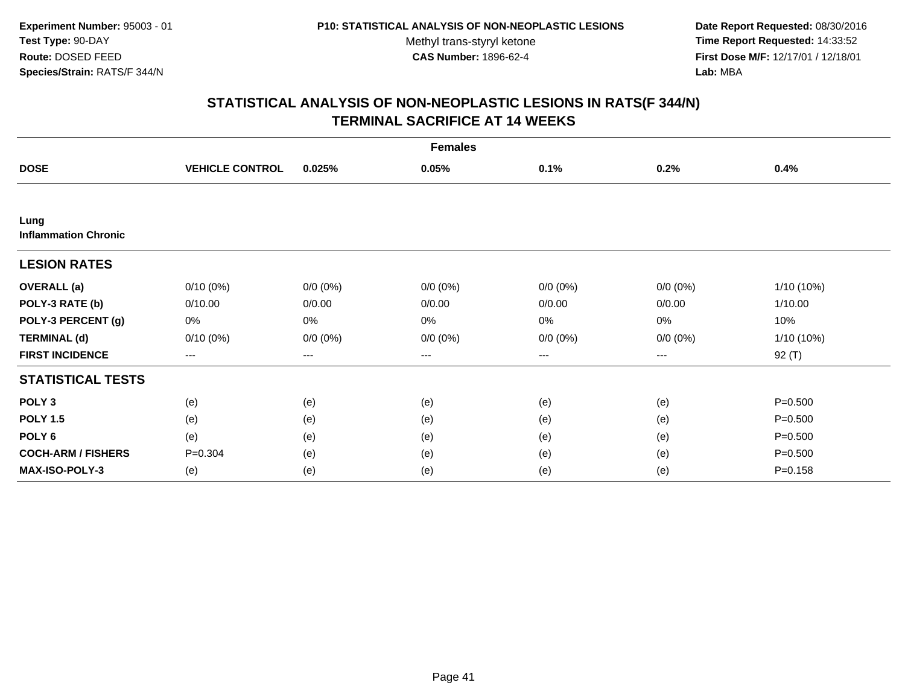**Date Report Requested:** 08/30/2016 **Time Report Requested:** 14:33:52 **First Dose M/F:** 12/17/01 / 12/18/01<br>**Lab:** MBA **Lab:** MBA

| <b>Females</b>                      |                        |             |             |             |             |              |  |
|-------------------------------------|------------------------|-------------|-------------|-------------|-------------|--------------|--|
| <b>DOSE</b>                         | <b>VEHICLE CONTROL</b> | 0.025%      | 0.05%       | 0.1%        | 0.2%        | 0.4%         |  |
|                                     |                        |             |             |             |             |              |  |
| Lung<br><b>Inflammation Chronic</b> |                        |             |             |             |             |              |  |
| <b>LESION RATES</b>                 |                        |             |             |             |             |              |  |
| <b>OVERALL</b> (a)                  | $0/10(0\%)$            | $0/0 (0\%)$ | $0/0 (0\%)$ | $0/0 (0\%)$ | $0/0 (0\%)$ | $1/10(10\%)$ |  |
| POLY-3 RATE (b)                     | 0/10.00                | 0/0.00      | 0/0.00      | 0/0.00      | 0/0.00      | 1/10.00      |  |
| POLY-3 PERCENT (g)                  | 0%                     | 0%          | 0%          | 0%          | 0%          | 10%          |  |
| <b>TERMINAL (d)</b>                 | $0/10(0\%)$            | $0/0 (0\%)$ | $0/0 (0\%)$ | $0/0 (0\%)$ | $0/0 (0\%)$ | 1/10 (10%)   |  |
| <b>FIRST INCIDENCE</b>              | $--$                   | $---$       | ---         | ---         | $--$        | $92($ T)     |  |
| <b>STATISTICAL TESTS</b>            |                        |             |             |             |             |              |  |
| POLY <sub>3</sub>                   | (e)                    | (e)         | (e)         | (e)         | (e)         | $P = 0.500$  |  |
| <b>POLY 1.5</b>                     | (e)                    | (e)         | (e)         | (e)         | (e)         | $P = 0.500$  |  |
| POLY <sub>6</sub>                   | (e)                    | (e)         | (e)         | (e)         | (e)         | $P = 0.500$  |  |
| <b>COCH-ARM / FISHERS</b>           | $P = 0.304$            | (e)         | (e)         | (e)         | (e)         | $P = 0.500$  |  |
| <b>MAX-ISO-POLY-3</b>               | (e)                    | (e)         | (e)         | (e)         | (e)         | $P = 0.158$  |  |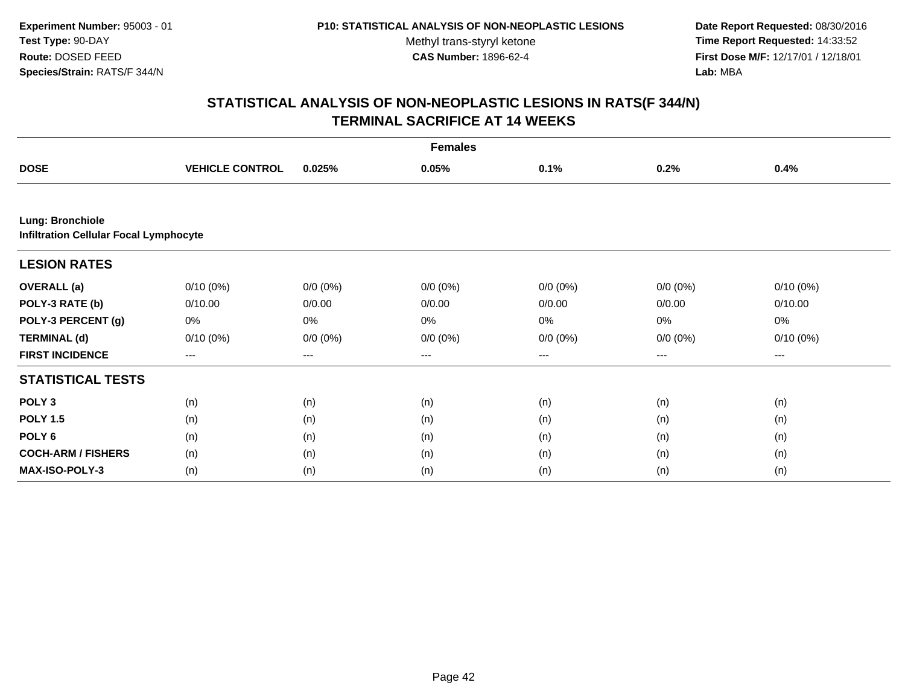**Date Report Requested:** 08/30/2016 **Time Report Requested:** 14:33:52 **First Dose M/F:** 12/17/01 / 12/18/01<br>**Lab:** MBA **Lab:** MBA

| <b>Females</b>                                                    |                        |             |             |             |             |             |  |  |
|-------------------------------------------------------------------|------------------------|-------------|-------------|-------------|-------------|-------------|--|--|
| <b>DOSE</b>                                                       | <b>VEHICLE CONTROL</b> | 0.025%      | 0.05%       | 0.1%        | 0.2%        | 0.4%        |  |  |
|                                                                   |                        |             |             |             |             |             |  |  |
| Lung: Bronchiole<br><b>Infiltration Cellular Focal Lymphocyte</b> |                        |             |             |             |             |             |  |  |
| <b>LESION RATES</b>                                               |                        |             |             |             |             |             |  |  |
| <b>OVERALL</b> (a)                                                | $0/10(0\%)$            | $0/0 (0\%)$ | $0/0 (0\%)$ | $0/0 (0\%)$ | $0/0 (0\%)$ | $0/10(0\%)$ |  |  |
| POLY-3 RATE (b)                                                   | 0/10.00                | 0/0.00      | 0/0.00      | 0/0.00      | 0/0.00      | 0/10.00     |  |  |
| POLY-3 PERCENT (g)                                                | 0%                     | 0%          | 0%          | 0%          | 0%          | 0%          |  |  |
| <b>TERMINAL (d)</b>                                               | $0/10(0\%)$            | $0/0 (0\%)$ | $0/0 (0\%)$ | $0/0 (0\%)$ | $0/0 (0\%)$ | $0/10(0\%)$ |  |  |
| <b>FIRST INCIDENCE</b>                                            | ---                    | ---         | ---         | $---$       | $---$       | ---         |  |  |
| <b>STATISTICAL TESTS</b>                                          |                        |             |             |             |             |             |  |  |
| POLY <sub>3</sub>                                                 | (n)                    | (n)         | (n)         | (n)         | (n)         | (n)         |  |  |
| <b>POLY 1.5</b>                                                   | (n)                    | (n)         | (n)         | (n)         | (n)         | (n)         |  |  |
| POLY <sub>6</sub>                                                 | (n)                    | (n)         | (n)         | (n)         | (n)         | (n)         |  |  |
| <b>COCH-ARM / FISHERS</b>                                         | (n)                    | (n)         | (n)         | (n)         | (n)         | (n)         |  |  |
| MAX-ISO-POLY-3                                                    | (n)                    | (n)         | (n)         | (n)         | (n)         | (n)         |  |  |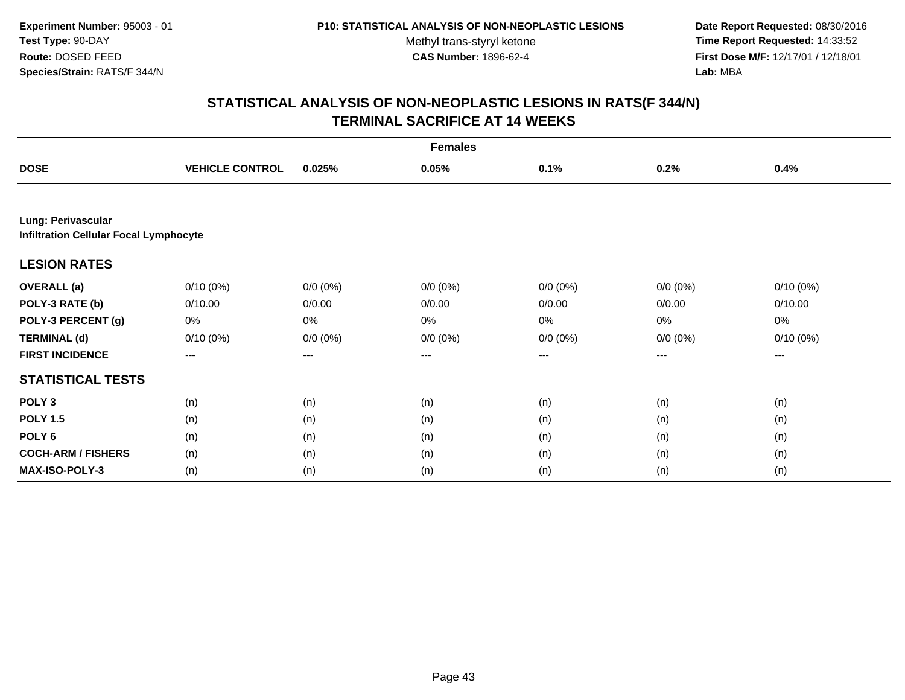**Date Report Requested:** 08/30/2016 **Time Report Requested:** 14:33:52 **First Dose M/F:** 12/17/01 / 12/18/01<br>**Lab:** MBA **Lab:** MBA

| <b>Females</b>                                                      |                        |             |                   |             |             |             |  |  |
|---------------------------------------------------------------------|------------------------|-------------|-------------------|-------------|-------------|-------------|--|--|
| <b>DOSE</b>                                                         | <b>VEHICLE CONTROL</b> | 0.025%      | 0.05%             | 0.1%        | 0.2%        | 0.4%        |  |  |
|                                                                     |                        |             |                   |             |             |             |  |  |
| Lung: Perivascular<br><b>Infiltration Cellular Focal Lymphocyte</b> |                        |             |                   |             |             |             |  |  |
| <b>LESION RATES</b>                                                 |                        |             |                   |             |             |             |  |  |
| <b>OVERALL</b> (a)                                                  | $0/10(0\%)$            | $0/0 (0\%)$ | $0/0 (0\%)$       | $0/0 (0\%)$ | $0/0 (0\%)$ | $0/10(0\%)$ |  |  |
| POLY-3 RATE (b)                                                     | 0/10.00                | 0/0.00      | 0/0.00            | 0/0.00      | 0/0.00      | 0/10.00     |  |  |
| POLY-3 PERCENT (g)                                                  | 0%                     | 0%          | $0\%$             | $0\%$       | 0%          | 0%          |  |  |
| <b>TERMINAL (d)</b>                                                 | $0/10(0\%)$            | $0/0 (0\%)$ | $0/0 (0\%)$       | $0/0 (0\%)$ | $0/0 (0\%)$ | $0/10(0\%)$ |  |  |
| <b>FIRST INCIDENCE</b>                                              | $---$                  | ---         | $\qquad \qquad -$ | ---         | ---         | $---$       |  |  |
| <b>STATISTICAL TESTS</b>                                            |                        |             |                   |             |             |             |  |  |
| POLY <sub>3</sub>                                                   | (n)                    | (n)         | (n)               | (n)         | (n)         | (n)         |  |  |
| <b>POLY 1.5</b>                                                     | (n)                    | (n)         | (n)               | (n)         | (n)         | (n)         |  |  |
| POLY 6                                                              | (n)                    | (n)         | (n)               | (n)         | (n)         | (n)         |  |  |
| <b>COCH-ARM / FISHERS</b>                                           | (n)                    | (n)         | (n)               | (n)         | (n)         | (n)         |  |  |
| <b>MAX-ISO-POLY-3</b>                                               | (n)                    | (n)         | (n)               | (n)         | (n)         | (n)         |  |  |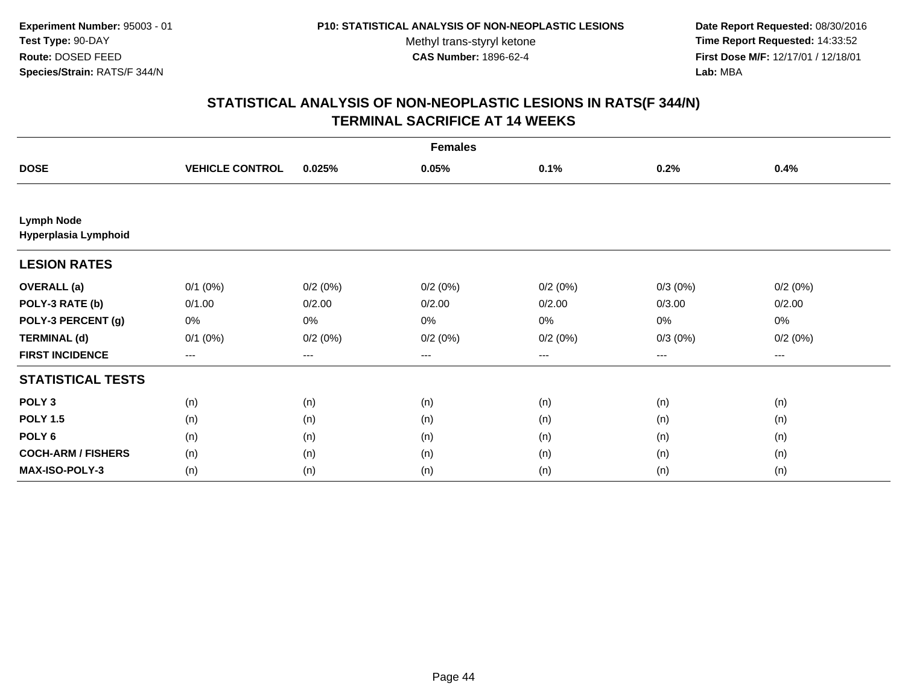**Date Report Requested:** 08/30/2016 **Time Report Requested:** 14:33:52 **First Dose M/F:** 12/17/01 / 12/18/01<br>**Lab:** MBA **Lab:** MBA

| <b>Females</b>                            |                        |                   |         |                   |            |         |  |
|-------------------------------------------|------------------------|-------------------|---------|-------------------|------------|---------|--|
| <b>DOSE</b>                               | <b>VEHICLE CONTROL</b> | 0.025%            | 0.05%   | 0.1%              | 0.2%       | 0.4%    |  |
|                                           |                        |                   |         |                   |            |         |  |
| <b>Lymph Node</b><br>Hyperplasia Lymphoid |                        |                   |         |                   |            |         |  |
| <b>LESION RATES</b>                       |                        |                   |         |                   |            |         |  |
| <b>OVERALL</b> (a)                        | $0/1$ $(0%)$           | 0/2(0%)           | 0/2(0%) | 0/2(0%)           | 0/3(0%)    | 0/2(0%) |  |
| POLY-3 RATE (b)                           | 0/1.00                 | 0/2.00            | 0/2.00  | 0/2.00            | 0/3.00     | 0/2.00  |  |
| POLY-3 PERCENT (g)                        | 0%                     | 0%                | 0%      | 0%                | $0\%$      | 0%      |  |
| <b>TERMINAL (d)</b>                       | $0/1$ $(0%)$           | 0/2(0%)           | 0/2(0%) | 0/2(0%)           | $0/3(0\%)$ | 0/2(0%) |  |
| <b>FIRST INCIDENCE</b>                    | $\qquad \qquad - -$    | $\qquad \qquad -$ | ---     | $\qquad \qquad -$ | $---$      | ---     |  |
| <b>STATISTICAL TESTS</b>                  |                        |                   |         |                   |            |         |  |
| POLY <sub>3</sub>                         | (n)                    | (n)               | (n)     | (n)               | (n)        | (n)     |  |
| <b>POLY 1.5</b>                           | (n)                    | (n)               | (n)     | (n)               | (n)        | (n)     |  |
| POLY <sub>6</sub>                         | (n)                    | (n)               | (n)     | (n)               | (n)        | (n)     |  |
| <b>COCH-ARM / FISHERS</b>                 | (n)                    | (n)               | (n)     | (n)               | (n)        | (n)     |  |
| <b>MAX-ISO-POLY-3</b>                     | (n)                    | (n)               | (n)     | (n)               | (n)        | (n)     |  |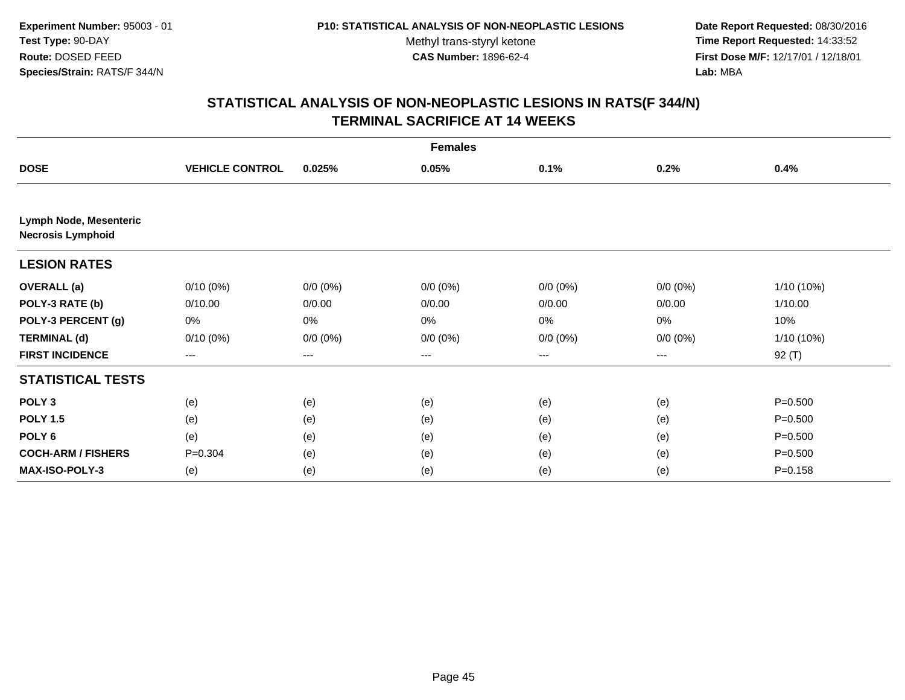**Date Report Requested:** 08/30/2016 **Time Report Requested:** 14:33:52 **First Dose M/F:** 12/17/01 / 12/18/01<br>**Lab:** MBA **Lab:** MBA

| <b>Females</b>                                     |                        |             |             |             |             |              |  |
|----------------------------------------------------|------------------------|-------------|-------------|-------------|-------------|--------------|--|
| <b>DOSE</b>                                        | <b>VEHICLE CONTROL</b> | 0.025%      | 0.05%       | 0.1%        | 0.2%        | 0.4%         |  |
|                                                    |                        |             |             |             |             |              |  |
| Lymph Node, Mesenteric<br><b>Necrosis Lymphoid</b> |                        |             |             |             |             |              |  |
| <b>LESION RATES</b>                                |                        |             |             |             |             |              |  |
| <b>OVERALL</b> (a)                                 | $0/10(0\%)$            | $0/0 (0\%)$ | $0/0 (0\%)$ | $0/0 (0\%)$ | $0/0 (0\%)$ | $1/10(10\%)$ |  |
| POLY-3 RATE (b)                                    | 0/10.00                | 0/0.00      | 0/0.00      | 0/0.00      | 0/0.00      | 1/10.00      |  |
| POLY-3 PERCENT (g)                                 | 0%                     | 0%          | 0%          | 0%          | 0%          | 10%          |  |
| <b>TERMINAL (d)</b>                                | $0/10(0\%)$            | $0/0 (0\%)$ | $0/0 (0\%)$ | $0/0(0\%)$  | $0/0 (0\%)$ | $1/10(10\%)$ |  |
| <b>FIRST INCIDENCE</b>                             | ---                    | ---         | ---         | ---         | ---         | $92($ T)     |  |
| <b>STATISTICAL TESTS</b>                           |                        |             |             |             |             |              |  |
| POLY <sub>3</sub>                                  | (e)                    | (e)         | (e)         | (e)         | (e)         | $P = 0.500$  |  |
| <b>POLY 1.5</b>                                    | (e)                    | (e)         | (e)         | (e)         | (e)         | $P = 0.500$  |  |
| POLY 6                                             | (e)                    | (e)         | (e)         | (e)         | (e)         | $P = 0.500$  |  |
| <b>COCH-ARM / FISHERS</b>                          | $P = 0.304$            | (e)         | (e)         | (e)         | (e)         | $P = 0.500$  |  |
| MAX-ISO-POLY-3                                     | (e)                    | (e)         | (e)         | (e)         | (e)         | $P = 0.158$  |  |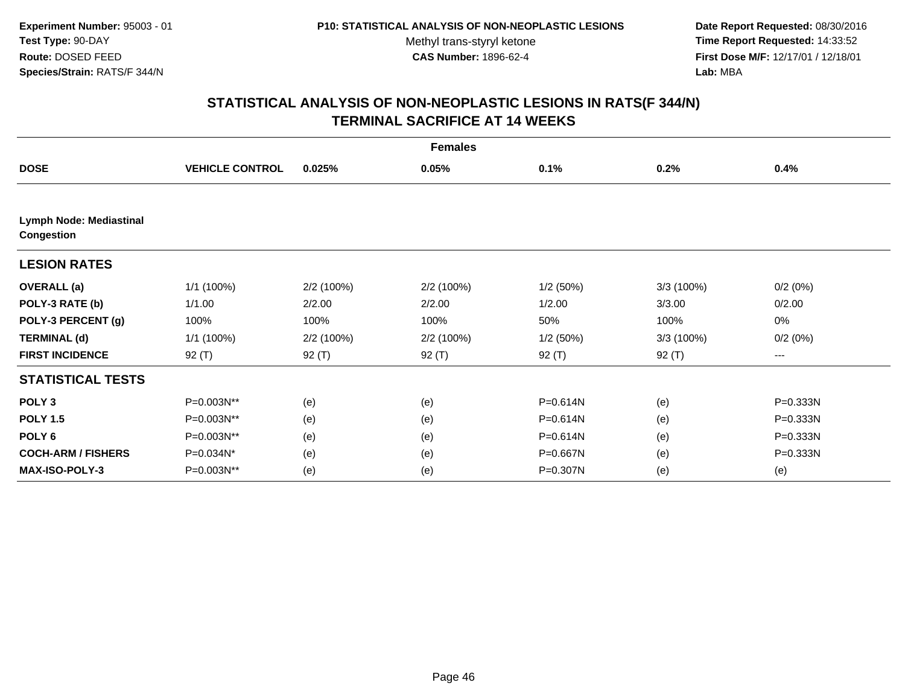**Date Report Requested:** 08/30/2016 **Time Report Requested:** 14:33:52 **First Dose M/F:** 12/17/01 / 12/18/01<br>**Lab:** MBA **Lab:** MBA

| <b>Females</b>                        |                        |            |            |          |           |          |  |
|---------------------------------------|------------------------|------------|------------|----------|-----------|----------|--|
| <b>DOSE</b>                           | <b>VEHICLE CONTROL</b> | 0.025%     | 0.05%      | 0.1%     | 0.2%      | 0.4%     |  |
| Lymph Node: Mediastinal<br>Congestion |                        |            |            |          |           |          |  |
| <b>LESION RATES</b>                   |                        |            |            |          |           |          |  |
| <b>OVERALL</b> (a)                    | 1/1 (100%)             | 2/2 (100%) | 2/2 (100%) | 1/2(50%) | 3/3(100%) | 0/2(0%)  |  |
| POLY-3 RATE (b)                       | 1/1.00                 | 2/2.00     | 2/2.00     | 1/2.00   | 3/3.00    | 0/2.00   |  |
| POLY-3 PERCENT (g)                    | 100%                   | 100%       | 100%       | 50%      | 100%      | 0%       |  |
| <b>TERMINAL (d)</b>                   | 1/1 (100%)             | 2/2 (100%) | 2/2 (100%) | 1/2(50%) | 3/3(100%) | 0/2(0%)  |  |
| <b>FIRST INCIDENCE</b>                | $92($ T)               | 92 (T)     | 92 (T)     | $92($ T) | $92($ T)  | ---      |  |
| <b>STATISTICAL TESTS</b>              |                        |            |            |          |           |          |  |
| POLY <sub>3</sub>                     | P=0.003N**             | (e)        | (e)        | P=0.614N | (e)       | P=0.333N |  |
| <b>POLY 1.5</b>                       | P=0.003N**             | (e)        | (e)        | P=0.614N | (e)       | P=0.333N |  |
| POLY 6                                | P=0.003N**             | (e)        | (e)        | P=0.614N | (e)       | P=0.333N |  |
| <b>COCH-ARM / FISHERS</b>             | P=0.034N*              | (e)        | (e)        | P=0.667N | (e)       | P=0.333N |  |
| MAX-ISO-POLY-3                        | P=0.003N**             | (e)        | (e)        | P=0.307N | (e)       | (e)      |  |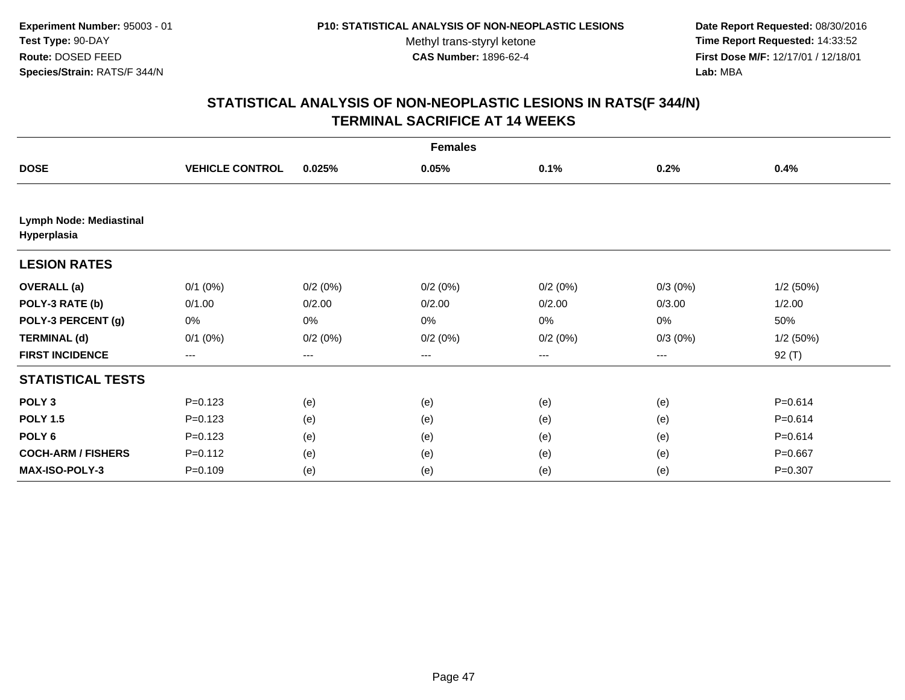**Date Report Requested:** 08/30/2016 **Time Report Requested:** 14:33:52 **First Dose M/F:** 12/17/01 / 12/18/01<br>**Lab:** MBA **Lab:** MBA

| <b>Females</b>                                |                        |         |         |         |            |             |  |
|-----------------------------------------------|------------------------|---------|---------|---------|------------|-------------|--|
| <b>DOSE</b>                                   | <b>VEHICLE CONTROL</b> | 0.025%  | 0.05%   | 0.1%    | 0.2%       | 0.4%        |  |
|                                               |                        |         |         |         |            |             |  |
| <b>Lymph Node: Mediastinal</b><br>Hyperplasia |                        |         |         |         |            |             |  |
| <b>LESION RATES</b>                           |                        |         |         |         |            |             |  |
| <b>OVERALL</b> (a)                            | $0/1$ $(0%)$           | 0/2(0%) | 0/2(0%) | 0/2(0%) | $0/3(0\%)$ | 1/2(50%)    |  |
| POLY-3 RATE (b)                               | 0/1.00                 | 0/2.00  | 0/2.00  | 0/2.00  | 0/3.00     | 1/2.00      |  |
| POLY-3 PERCENT (g)                            | 0%                     | 0%      | 0%      | 0%      | 0%         | 50%         |  |
| <b>TERMINAL (d)</b>                           | $0/1$ (0%)             | 0/2(0%) | 0/2(0%) | 0/2(0%) | $0/3(0\%)$ | 1/2(50%)    |  |
| <b>FIRST INCIDENCE</b>                        | ---                    | ---     | ---     | ---     | ---        | $92($ T)    |  |
| <b>STATISTICAL TESTS</b>                      |                        |         |         |         |            |             |  |
| POLY <sub>3</sub>                             | $P = 0.123$            | (e)     | (e)     | (e)     | (e)        | $P = 0.614$ |  |
| <b>POLY 1.5</b>                               | $P = 0.123$            | (e)     | (e)     | (e)     | (e)        | $P = 0.614$ |  |
| POLY <sub>6</sub>                             | $P=0.123$              | (e)     | (e)     | (e)     | (e)        | $P = 0.614$ |  |
| <b>COCH-ARM / FISHERS</b>                     | $P=0.112$              | (e)     | (e)     | (e)     | (e)        | $P = 0.667$ |  |
| MAX-ISO-POLY-3                                | $P = 0.109$            | (e)     | (e)     | (e)     | (e)        | $P = 0.307$ |  |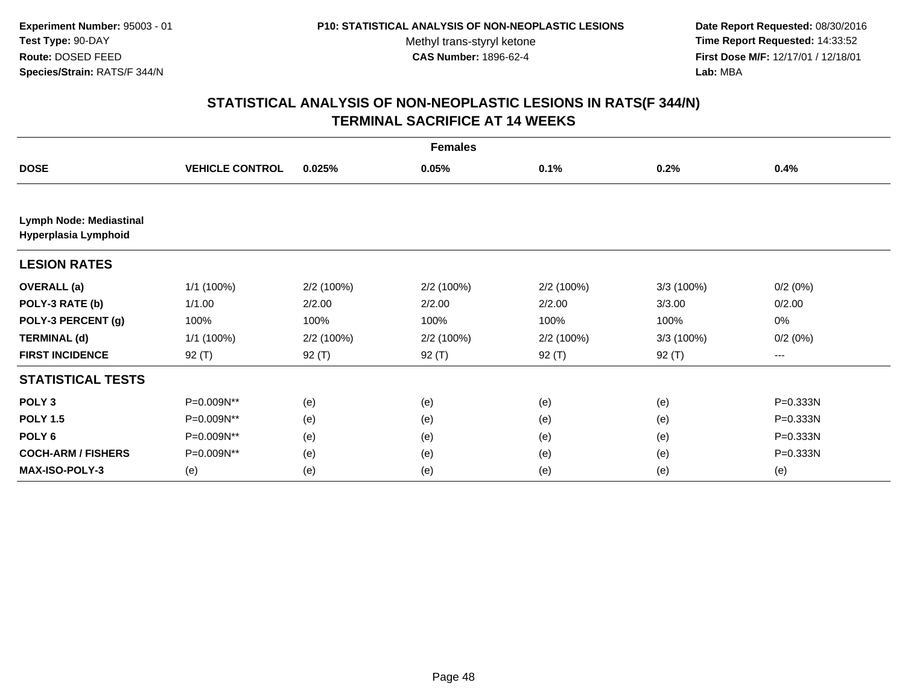**Date Report Requested:** 08/30/2016 **Time Report Requested:** 14:33:52 **First Dose M/F:** 12/17/01 / 12/18/01<br>**Lab:** MBA **Lab:** MBA

| <b>Females</b>                                         |                        |            |            |            |           |          |  |
|--------------------------------------------------------|------------------------|------------|------------|------------|-----------|----------|--|
| <b>DOSE</b>                                            | <b>VEHICLE CONTROL</b> | 0.025%     | 0.05%      | 0.1%       | 0.2%      | 0.4%     |  |
|                                                        |                        |            |            |            |           |          |  |
| <b>Lymph Node: Mediastinal</b><br>Hyperplasia Lymphoid |                        |            |            |            |           |          |  |
| <b>LESION RATES</b>                                    |                        |            |            |            |           |          |  |
| <b>OVERALL</b> (a)                                     | 1/1 (100%)             | 2/2 (100%) | 2/2 (100%) | 2/2 (100%) | 3/3(100%) | 0/2(0%)  |  |
| POLY-3 RATE (b)                                        | 1/1.00                 | 2/2.00     | 2/2.00     | 2/2.00     | 3/3.00    | 0/2.00   |  |
| POLY-3 PERCENT (g)                                     | 100%                   | 100%       | 100%       | 100%       | 100%      | 0%       |  |
| <b>TERMINAL (d)</b>                                    | 1/1 (100%)             | 2/2 (100%) | 2/2 (100%) | 2/2 (100%) | 3/3(100%) | 0/2(0%)  |  |
| <b>FIRST INCIDENCE</b>                                 | $92($ T)               | 92 (T)     | 92 (T)     | $92($ T)   | 92 (T)    | ---      |  |
| <b>STATISTICAL TESTS</b>                               |                        |            |            |            |           |          |  |
| POLY <sub>3</sub>                                      | P=0.009N**             | (e)        | (e)        | (e)        | (e)       | P=0.333N |  |
| <b>POLY 1.5</b>                                        | P=0.009N**             | (e)        | (e)        | (e)        | (e)       | P=0.333N |  |
| POLY <sub>6</sub>                                      | P=0.009N**             | (e)        | (e)        | (e)        | (e)       | P=0.333N |  |
| <b>COCH-ARM / FISHERS</b>                              | P=0.009N**             | (e)        | (e)        | (e)        | (e)       | P=0.333N |  |
| MAX-ISO-POLY-3                                         | (e)                    | (e)        | (e)        | (e)        | (e)       | (e)      |  |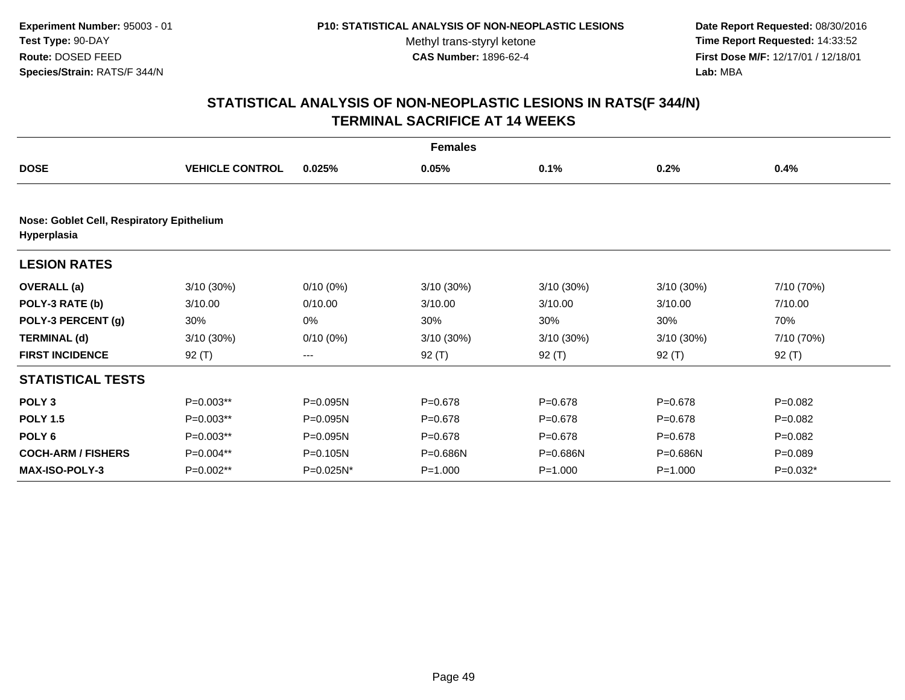**Date Report Requested:** 08/30/2016 **Time Report Requested:** 14:33:52 **First Dose M/F:** 12/17/01 / 12/18/01<br>**Lab:** MBA **Lab:** MBA

| <b>Females</b>                                           |                        |              |             |              |              |             |  |  |
|----------------------------------------------------------|------------------------|--------------|-------------|--------------|--------------|-------------|--|--|
| <b>DOSE</b>                                              | <b>VEHICLE CONTROL</b> | 0.025%       | 0.05%       | 0.1%         | 0.2%         | 0.4%        |  |  |
|                                                          |                        |              |             |              |              |             |  |  |
| Nose: Goblet Cell, Respiratory Epithelium<br>Hyperplasia |                        |              |             |              |              |             |  |  |
| <b>LESION RATES</b>                                      |                        |              |             |              |              |             |  |  |
| <b>OVERALL</b> (a)                                       | 3/10 (30%)             | $0/10(0\%)$  | 3/10 (30%)  | $3/10(30\%)$ | $3/10(30\%)$ | 7/10 (70%)  |  |  |
| POLY-3 RATE (b)                                          | 3/10.00                | 0/10.00      | 3/10.00     | 3/10.00      | 3/10.00      | 7/10.00     |  |  |
| POLY-3 PERCENT (g)                                       | 30%                    | 0%           | 30%         | 30%          | 30%          | 70%         |  |  |
| <b>TERMINAL (d)</b>                                      | 3/10(30%)              | $0/10(0\%)$  | 3/10 (30%)  | $3/10(30\%)$ | $3/10(30\%)$ | 7/10 (70%)  |  |  |
| <b>FIRST INCIDENCE</b>                                   | $92($ T)               | ---          | $92($ T)    | $92($ T)     | $92($ T)     | $92($ T)    |  |  |
| <b>STATISTICAL TESTS</b>                                 |                        |              |             |              |              |             |  |  |
| POLY <sub>3</sub>                                        | P=0.003**              | P=0.095N     | $P = 0.678$ | $P = 0.678$  | $P = 0.678$  | $P=0.082$   |  |  |
| <b>POLY 1.5</b>                                          | P=0.003**              | P=0.095N     | $P = 0.678$ | $P = 0.678$  | $P = 0.678$  | $P = 0.082$ |  |  |
| POLY <sub>6</sub>                                        | P=0.003**              | P=0.095N     | $P = 0.678$ | $P = 0.678$  | $P = 0.678$  | $P=0.082$   |  |  |
| <b>COCH-ARM / FISHERS</b>                                | P=0.004**              | P=0.105N     | P=0.686N    | P=0.686N     | P=0.686N     | $P = 0.089$ |  |  |
| <b>MAX-ISO-POLY-3</b>                                    | $P=0.002**$            | $P=0.025N^*$ | $P = 1.000$ | $P = 1.000$  | $P = 1.000$  | $P=0.032*$  |  |  |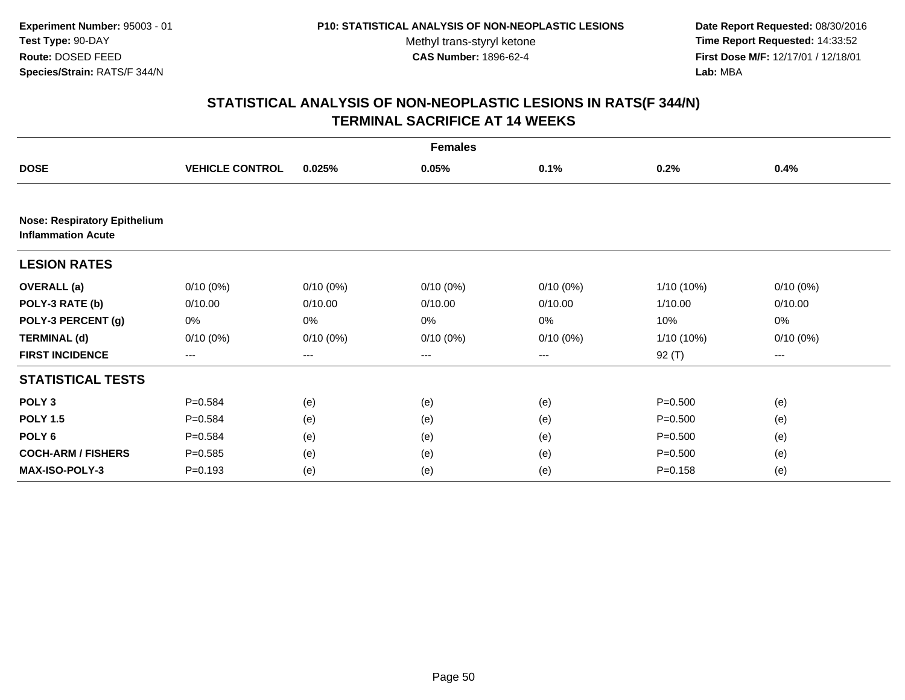**Date Report Requested:** 08/30/2016 **Time Report Requested:** 14:33:52 **First Dose M/F:** 12/17/01 / 12/18/01<br>**Lab:** MBA **Lab:** MBA

|                                                                  | <b>Females</b>         |             |             |                   |             |             |  |
|------------------------------------------------------------------|------------------------|-------------|-------------|-------------------|-------------|-------------|--|
| <b>DOSE</b>                                                      | <b>VEHICLE CONTROL</b> | 0.025%      | 0.05%       | 0.1%              | 0.2%        | 0.4%        |  |
|                                                                  |                        |             |             |                   |             |             |  |
| <b>Nose: Respiratory Epithelium</b><br><b>Inflammation Acute</b> |                        |             |             |                   |             |             |  |
| <b>LESION RATES</b>                                              |                        |             |             |                   |             |             |  |
| <b>OVERALL</b> (a)                                               | $0/10(0\%)$            | $0/10(0\%)$ | $0/10(0\%)$ | $0/10(0\%)$       | 1/10 (10%)  | $0/10(0\%)$ |  |
| POLY-3 RATE (b)                                                  | 0/10.00                | 0/10.00     | 0/10.00     | 0/10.00           | 1/10.00     | 0/10.00     |  |
| POLY-3 PERCENT (g)                                               | 0%                     | 0%          | 0%          | 0%                | 10%         | 0%          |  |
| <b>TERMINAL (d)</b>                                              | $0/10(0\%)$            | $0/10(0\%)$ | $0/10(0\%)$ | $0/10(0\%)$       | 1/10 (10%)  | $0/10(0\%)$ |  |
| <b>FIRST INCIDENCE</b>                                           | ---                    | $--$        | ---         | $\qquad \qquad -$ | $92($ T)    | $---$       |  |
| <b>STATISTICAL TESTS</b>                                         |                        |             |             |                   |             |             |  |
| POLY <sub>3</sub>                                                | $P = 0.584$            | (e)         | (e)         | (e)               | $P = 0.500$ | (e)         |  |
| <b>POLY 1.5</b>                                                  | $P = 0.584$            | (e)         | (e)         | (e)               | $P = 0.500$ | (e)         |  |
| POLY <sub>6</sub>                                                | $P=0.584$              | (e)         | (e)         | (e)               | $P = 0.500$ | (e)         |  |
| <b>COCH-ARM / FISHERS</b>                                        | $P = 0.585$            | (e)         | (e)         | (e)               | $P = 0.500$ | (e)         |  |
| <b>MAX-ISO-POLY-3</b>                                            | $P = 0.193$            | (e)         | (e)         | (e)               | $P = 0.158$ | (e)         |  |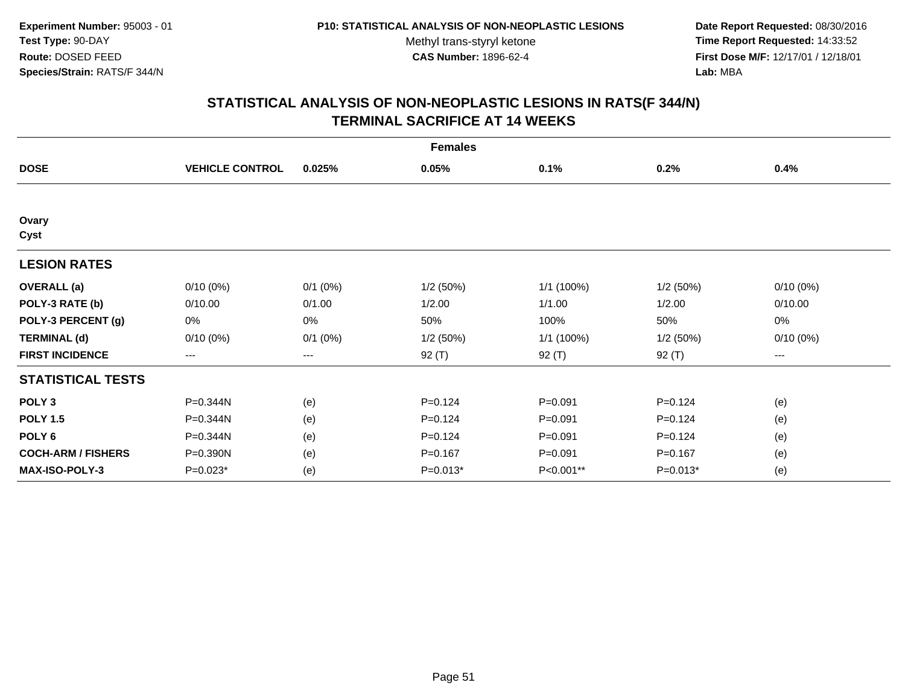**Date Report Requested:** 08/30/2016 **Time Report Requested:** 14:33:52 **First Dose M/F:** 12/17/01 / 12/18/01<br>**Lab:** MBA **Lab:** MBA

|                           | <b>Females</b>         |              |             |             |             |             |  |
|---------------------------|------------------------|--------------|-------------|-------------|-------------|-------------|--|
| <b>DOSE</b>               | <b>VEHICLE CONTROL</b> | 0.025%       | 0.05%       | 0.1%        | 0.2%        | 0.4%        |  |
|                           |                        |              |             |             |             |             |  |
| Ovary<br>Cyst             |                        |              |             |             |             |             |  |
| <b>LESION RATES</b>       |                        |              |             |             |             |             |  |
| <b>OVERALL</b> (a)        | $0/10(0\%)$            | $0/1$ $(0%)$ | 1/2(50%)    | 1/1 (100%)  | 1/2(50%)    | $0/10(0\%)$ |  |
| POLY-3 RATE (b)           | 0/10.00                | 0/1.00       | 1/2.00      | 1/1.00      | 1/2.00      | 0/10.00     |  |
| POLY-3 PERCENT (g)        | 0%                     | 0%           | 50%         | 100%        | 50%         | 0%          |  |
| <b>TERMINAL (d)</b>       | $0/10(0\%)$            | $0/1$ $(0%)$ | 1/2(50%)    | 1/1 (100%)  | 1/2(50%)    | $0/10(0\%)$ |  |
| <b>FIRST INCIDENCE</b>    | $\qquad \qquad \cdots$ | ---          | $92($ T)    | 92 (T)      | 92 $(T)$    | ---         |  |
| <b>STATISTICAL TESTS</b>  |                        |              |             |             |             |             |  |
| POLY <sub>3</sub>         | P=0.344N               | (e)          | $P = 0.124$ | $P = 0.091$ | $P = 0.124$ | (e)         |  |
| <b>POLY 1.5</b>           | P=0.344N               | (e)          | $P = 0.124$ | $P = 0.091$ | $P = 0.124$ | (e)         |  |
| POLY <sub>6</sub>         | P=0.344N               | (e)          | $P=0.124$   | $P = 0.091$ | $P = 0.124$ | (e)         |  |
| <b>COCH-ARM / FISHERS</b> | P=0.390N               | (e)          | $P = 0.167$ | $P = 0.091$ | $P = 0.167$ | (e)         |  |
| <b>MAX-ISO-POLY-3</b>     | $P=0.023*$             | (e)          | $P=0.013*$  | P<0.001**   | $P=0.013*$  | (e)         |  |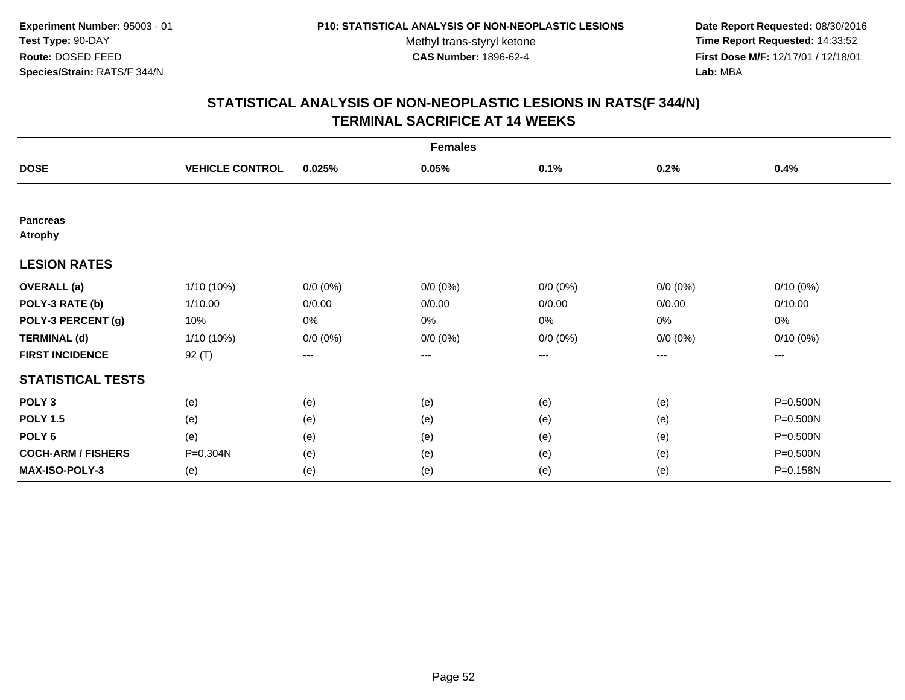**Date Report Requested:** 08/30/2016 **Time Report Requested:** 14:33:52 **First Dose M/F:** 12/17/01 / 12/18/01<br>**Lab:** MBA **Lab:** MBA

|                                   | <b>Females</b>         |             |             |             |             |                        |  |
|-----------------------------------|------------------------|-------------|-------------|-------------|-------------|------------------------|--|
| <b>DOSE</b>                       | <b>VEHICLE CONTROL</b> | 0.025%      | 0.05%       | 0.1%        | 0.2%        | 0.4%                   |  |
|                                   |                        |             |             |             |             |                        |  |
| <b>Pancreas</b><br><b>Atrophy</b> |                        |             |             |             |             |                        |  |
| <b>LESION RATES</b>               |                        |             |             |             |             |                        |  |
| <b>OVERALL</b> (a)                | 1/10 (10%)             | $0/0(0\%)$  | $0/0 (0\%)$ | $0/0 (0\%)$ | $0/0 (0\%)$ | $0/10(0\%)$            |  |
| POLY-3 RATE (b)                   | 1/10.00                | 0/0.00      | 0/0.00      | 0/0.00      | 0/0.00      | 0/10.00                |  |
| POLY-3 PERCENT (g)                | 10%                    | 0%          | 0%          | 0%          | 0%          | 0%                     |  |
| <b>TERMINAL (d)</b>               | 1/10 (10%)             | $0/0 (0\%)$ | $0/0 (0\%)$ | $0/0 (0\%)$ | $0/0 (0\%)$ | $0/10(0\%)$            |  |
| <b>FIRST INCIDENCE</b>            | $92($ T)               | $---$       | ---         | $---$       | ---         | $\qquad \qquad \cdots$ |  |
| <b>STATISTICAL TESTS</b>          |                        |             |             |             |             |                        |  |
| POLY <sub>3</sub>                 | (e)                    | (e)         | (e)         | (e)         | (e)         | P=0.500N               |  |
| <b>POLY 1.5</b>                   | (e)                    | (e)         | (e)         | (e)         | (e)         | P=0.500N               |  |
| POLY <sub>6</sub>                 | (e)                    | (e)         | (e)         | (e)         | (e)         | P=0.500N               |  |
| <b>COCH-ARM / FISHERS</b>         | P=0.304N               | (e)         | (e)         | (e)         | (e)         | P=0.500N               |  |
| <b>MAX-ISO-POLY-3</b>             | (e)                    | (e)         | (e)         | (e)         | (e)         | P=0.158N               |  |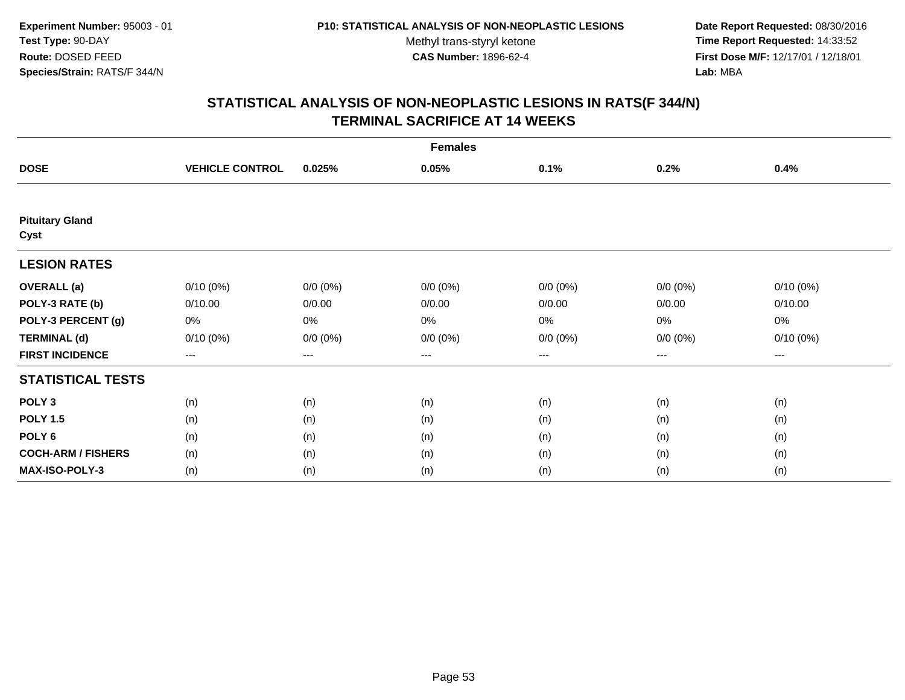**Date Report Requested:** 08/30/2016 **Time Report Requested:** 14:33:52 **First Dose M/F:** 12/17/01 / 12/18/01<br>**Lab:** MBA **Lab:** MBA

|                                | <b>Females</b>         |             |             |             |             |             |  |
|--------------------------------|------------------------|-------------|-------------|-------------|-------------|-------------|--|
| <b>DOSE</b>                    | <b>VEHICLE CONTROL</b> | 0.025%      | 0.05%       | 0.1%        | 0.2%        | 0.4%        |  |
|                                |                        |             |             |             |             |             |  |
| <b>Pituitary Gland</b><br>Cyst |                        |             |             |             |             |             |  |
| <b>LESION RATES</b>            |                        |             |             |             |             |             |  |
| <b>OVERALL</b> (a)             | $0/10(0\%)$            | $0/0 (0\%)$ | $0/0 (0\%)$ | $0/0 (0\%)$ | $0/0 (0\%)$ | $0/10(0\%)$ |  |
| POLY-3 RATE (b)                | 0/10.00                | 0/0.00      | 0/0.00      | 0/0.00      | 0/0.00      | 0/10.00     |  |
| POLY-3 PERCENT (g)             | 0%                     | 0%          | 0%          | 0%          | 0%          | 0%          |  |
| <b>TERMINAL (d)</b>            | $0/10(0\%)$            | $0/0 (0\%)$ | $0/0 (0\%)$ | $0/0 (0\%)$ | $0/0 (0\%)$ | $0/10(0\%)$ |  |
| <b>FIRST INCIDENCE</b>         | ---                    | $---$       | ---         | ---         | $--$        | ---         |  |
| <b>STATISTICAL TESTS</b>       |                        |             |             |             |             |             |  |
| POLY <sub>3</sub>              | (n)                    | (n)         | (n)         | (n)         | (n)         | (n)         |  |
| <b>POLY 1.5</b>                | (n)                    | (n)         | (n)         | (n)         | (n)         | (n)         |  |
| POLY <sub>6</sub>              | (n)                    | (n)         | (n)         | (n)         | (n)         | (n)         |  |
| <b>COCH-ARM / FISHERS</b>      | (n)                    | (n)         | (n)         | (n)         | (n)         | (n)         |  |
| MAX-ISO-POLY-3                 | (n)                    | (n)         | (n)         | (n)         | (n)         | (n)         |  |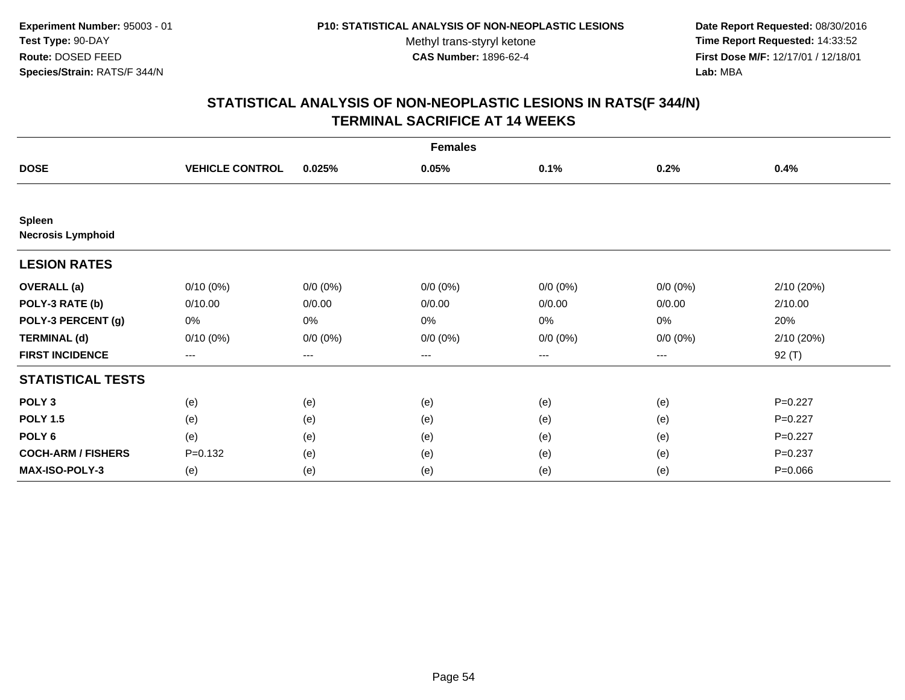**Date Report Requested:** 08/30/2016 **Time Report Requested:** 14:33:52 **First Dose M/F:** 12/17/01 / 12/18/01<br>**Lab:** MBA **Lab:** MBA

|                                           | <b>Females</b>         |             |             |             |                        |             |  |
|-------------------------------------------|------------------------|-------------|-------------|-------------|------------------------|-------------|--|
| <b>DOSE</b>                               | <b>VEHICLE CONTROL</b> | 0.025%      | 0.05%       | 0.1%        | 0.2%                   | 0.4%        |  |
|                                           |                        |             |             |             |                        |             |  |
| <b>Spleen</b><br><b>Necrosis Lymphoid</b> |                        |             |             |             |                        |             |  |
| <b>LESION RATES</b>                       |                        |             |             |             |                        |             |  |
| <b>OVERALL</b> (a)                        | $0/10(0\%)$            | $0/0 (0\%)$ | $0/0 (0\%)$ | $0/0 (0\%)$ | $0/0 (0\%)$            | 2/10 (20%)  |  |
| POLY-3 RATE (b)                           | 0/10.00                | 0/0.00      | 0/0.00      | 0/0.00      | 0/0.00                 | 2/10.00     |  |
| POLY-3 PERCENT (g)                        | 0%                     | 0%          | 0%          | 0%          | 0%                     | 20%         |  |
| <b>TERMINAL (d)</b>                       | $0/10(0\%)$            | $0/0 (0\%)$ | $0/0 (0\%)$ | $0/0 (0\%)$ | $0/0 (0\%)$            | 2/10 (20%)  |  |
| <b>FIRST INCIDENCE</b>                    | ---                    | $---$       | ---         | ---         | $\qquad \qquad \cdots$ | 92 (T)      |  |
| <b>STATISTICAL TESTS</b>                  |                        |             |             |             |                        |             |  |
| POLY <sub>3</sub>                         | (e)                    | (e)         | (e)         | (e)         | (e)                    | $P=0.227$   |  |
| <b>POLY 1.5</b>                           | (e)                    | (e)         | (e)         | (e)         | (e)                    | $P=0.227$   |  |
| POLY <sub>6</sub>                         | (e)                    | (e)         | (e)         | (e)         | (e)                    | $P=0.227$   |  |
| <b>COCH-ARM / FISHERS</b>                 | $P = 0.132$            | (e)         | (e)         | (e)         | (e)                    | $P = 0.237$ |  |
| <b>MAX-ISO-POLY-3</b>                     | (e)                    | (e)         | (e)         | (e)         | (e)                    | $P = 0.066$ |  |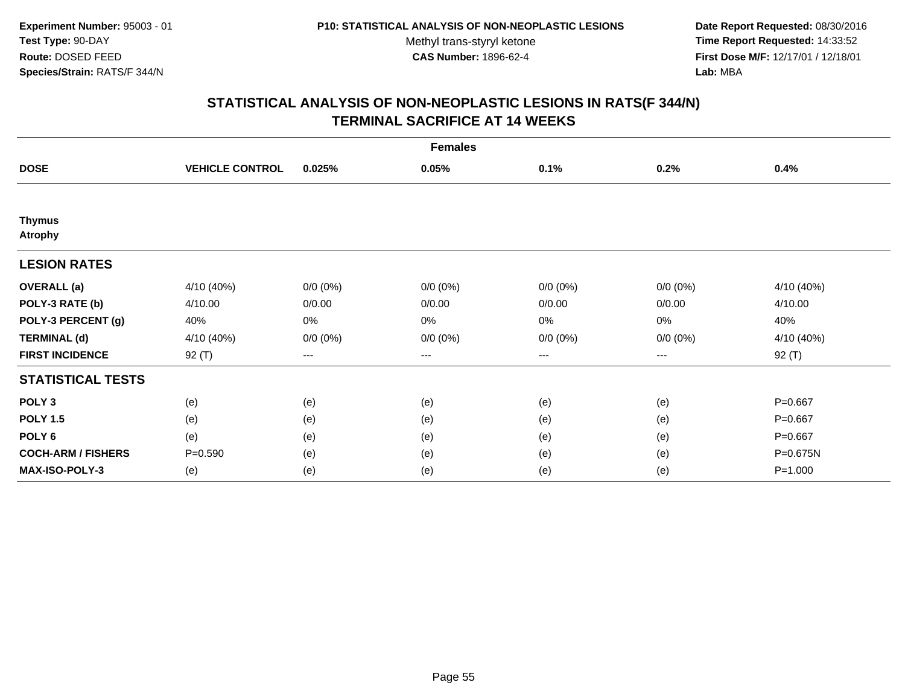**Date Report Requested:** 08/30/2016 **Time Report Requested:** 14:33:52 **First Dose M/F:** 12/17/01 / 12/18/01<br>**Lab:** MBA **Lab:** MBA

|                                 | <b>Females</b>         |             |             |             |             |             |  |
|---------------------------------|------------------------|-------------|-------------|-------------|-------------|-------------|--|
| <b>DOSE</b>                     | <b>VEHICLE CONTROL</b> | 0.025%      | 0.05%       | 0.1%        | 0.2%        | 0.4%        |  |
|                                 |                        |             |             |             |             |             |  |
| <b>Thymus</b><br><b>Atrophy</b> |                        |             |             |             |             |             |  |
| <b>LESION RATES</b>             |                        |             |             |             |             |             |  |
| <b>OVERALL</b> (a)              | 4/10 (40%)             | $0/0 (0\%)$ | $0/0 (0\%)$ | $0/0 (0\%)$ | $0/0 (0\%)$ | 4/10 (40%)  |  |
| POLY-3 RATE (b)                 | 4/10.00                | 0/0.00      | 0/0.00      | 0/0.00      | 0/0.00      | 4/10.00     |  |
| POLY-3 PERCENT (g)              | 40%                    | 0%          | 0%          | 0%          | 0%          | 40%         |  |
| <b>TERMINAL (d)</b>             | 4/10 (40%)             | $0/0 (0\%)$ | $0/0 (0\%)$ | $0/0 (0\%)$ | $0/0 (0\%)$ | 4/10 (40%)  |  |
| <b>FIRST INCIDENCE</b>          | 92 (T)                 | $---$       | ---         | ---         | $---$       | 92 (T)      |  |
| <b>STATISTICAL TESTS</b>        |                        |             |             |             |             |             |  |
| POLY <sub>3</sub>               | (e)                    | (e)         | (e)         | (e)         | (e)         | $P = 0.667$ |  |
| <b>POLY 1.5</b>                 | (e)                    | (e)         | (e)         | (e)         | (e)         | $P = 0.667$ |  |
| POLY <sub>6</sub>               | (e)                    | (e)         | (e)         | (e)         | (e)         | $P = 0.667$ |  |
| <b>COCH-ARM / FISHERS</b>       | $P = 0.590$            | (e)         | (e)         | (e)         | (e)         | P=0.675N    |  |
| <b>MAX-ISO-POLY-3</b>           | (e)                    | (e)         | (e)         | (e)         | (e)         | $P = 1.000$ |  |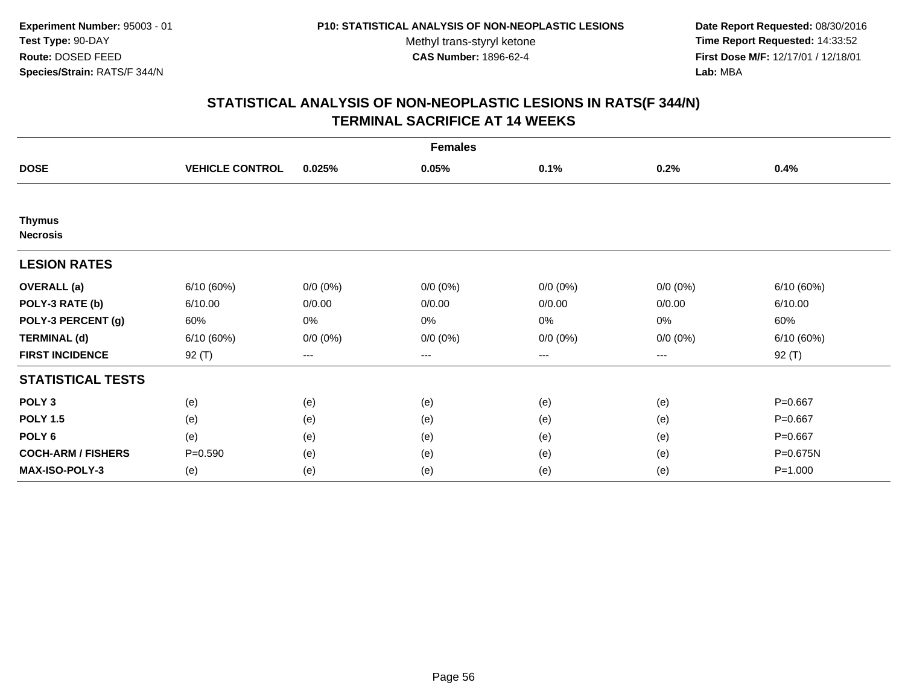**Date Report Requested:** 08/30/2016 **Time Report Requested:** 14:33:52 **First Dose M/F:** 12/17/01 / 12/18/01<br>**Lab:** MBA **Lab:** MBA

|                                  | <b>Females</b>         |             |             |             |             |             |  |
|----------------------------------|------------------------|-------------|-------------|-------------|-------------|-------------|--|
| <b>DOSE</b>                      | <b>VEHICLE CONTROL</b> | 0.025%      | 0.05%       | 0.1%        | 0.2%        | 0.4%        |  |
|                                  |                        |             |             |             |             |             |  |
| <b>Thymus</b><br><b>Necrosis</b> |                        |             |             |             |             |             |  |
| <b>LESION RATES</b>              |                        |             |             |             |             |             |  |
| <b>OVERALL</b> (a)               | 6/10(60%)              | $0/0 (0\%)$ | $0/0 (0\%)$ | $0/0 (0\%)$ | $0/0 (0\%)$ | 6/10(60%)   |  |
| POLY-3 RATE (b)                  | 6/10.00                | 0/0.00      | 0/0.00      | 0/0.00      | 0/0.00      | 6/10.00     |  |
| POLY-3 PERCENT (g)               | 60%                    | 0%          | 0%          | 0%          | 0%          | 60%         |  |
| <b>TERMINAL (d)</b>              | 6/10 (60%)             | $0/0 (0\%)$ | $0/0 (0\%)$ | $0/0 (0\%)$ | $0/0 (0\%)$ | 6/10 (60%)  |  |
| <b>FIRST INCIDENCE</b>           | 92 (T)                 | $---$       | ---         | ---         | $---$       | 92 (T)      |  |
| <b>STATISTICAL TESTS</b>         |                        |             |             |             |             |             |  |
| POLY <sub>3</sub>                | (e)                    | (e)         | (e)         | (e)         | (e)         | $P = 0.667$ |  |
| <b>POLY 1.5</b>                  | (e)                    | (e)         | (e)         | (e)         | (e)         | $P = 0.667$ |  |
| POLY <sub>6</sub>                | (e)                    | (e)         | (e)         | (e)         | (e)         | $P = 0.667$ |  |
| <b>COCH-ARM / FISHERS</b>        | $P = 0.590$            | (e)         | (e)         | (e)         | (e)         | P=0.675N    |  |
| <b>MAX-ISO-POLY-3</b>            | (e)                    | (e)         | (e)         | (e)         | (e)         | $P = 1.000$ |  |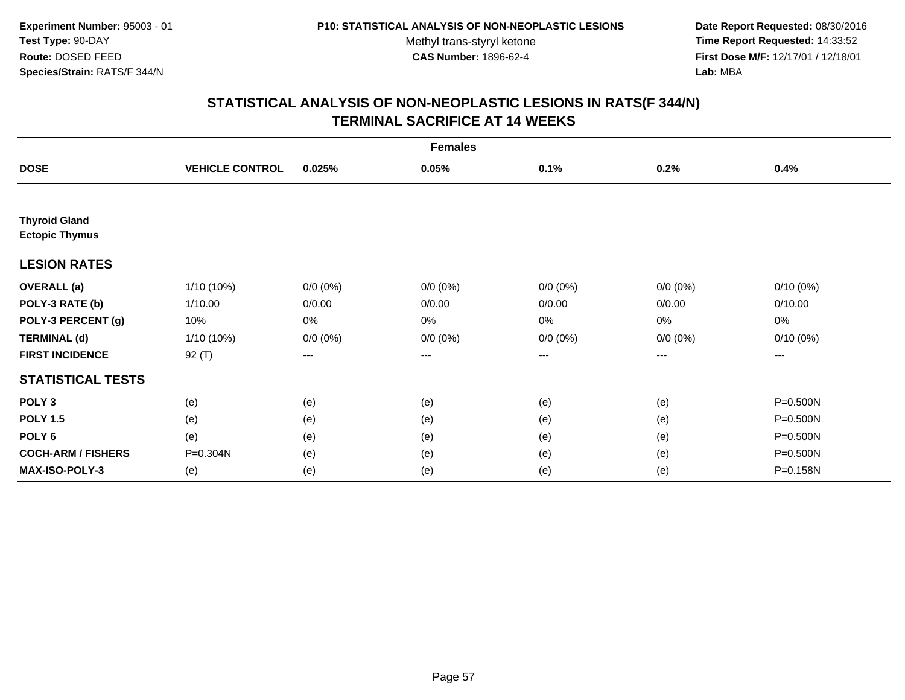**Date Report Requested:** 08/30/2016 **Time Report Requested:** 14:33:52 **First Dose M/F:** 12/17/01 / 12/18/01<br>**Lab:** MBA **Lab:** MBA

|                                               | <b>Females</b>         |             |             |             |             |             |  |
|-----------------------------------------------|------------------------|-------------|-------------|-------------|-------------|-------------|--|
| <b>DOSE</b>                                   | <b>VEHICLE CONTROL</b> | 0.025%      | 0.05%       | 0.1%        | 0.2%        | 0.4%        |  |
|                                               |                        |             |             |             |             |             |  |
| <b>Thyroid Gland</b><br><b>Ectopic Thymus</b> |                        |             |             |             |             |             |  |
| <b>LESION RATES</b>                           |                        |             |             |             |             |             |  |
| <b>OVERALL</b> (a)                            | $1/10(10\%)$           | $0/0 (0\%)$ | $0/0 (0\%)$ | $0/0 (0\%)$ | $0/0 (0\%)$ | $0/10(0\%)$ |  |
| POLY-3 RATE (b)                               | 1/10.00                | 0/0.00      | 0/0.00      | 0/0.00      | 0/0.00      | 0/10.00     |  |
| POLY-3 PERCENT (g)                            | 10%                    | 0%          | 0%          | 0%          | 0%          | 0%          |  |
| <b>TERMINAL (d)</b>                           | $1/10(10\%)$           | $0/0 (0\%)$ | $0/0 (0\%)$ | $0/0 (0\%)$ | $0/0 (0\%)$ | $0/10(0\%)$ |  |
| <b>FIRST INCIDENCE</b>                        | 92 $(T)$               | $---$       | $---$       | ---         | ---         | ---         |  |
| <b>STATISTICAL TESTS</b>                      |                        |             |             |             |             |             |  |
| POLY <sub>3</sub>                             | (e)                    | (e)         | (e)         | (e)         | (e)         | P=0.500N    |  |
| <b>POLY 1.5</b>                               | (e)                    | (e)         | (e)         | (e)         | (e)         | P=0.500N    |  |
| POLY <sub>6</sub>                             | (e)                    | (e)         | (e)         | (e)         | (e)         | P=0.500N    |  |
| <b>COCH-ARM / FISHERS</b>                     | P=0.304N               | (e)         | (e)         | (e)         | (e)         | P=0.500N    |  |
| <b>MAX-ISO-POLY-3</b>                         | (e)                    | (e)         | (e)         | (e)         | (e)         | P=0.158N    |  |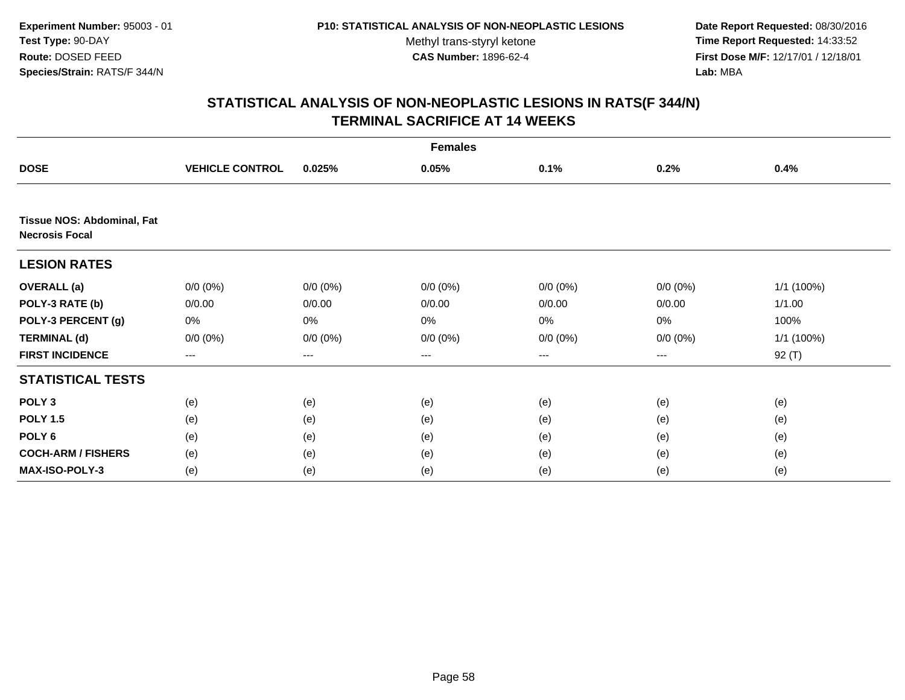**Date Report Requested:** 08/30/2016 **Time Report Requested:** 14:33:52 **First Dose M/F:** 12/17/01 / 12/18/01<br>**Lab:** MBA **Lab:** MBA

|                                                            | <b>Females</b>         |             |             |             |             |              |  |
|------------------------------------------------------------|------------------------|-------------|-------------|-------------|-------------|--------------|--|
| <b>DOSE</b>                                                | <b>VEHICLE CONTROL</b> | 0.025%      | 0.05%       | 0.1%        | 0.2%        | 0.4%         |  |
|                                                            |                        |             |             |             |             |              |  |
| <b>Tissue NOS: Abdominal, Fat</b><br><b>Necrosis Focal</b> |                        |             |             |             |             |              |  |
| <b>LESION RATES</b>                                        |                        |             |             |             |             |              |  |
| <b>OVERALL</b> (a)                                         | $0/0 (0\%)$            | $0/0 (0\%)$ | $0/0 (0\%)$ | $0/0 (0\%)$ | $0/0 (0\%)$ | $1/1$ (100%) |  |
| POLY-3 RATE (b)                                            | 0/0.00                 | 0/0.00      | 0/0.00      | 0/0.00      | 0/0.00      | 1/1.00       |  |
| POLY-3 PERCENT (g)                                         | 0%                     | 0%          | 0%          | 0%          | 0%          | 100%         |  |
| <b>TERMINAL (d)</b>                                        | $0/0 (0\%)$            | $0/0 (0\%)$ | $0/0 (0\%)$ | $0/0 (0\%)$ | $0/0 (0\%)$ | 1/1 (100%)   |  |
| <b>FIRST INCIDENCE</b>                                     | ---                    | ---         | ---         | ---         | ---         | 92 $(T)$     |  |
| <b>STATISTICAL TESTS</b>                                   |                        |             |             |             |             |              |  |
| POLY <sub>3</sub>                                          | (e)                    | (e)         | (e)         | (e)         | (e)         | (e)          |  |
| <b>POLY 1.5</b>                                            | (e)                    | (e)         | (e)         | (e)         | (e)         | (e)          |  |
| POLY <sub>6</sub>                                          | (e)                    | (e)         | (e)         | (e)         | (e)         | (e)          |  |
| <b>COCH-ARM / FISHERS</b>                                  | (e)                    | (e)         | (e)         | (e)         | (e)         | (e)          |  |
| <b>MAX-ISO-POLY-3</b>                                      | (e)                    | (e)         | (e)         | (e)         | (e)         | (e)          |  |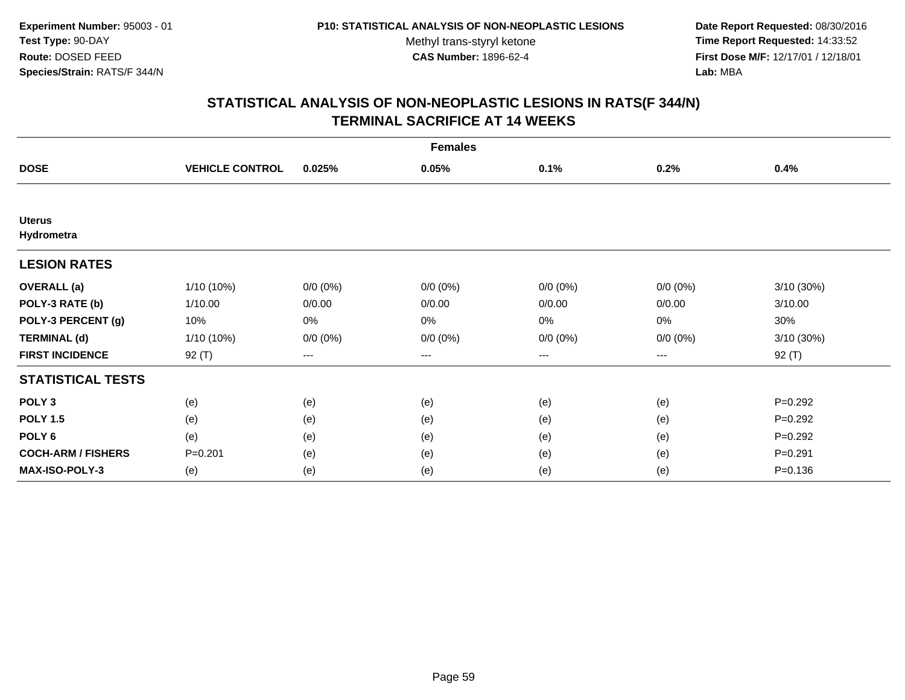**Date Report Requested:** 08/30/2016 **Time Report Requested:** 14:33:52 **First Dose M/F:** 12/17/01 / 12/18/01<br>**Lab:** MBA **Lab:** MBA

|                             | <b>Females</b>         |             |             |             |             |             |  |
|-----------------------------|------------------------|-------------|-------------|-------------|-------------|-------------|--|
| <b>DOSE</b>                 | <b>VEHICLE CONTROL</b> | 0.025%      | 0.05%       | 0.1%        | 0.2%        | 0.4%        |  |
|                             |                        |             |             |             |             |             |  |
| <b>Uterus</b><br>Hydrometra |                        |             |             |             |             |             |  |
| <b>LESION RATES</b>         |                        |             |             |             |             |             |  |
| <b>OVERALL</b> (a)          | 1/10 (10%)             | $0/0 (0\%)$ | $0/0 (0\%)$ | $0/0 (0\%)$ | $0/0 (0\%)$ | 3/10 (30%)  |  |
| POLY-3 RATE (b)             | 1/10.00                | 0/0.00      | 0/0.00      | 0/0.00      | 0/0.00      | 3/10.00     |  |
| POLY-3 PERCENT (g)          | 10%                    | 0%          | 0%          | 0%          | 0%          | 30%         |  |
| <b>TERMINAL (d)</b>         | 1/10 (10%)             | $0/0 (0\%)$ | $0/0 (0\%)$ | $0/0 (0\%)$ | $0/0 (0\%)$ | 3/10 (30%)  |  |
| <b>FIRST INCIDENCE</b>      | 92 (T)                 | $---$       | ---         | ---         | ---         | $92($ T)    |  |
| <b>STATISTICAL TESTS</b>    |                        |             |             |             |             |             |  |
| POLY <sub>3</sub>           | (e)                    | (e)         | (e)         | (e)         | (e)         | $P=0.292$   |  |
| <b>POLY 1.5</b>             | (e)                    | (e)         | (e)         | (e)         | (e)         | $P=0.292$   |  |
| POLY <sub>6</sub>           | (e)                    | (e)         | (e)         | (e)         | (e)         | $P=0.292$   |  |
| <b>COCH-ARM / FISHERS</b>   | $P = 0.201$            | (e)         | (e)         | (e)         | (e)         | $P = 0.291$ |  |
| <b>MAX-ISO-POLY-3</b>       | (e)                    | (e)         | (e)         | (e)         | (e)         | $P = 0.136$ |  |